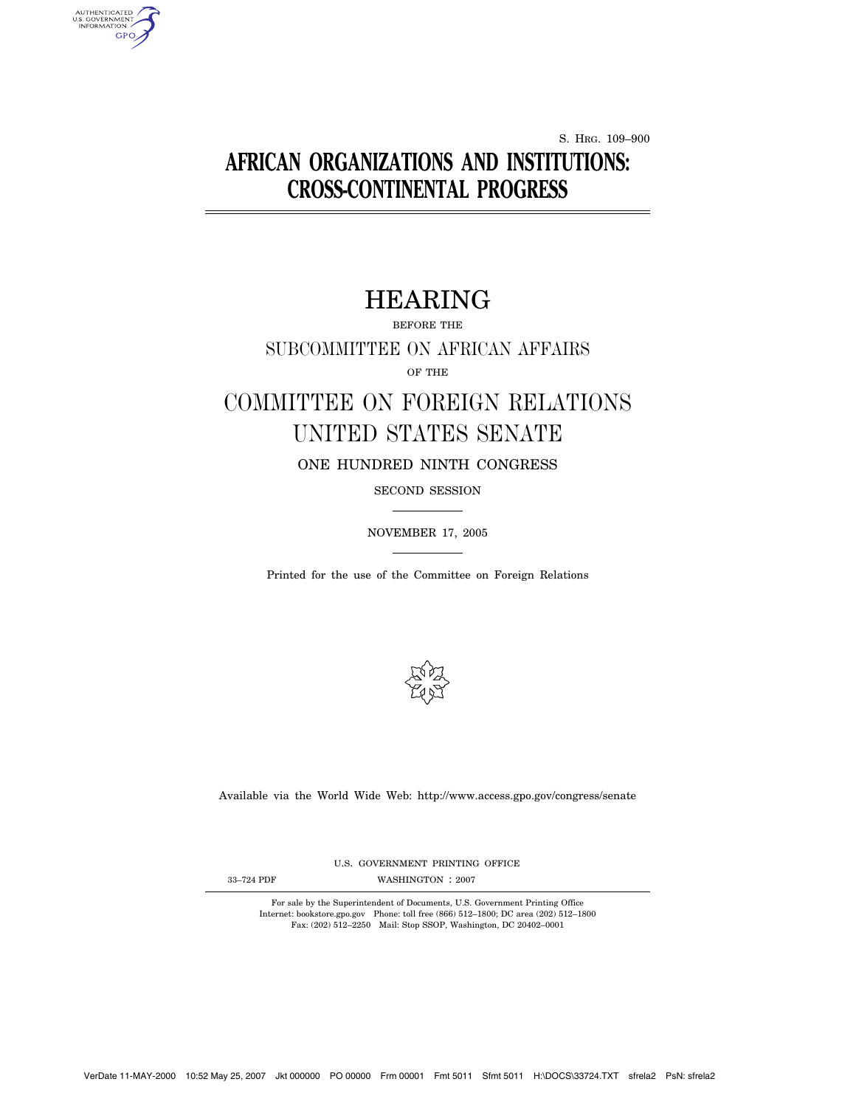S. HRG. 109–900

# **AFRICAN ORGANIZATIONS AND INSTITUTIONS: CROSS-CONTINENTAL PROGRESS**

# HEARING

BEFORE THE

SUBCOMMITTEE ON AFRICAN AFFAIRS

OF THE

# COMMITTEE ON FOREIGN RELATIONS UNITED STATES SENATE

ONE HUNDRED NINTH CONGRESS

SECOND SESSION

NOVEMBER 17, 2005

Printed for the use of the Committee on Foreign Relations



Available via the World Wide Web: http://www.access.gpo.gov/congress/senate

U.S. GOVERNMENT PRINTING OFFICE

AUTHENTICATED<br>U.S. GOVERNMENT<br>INFORMATION **GPO** 

33-724 PDF WASHINGTON : 2007

For sale by the Superintendent of Documents, U.S. Government Printing Office Internet: bookstore.gpo.gov Phone: toll free (866) 512–1800; DC area (202) 512–1800 Fax: (202) 512–2250 Mail: Stop SSOP, Washington, DC 20402–0001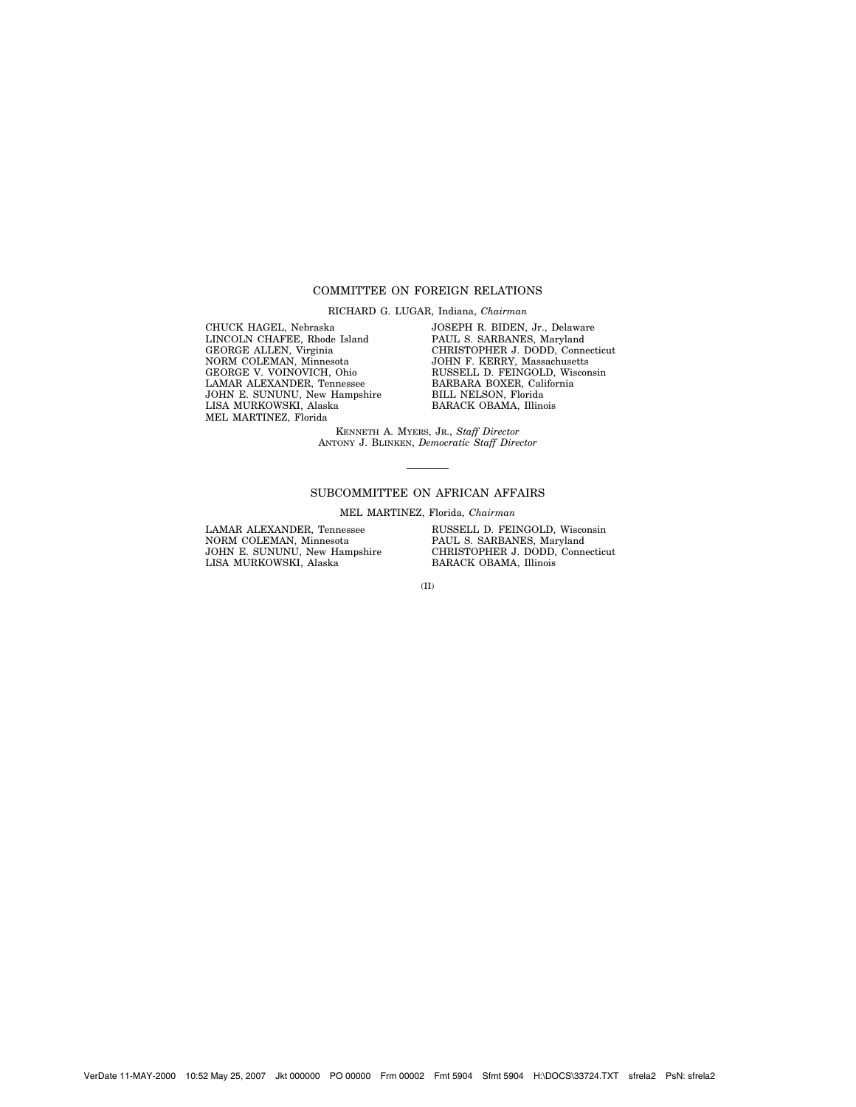## COMMITTEE ON FOREIGN RELATIONS

RICHARD G. LUGAR, Indiana, *Chairman*

CHUCK HAGEL, Nebraska LINCOLN CHAFEE, Rhode Island GEORGE ALLEN, Virginia NORM COLEMAN, Minnesota GEORGE V. VOINOVICH, Ohio LAMAR ALEXANDER, Tennessee JOHN E. SUNUNU, New Hampshire LISA MURKOWSKI, Alaska MEL MARTINEZ, Florida

JOSEPH R. BIDEN, Jr., Delaware PAUL S. SARBANES, Maryland CHRISTOPHER J. DODD, Connecticut JOHN F. KERRY, Massachusetts RUSSELL D. FEINGOLD, Wisconsin BARBARA BOXER, California BILL NELSON, Florida BARACK OBAMA, Illinois

KENNETH A. MYERS, JR., *Staff Director* ANTONY J. BLINKEN, *Democratic Staff Director*

## SUBCOMMITTEE ON AFRICAN AFFAIRS

MEL MARTINEZ, Florida, *Chairman*

LAMAR ALEXANDER, Tennessee NORM COLEMAN, Minnesota JOHN E. SUNUNU, New Hampshire LISA MURKOWSKI, Alaska

RUSSELL D. FEINGOLD, Wisconsin PAUL S. SARBANES, Maryland CHRISTOPHER J. DODD, Connecticut BARACK OBAMA, Illinois

(II)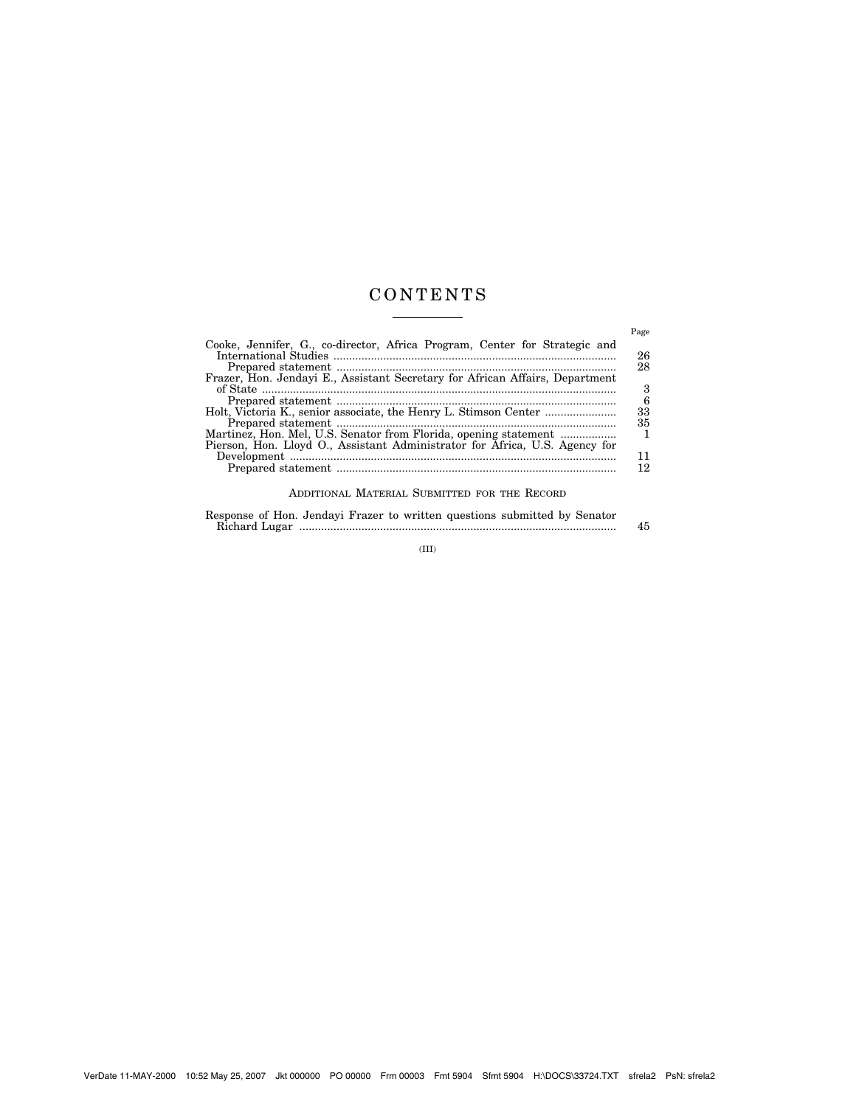## CONTENTS

|                                                                              | Page |
|------------------------------------------------------------------------------|------|
| Cooke, Jennifer, G., co-director, Africa Program, Center for Strategic and   | 26   |
|                                                                              | 28   |
| Frazer, Hon. Jendayi E., Assistant Secretary for African Affairs, Department |      |
|                                                                              | 3    |
|                                                                              | -6   |
| Holt, Victoria K., senior associate, the Henry L. Stimson Center             | 33   |
|                                                                              | 35   |
| Martinez, Hon. Mel, U.S. Senator from Florida, opening statement             | 1    |
| Pierson, Hon. Lloyd O., Assistant Administrator for Africa, U.S. Agency for  |      |
|                                                                              | 11   |
|                                                                              | 12   |
|                                                                              |      |
|                                                                              |      |

## ADDITIONAL MATERIAL SUBMITTED FOR THE RECORD

Response of Hon. Jendayi Frazer to written questions submitted by Senator Richard Lugar ...................................................................................................... 45

(III)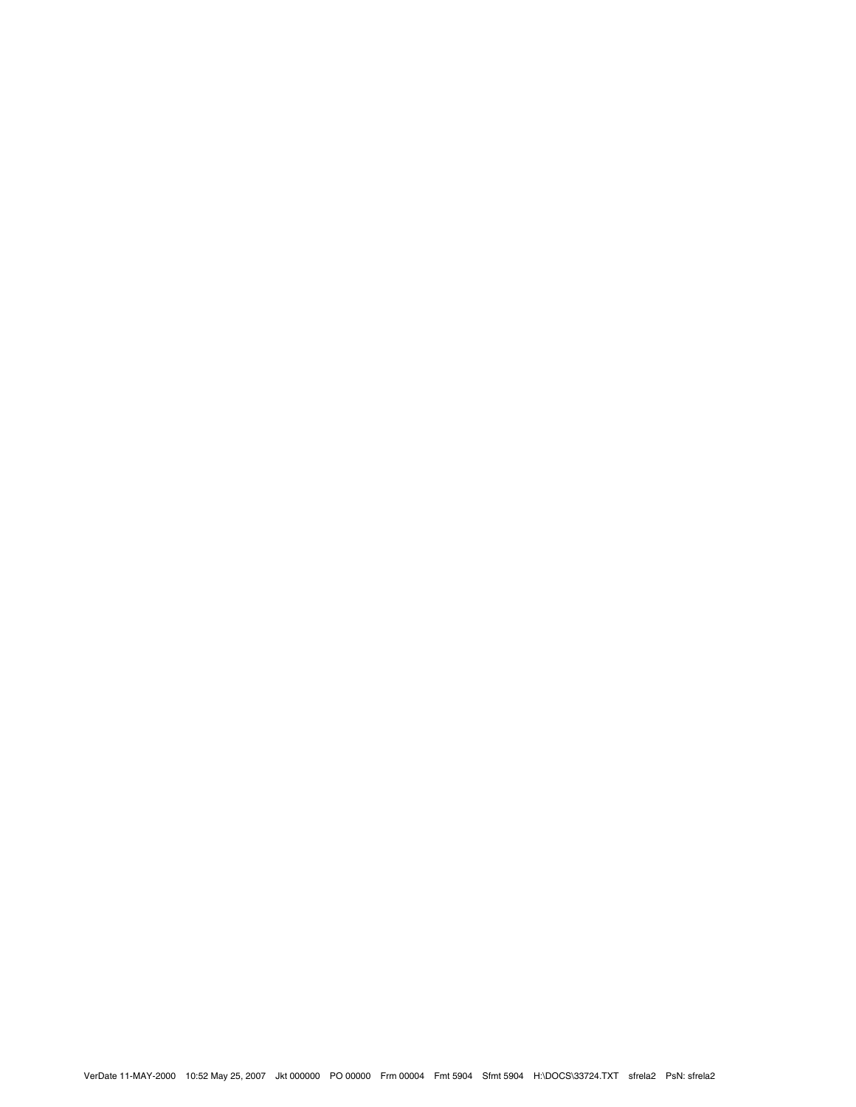VerDate 11-MAY-2000 10:52 May 25, 2007 Jkt 000000 PO 00000 Frm 00004 Fmt 5904 Sfmt 5904 H:\DOCS\33724.TXT sfrela2 PsN: sfrela2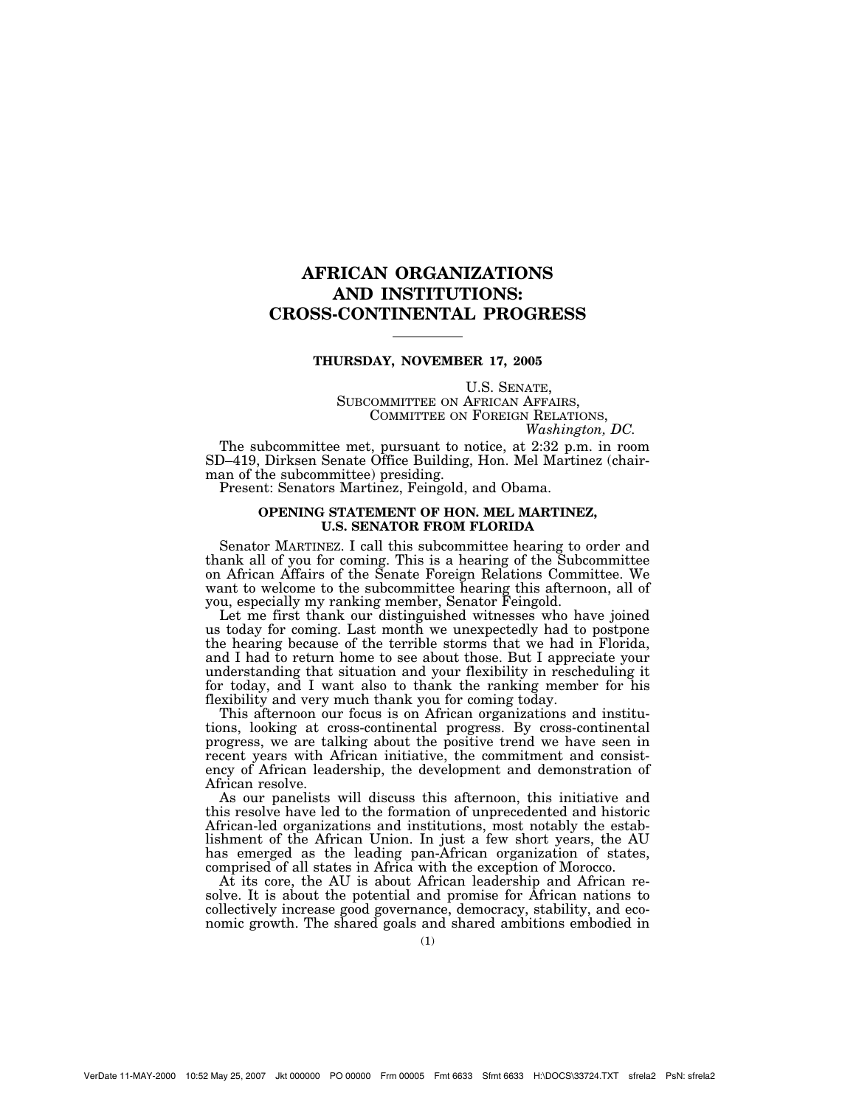## **AFRICAN ORGANIZATIONS AND INSTITUTIONS: CROSS-CONTINENTAL PROGRESS**

## **THURSDAY, NOVEMBER 17, 2005**

U.S. SENATE, SUBCOMMITTEE ON AFRICAN AFFAIRS, COMMITTEE ON FOREIGN RELATIONS, *Washington, DC.*

The subcommittee met, pursuant to notice, at 2:32 p.m. in room SD–419, Dirksen Senate Office Building, Hon. Mel Martinez (chairman of the subcommittee) presiding.

Present: Senators Martinez, Feingold, and Obama.

## **OPENING STATEMENT OF HON. MEL MARTINEZ, U.S. SENATOR FROM FLORIDA**

Senator MARTINEZ. I call this subcommittee hearing to order and thank all of you for coming. This is a hearing of the Subcommittee on African Affairs of the Senate Foreign Relations Committee. We want to welcome to the subcommittee hearing this afternoon, all of you, especially my ranking member, Senator Feingold.

Let me first thank our distinguished witnesses who have joined us today for coming. Last month we unexpectedly had to postpone the hearing because of the terrible storms that we had in Florida, and I had to return home to see about those. But I appreciate your understanding that situation and your flexibility in rescheduling it for today, and I want also to thank the ranking member for his flexibility and very much thank you for coming today.

This afternoon our focus is on African organizations and institutions, looking at cross-continental progress. By cross-continental progress, we are talking about the positive trend we have seen in recent years with African initiative, the commitment and consistency of African leadership, the development and demonstration of African resolve.

As our panelists will discuss this afternoon, this initiative and this resolve have led to the formation of unprecedented and historic African-led organizations and institutions, most notably the establishment of the African Union. In just a few short years, the AU has emerged as the leading pan-African organization of states, comprised of all states in Africa with the exception of Morocco.

At its core, the AU is about African leadership and African resolve. It is about the potential and promise for African nations to collectively increase good governance, democracy, stability, and economic growth. The shared goals and shared ambitions embodied in

(1)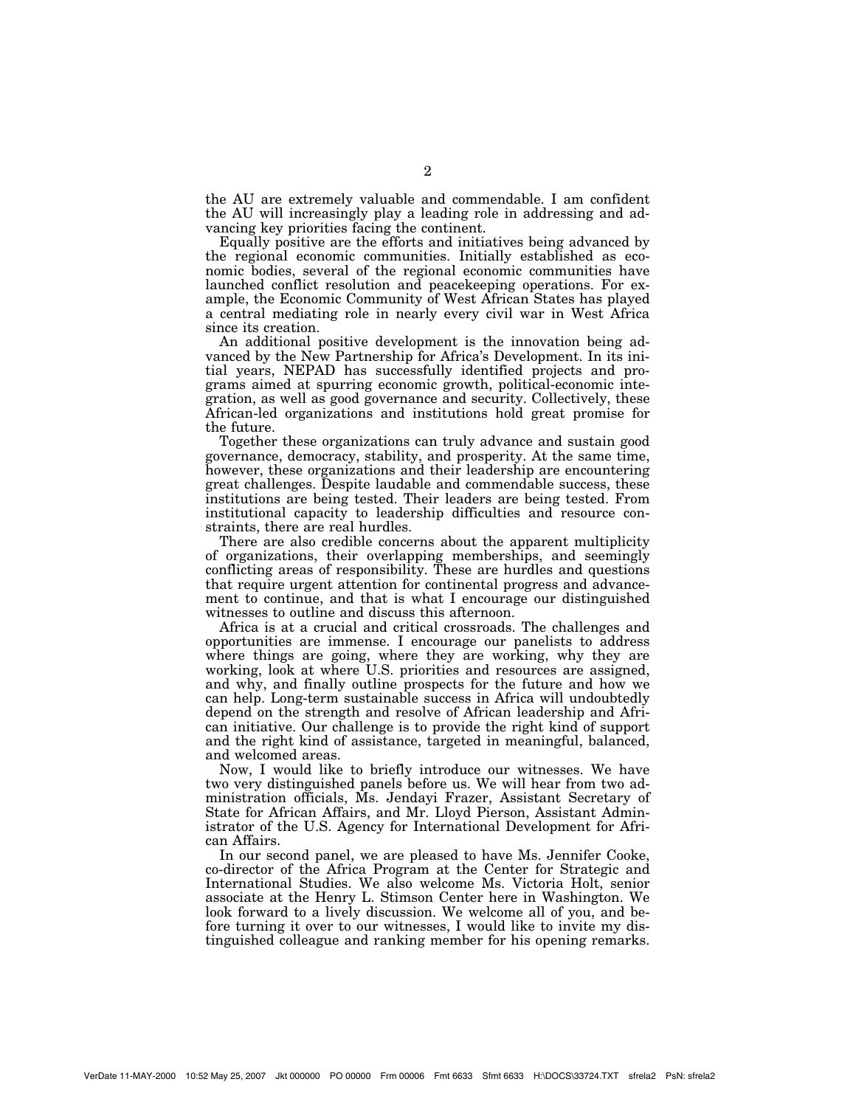the AU are extremely valuable and commendable. I am confident the AU will increasingly play a leading role in addressing and advancing key priorities facing the continent.

Equally positive are the efforts and initiatives being advanced by the regional economic communities. Initially established as economic bodies, several of the regional economic communities have launched conflict resolution and peacekeeping operations. For example, the Economic Community of West African States has played a central mediating role in nearly every civil war in West Africa since its creation.

An additional positive development is the innovation being advanced by the New Partnership for Africa's Development. In its initial years, NEPAD has successfully identified projects and programs aimed at spurring economic growth, political-economic integration, as well as good governance and security. Collectively, these African-led organizations and institutions hold great promise for the future.

Together these organizations can truly advance and sustain good governance, democracy, stability, and prosperity. At the same time, however, these organizations and their leadership are encountering great challenges. Despite laudable and commendable success, these institutions are being tested. Their leaders are being tested. From institutional capacity to leadership difficulties and resource constraints, there are real hurdles.

There are also credible concerns about the apparent multiplicity of organizations, their overlapping memberships, and seemingly conflicting areas of responsibility. These are hurdles and questions that require urgent attention for continental progress and advancement to continue, and that is what I encourage our distinguished witnesses to outline and discuss this afternoon.

Africa is at a crucial and critical crossroads. The challenges and opportunities are immense. I encourage our panelists to address where things are going, where they are working, why they are working, look at where U.S. priorities and resources are assigned, and why, and finally outline prospects for the future and how we can help. Long-term sustainable success in Africa will undoubtedly depend on the strength and resolve of African leadership and African initiative. Our challenge is to provide the right kind of support and the right kind of assistance, targeted in meaningful, balanced, and welcomed areas.

Now, I would like to briefly introduce our witnesses. We have two very distinguished panels before us. We will hear from two administration officials, Ms. Jendayi Frazer, Assistant Secretary of State for African Affairs, and Mr. Lloyd Pierson, Assistant Administrator of the U.S. Agency for International Development for African Affairs.

In our second panel, we are pleased to have Ms. Jennifer Cooke, co-director of the Africa Program at the Center for Strategic and International Studies. We also welcome Ms. Victoria Holt, senior associate at the Henry L. Stimson Center here in Washington. We look forward to a lively discussion. We welcome all of you, and before turning it over to our witnesses, I would like to invite my distinguished colleague and ranking member for his opening remarks.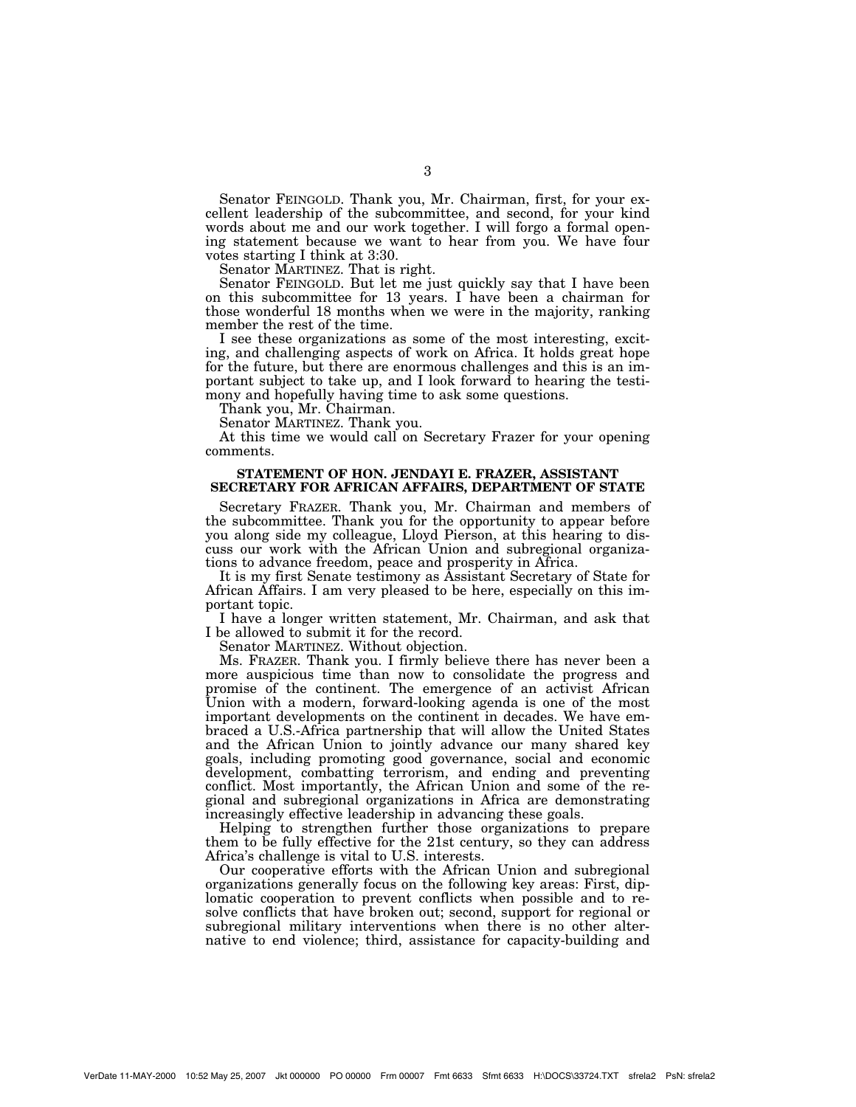Senator FEINGOLD. Thank you, Mr. Chairman, first, for your excellent leadership of the subcommittee, and second, for your kind words about me and our work together. I will forgo a formal opening statement because we want to hear from you. We have four votes starting I think at 3:30.

Senator MARTINEZ. That is right.

Senator FEINGOLD. But let me just quickly say that I have been on this subcommittee for 13 years. I have been a chairman for those wonderful 18 months when we were in the majority, ranking member the rest of the time.

I see these organizations as some of the most interesting, exciting, and challenging aspects of work on Africa. It holds great hope for the future, but there are enormous challenges and this is an important subject to take up, and I look forward to hearing the testimony and hopefully having time to ask some questions.

Thank you, Mr. Chairman.

Senator MARTINEZ. Thank you.

At this time we would call on Secretary Frazer for your opening comments.

### **STATEMENT OF HON. JENDAYI E. FRAZER, ASSISTANT SECRETARY FOR AFRICAN AFFAIRS, DEPARTMENT OF STATE**

Secretary FRAZER. Thank you, Mr. Chairman and members of the subcommittee. Thank you for the opportunity to appear before you along side my colleague, Lloyd Pierson, at this hearing to discuss our work with the African Union and subregional organizations to advance freedom, peace and prosperity in Africa.

It is my first Senate testimony as Assistant Secretary of State for African Affairs. I am very pleased to be here, especially on this important topic.

I have a longer written statement, Mr. Chairman, and ask that I be allowed to submit it for the record.

Senator MARTINEZ. Without objection.

Ms. FRAZER. Thank you. I firmly believe there has never been a more auspicious time than now to consolidate the progress and promise of the continent. The emergence of an activist African Union with a modern, forward-looking agenda is one of the most important developments on the continent in decades. We have embraced a U.S.-Africa partnership that will allow the United States and the African Union to jointly advance our many shared key goals, including promoting good governance, social and economic development, combatting terrorism, and ending and preventing conflict. Most importantly, the African Union and some of the regional and subregional organizations in Africa are demonstrating increasingly effective leadership in advancing these goals.

Helping to strengthen further those organizations to prepare them to be fully effective for the 21st century, so they can address Africa's challenge is vital to U.S. interests.

Our cooperative efforts with the African Union and subregional organizations generally focus on the following key areas: First, diplomatic cooperation to prevent conflicts when possible and to resolve conflicts that have broken out; second, support for regional or subregional military interventions when there is no other alternative to end violence; third, assistance for capacity-building and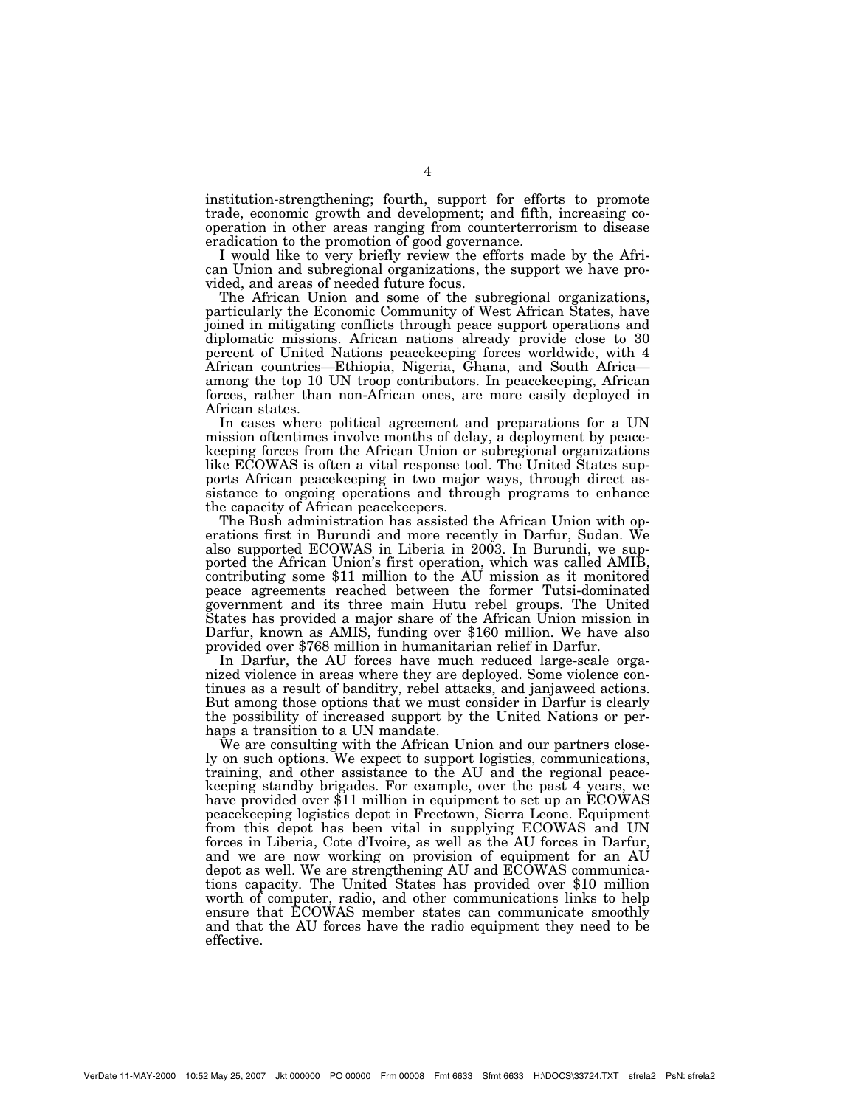institution-strengthening; fourth, support for efforts to promote trade, economic growth and development; and fifth, increasing cooperation in other areas ranging from counterterrorism to disease eradication to the promotion of good governance.

I would like to very briefly review the efforts made by the African Union and subregional organizations, the support we have provided, and areas of needed future focus.

The African Union and some of the subregional organizations, particularly the Economic Community of West African States, have joined in mitigating conflicts through peace support operations and diplomatic missions. African nations already provide close to 30 percent of United Nations peacekeeping forces worldwide, with 4 African countries—Ethiopia, Nigeria, Ghana, and South Africa among the top 10 UN troop contributors. In peacekeeping, African forces, rather than non-African ones, are more easily deployed in African states.

In cases where political agreement and preparations for a UN mission oftentimes involve months of delay, a deployment by peacekeeping forces from the African Union or subregional organizations like ECOWAS is often a vital response tool. The United States supports African peacekeeping in two major ways, through direct assistance to ongoing operations and through programs to enhance the capacity of African peacekeepers.

The Bush administration has assisted the African Union with operations first in Burundi and more recently in Darfur, Sudan. We also supported ECOWAS in Liberia in 2003. In Burundi, we supported the African Union's first operation, which was called AMIB, contributing some \$11 million to the AU mission as it monitored peace agreements reached between the former Tutsi-dominated government and its three main Hutu rebel groups. The United States has provided a major share of the African Union mission in Darfur, known as AMIS, funding over \$160 million. We have also provided over \$768 million in humanitarian relief in Darfur.

In Darfur, the AU forces have much reduced large-scale organized violence in areas where they are deployed. Some violence continues as a result of banditry, rebel attacks, and janjaweed actions. But among those options that we must consider in Darfur is clearly the possibility of increased support by the United Nations or perhaps a transition to a UN mandate.

We are consulting with the African Union and our partners closely on such options. We expect to support logistics, communications, training, and other assistance to the AU and the regional peacekeeping standby brigades. For example, over the past 4 years, we have provided over \$11 million in equipment to set up an ECOWAS peacekeeping logistics depot in Freetown, Sierra Leone. Equipment from this depot has been vital in supplying ECOWAS and UN forces in Liberia, Cote d'Ivoire, as well as the AU forces in Darfur, and we are now working on provision of equipment for an AU depot as well. We are strengthening AU and ECOWAS communications capacity. The United States has provided over \$10 million worth of computer, radio, and other communications links to help ensure that ECOWAS member states can communicate smoothly and that the AU forces have the radio equipment they need to be effective.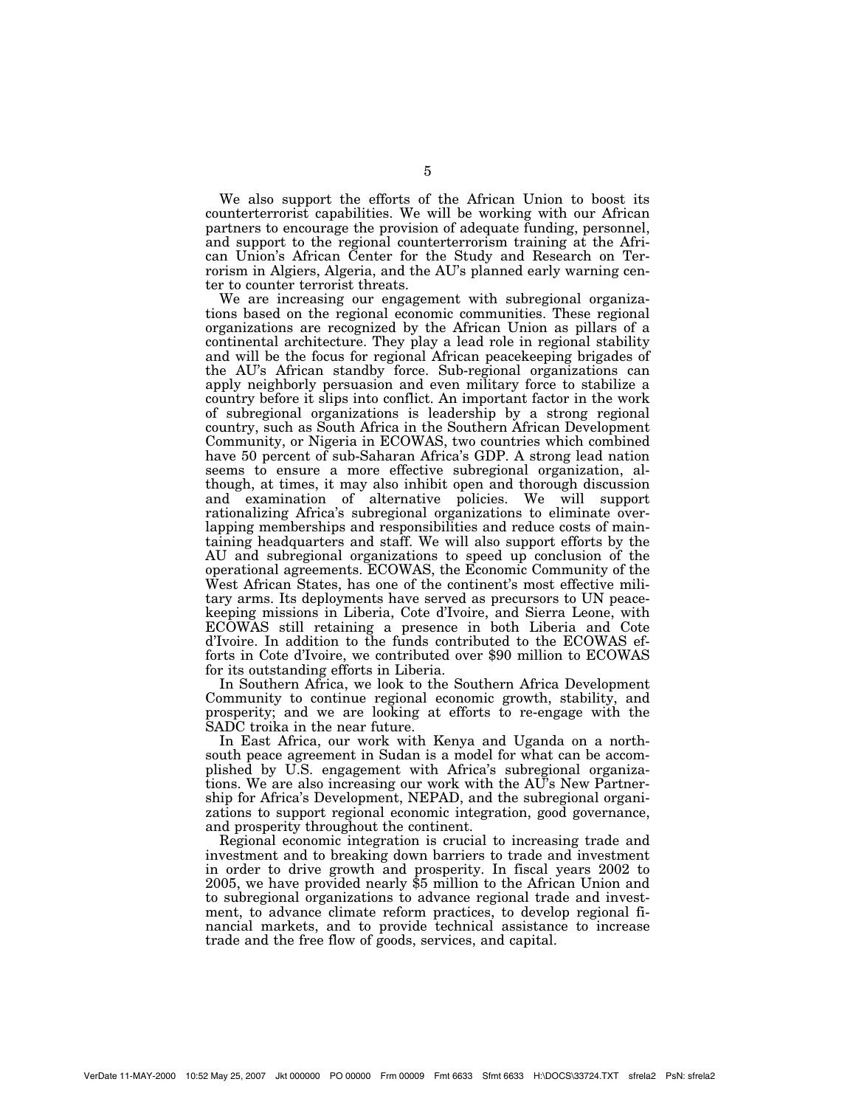We also support the efforts of the African Union to boost its counterterrorist capabilities. We will be working with our African partners to encourage the provision of adequate funding, personnel, and support to the regional counterterrorism training at the African Union's African Center for the Study and Research on Terrorism in Algiers, Algeria, and the AU's planned early warning center to counter terrorist threats.

We are increasing our engagement with subregional organizations based on the regional economic communities. These regional organizations are recognized by the African Union as pillars of a continental architecture. They play a lead role in regional stability and will be the focus for regional African peacekeeping brigades of the AU's African standby force. Sub-regional organizations can apply neighborly persuasion and even military force to stabilize a country before it slips into conflict. An important factor in the work of subregional organizations is leadership by a strong regional country, such as South Africa in the Southern African Development Community, or Nigeria in ECOWAS, two countries which combined have 50 percent of sub-Saharan Africa's GDP. A strong lead nation seems to ensure a more effective subregional organization, although, at times, it may also inhibit open and thorough discussion and examination of alternative policies. We will support rationalizing Africa's subregional organizations to eliminate overlapping memberships and responsibilities and reduce costs of maintaining headquarters and staff. We will also support efforts by the AU and subregional organizations to speed up conclusion of the operational agreements. ECOWAS, the Economic Community of the West African States, has one of the continent's most effective military arms. Its deployments have served as precursors to UN peacekeeping missions in Liberia, Cote d'Ivoire, and Sierra Leone, with ECOWAS still retaining a presence in both Liberia and Cote d'Ivoire. In addition to the funds contributed to the ECOWAS efforts in Cote d'Ivoire, we contributed over \$90 million to ECOWAS for its outstanding efforts in Liberia.

In Southern Africa, we look to the Southern Africa Development Community to continue regional economic growth, stability, and prosperity; and we are looking at efforts to re-engage with the SADC troika in the near future.

In East Africa, our work with Kenya and Uganda on a northsouth peace agreement in Sudan is a model for what can be accomplished by U.S. engagement with Africa's subregional organizations. We are also increasing our work with the AU's New Partnership for Africa's Development, NEPAD, and the subregional organizations to support regional economic integration, good governance, and prosperity throughout the continent.

Regional economic integration is crucial to increasing trade and investment and to breaking down barriers to trade and investment in order to drive growth and prosperity. In fiscal years 2002 to 2005, we have provided nearly \$5 million to the African Union and to subregional organizations to advance regional trade and investment, to advance climate reform practices, to develop regional financial markets, and to provide technical assistance to increase trade and the free flow of goods, services, and capital.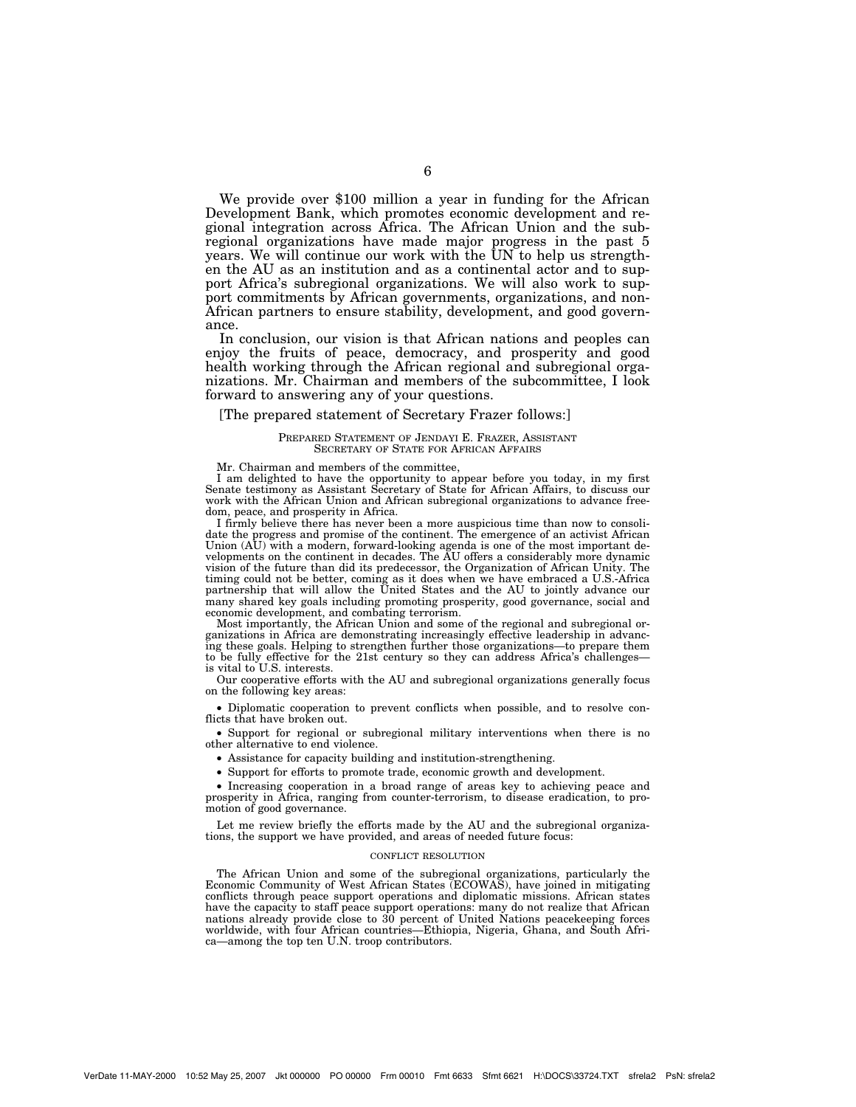We provide over \$100 million a year in funding for the African Development Bank, which promotes economic development and regional integration across Africa. The African Union and the subregional organizations have made major progress in the past 5 years. We will continue our work with the UN to help us strengthen the AU as an institution and as a continental actor and to support Africa's subregional organizations. We will also work to support commitments by African governments, organizations, and non-African partners to ensure stability, development, and good governance.

In conclusion, our vision is that African nations and peoples can enjoy the fruits of peace, democracy, and prosperity and good health working through the African regional and subregional organizations. Mr. Chairman and members of the subcommittee, I look forward to answering any of your questions.

## [The prepared statement of Secretary Frazer follows:]

#### PREPARED STATEMENT OF JENDAYI E. FRAZER, ASSISTANT SECRETARY OF STATE FOR AFRICAN AFFAIRS

Mr. Chairman and members of the committee,

I am delighted to have the opportunity to appear before you today, in my first Senate testimony as Assistant Secretary of State for African Affairs, to discuss our work with the African Union and African subregional organizations to advance freedom, peace, and prosperity in Africa.

I firmly believe there has never been a more auspicious time than now to consolidate the progress and promise of the continent. The emergence of an activist African Union (AU) with a modern, forward-looking agenda is one of the most important developments on the continent in decades. The AU offers a considerably more dynamic vision of the future than did its predecessor, the Organization of African Unity. The timing could not be better, coming as it does when we have embraced a U.S.-Africa partnership that will allow the United States and the AU to jointly advance our many shared key goals including promoting prosperity, good governance, social and economic development, and combating terrorism.

Most importantly, the African Union and some of the regional and subregional organizations in Africa are demonstrating increasingly effective leadership in advancing these goals. Helping to strengthen further those organizations—to prepare them to be fully effective for the 21st century so they can address Africa's challengesis vital to U.S. interests.

Our cooperative efforts with the AU and subregional organizations generally focus on the following key areas:

• Diplomatic cooperation to prevent conflicts when possible, and to resolve conflicts that have broken out.

• Support for regional or subregional military interventions when there is no other alternative to end violence.

- Assistance for capacity building and institution-strengthening.
- Support for efforts to promote trade, economic growth and development.

• Increasing cooperation in a broad range of areas key to achieving peace and prosperity in Africa, ranging from counter-terrorism, to disease eradication, to promotion of good governance.

Let me review briefly the efforts made by the AU and the subregional organizations, the support we have provided, and areas of needed future focus:

#### CONFLICT RESOLUTION

The African Union and some of the subregional organizations, particularly the Economic Community of West African States (ECOWAS), have joined in mitigating conflicts through peace support operations and diplomatic missions. African states have the capacity to staff peace support operations: many do not realize that African nations already provide close to 30 percent of United Nations peacekeeping forces worldwide, with four African countries—Ethiopia, Nigeria, Ghana, and South Africa—among the top ten U.N. troop contributors.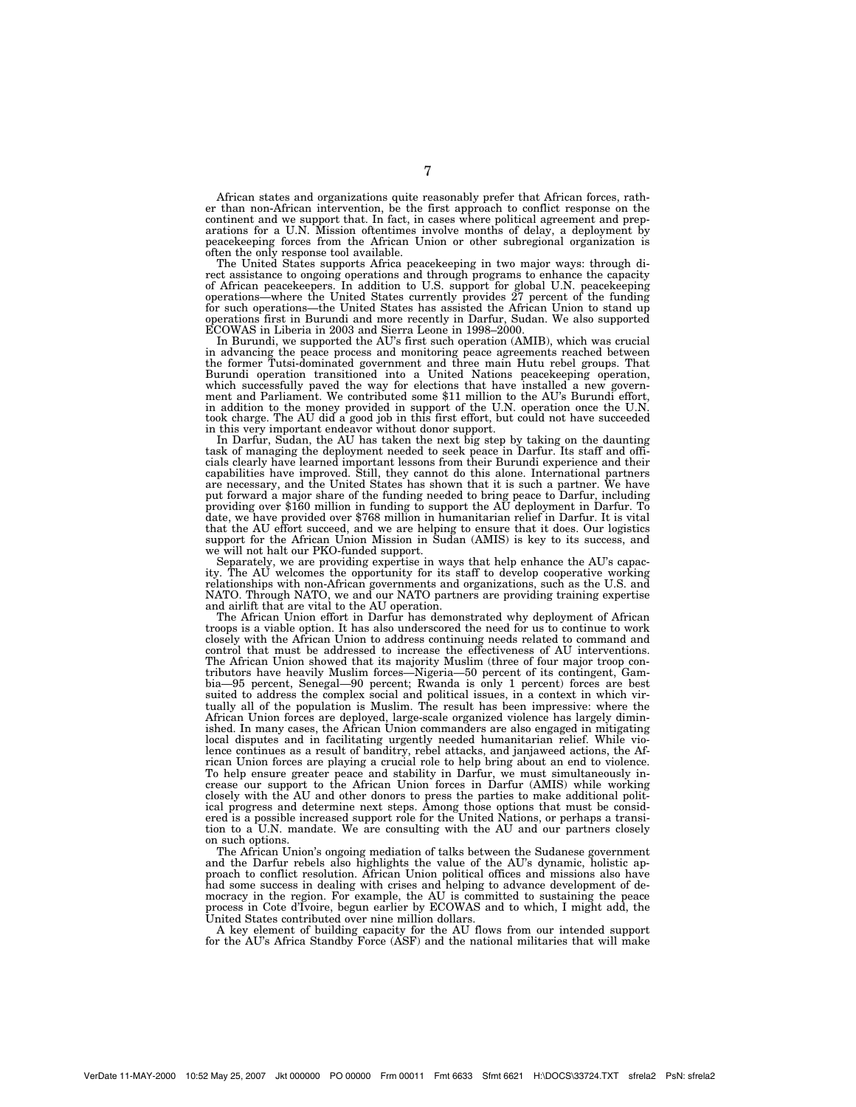African states and organizations quite reasonably prefer that African forces, rather than non-African intervention, be the first approach to conflict response on the continent and we support that. In fact, in cases where political agreement and preparations for a U.N. Mission oftentimes involve months of delay, a deployment by peacekeeping forces from the African Union or other subregional organization is often the only response tool available.

The United States supports Africa peacekeeping in two major ways: through direct assistance to ongoing operations and through programs to enhance the capacity of African peacekeepers. In addition to U.S. support for global U.N. peacekeeping operations—where the United States currently provides 27 percent of the funding for such operations—the United States has assisted the African Union to stand up operations first in Burundi and more recently in Darfur, Sudan. We also supported ECOWAS in Liberia in 2003 and Sierra Leone in 1998–2000.

In Burundi, we supported the AU's first such operation (AMIB), which was crucial in advancing the peace process and monitoring peace agreements reached between the former Tutsi-dominated government and three main Hutu rebel groups. That Burundi operation transitioned into a United Nations peacekeeping operation, which successfully paved the way for elections that have installed a new government and Parliament. We contributed some \$11 million to the AU's Burundi effort, in addition to the money provided in support of the U.N. operation once the U.N. took charge. The AU did a good job in this first effort, but could not have succeeded

in this very important endeavor without donor support. In Darfur, Sudan, the AU has taken the next big step by taking on the daunting task of managing the deployment needed to seek peace in Darfur. Its staff and officials clearly have learned important lessons from their Burundi experience and their capabilities have improved. Still, they cannot do this put forward a major share of the funding needed to bring peace to Darfur, including providing over \$160 million in funding to support the AU deployment in Darfur. To date, we have provided over \$768 million in humanitarian relief in Darfur. It is vital that the AU effort succeed, and we are helping to ensure that it does. Our logistics support for the African Union Mission in Sudan (AMIS) is key to its success, and we will not halt our PKO-funded support.

Separately, we are providing expertise in ways that help enhance the AU's capac-ity. The AU welcomes the opportunity for its staff to develop cooperative working relationships with non-African governments and organizations, such as the U.S. and NATO. Through NATO, we and our NATO partners are providing training expertise

and airlift that are vital to the AU operation. The African Union effort in Darfur has demonstrated why deployment of African troops is a viable option. It has also underscored the need for us to continue to work closely with the African Union to address continuing needs related to command and control that must be addressed to increase the effectiveness of AU interventions. The African Union showed that its majority Muslim (three of four major troop contributors have heavily Muslim forces—Nigeria—50 percent of its contingent, Gambia—95 percent, Senegal—90 percent; Rwanda is only 1 percent) forces are best suited to address the complex social and political issues, in a context in which virtually all of the population is Muslim. The result has been impressive: where the African Union forces are deployed, large-scale organized violence has largely diminished. In many cases, the African Union commanders are also engaged in mitigating local disputes and in facilitating urgently needed humanitarian relief. While violence continues as a result of banditry, rebel attacks, and janjaweed actions, the African Union forces are playing a crucial role to help bring about an end to violence. To help ensure greater peace and stability in Darfur, we must simultaneously increase our support to the African Union forces in Darfur (AMIS) while working closely with the AU and other donors to press the parties to make additional political progress and determine next steps. Among those options that must be considered is a possible increased support role for the United Nations, or perhaps a transition to a U.N. mandate. We are consulting with the AU and our partners closely on such options.

The African Union's ongoing mediation of talks between the Sudanese government and the Darfur rebels also highlights the value of the AU's dynamic, holistic approach to conflict resolution. African Union political offices and missions also have had some success in dealing with crises and helping to advance development of democracy in the region. For example, the AU is committed to sustaining the peace process in Cote d'Ivoire, begun earlier by ECOWAS and to which, I might add, the United States contributed over nine million dollars.

A key element of building capacity for the AU flows from our intended support for the AU's Africa Standby Force (ASF) and the national militaries that will make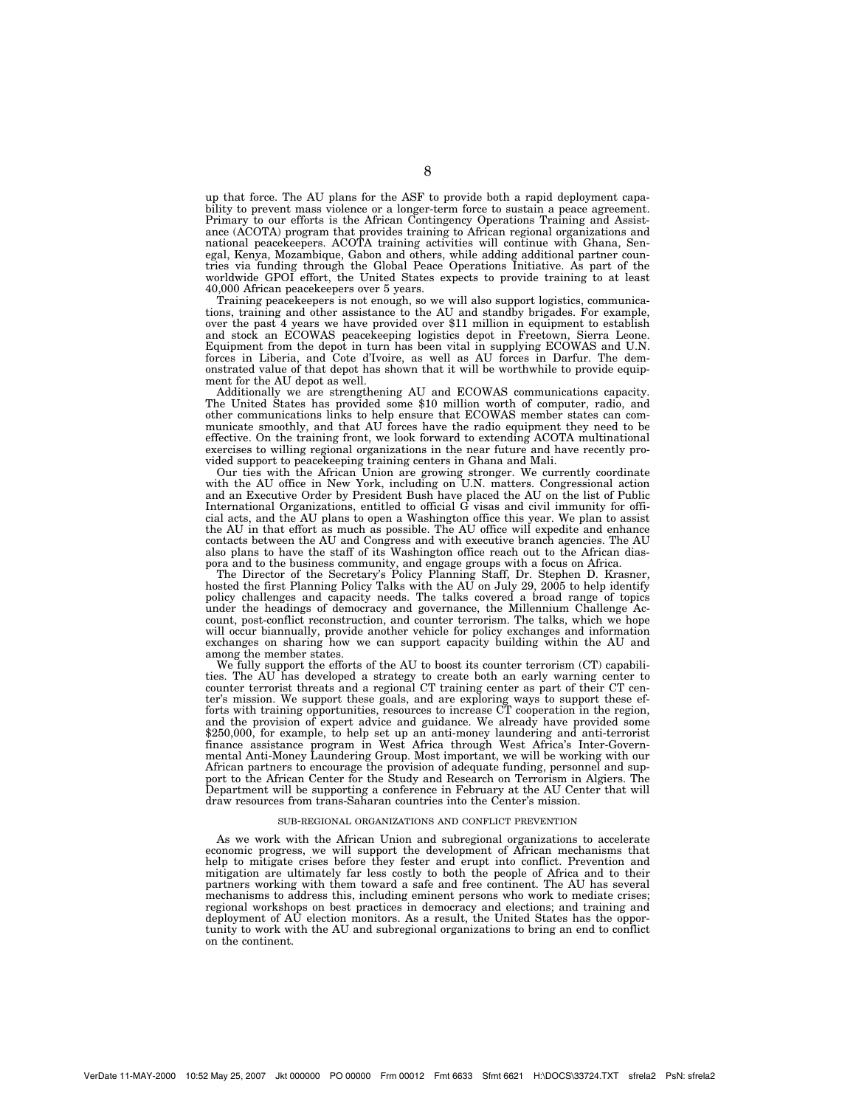up that force. The AU plans for the ASF to provide both a rapid deployment capability to prevent mass violence or a longer-term force to sustain a peace agreement. Primary to our efforts is the African Contingency Operations Training and Assistance (ACOTA) program that provides training to African regional organizations and national peacekeepers. ACOTA training activities will continue with Ghana, Senegal, Kenya, Mozambique, Gabon and others, while adding additional partner countries via funding through the Global Peace Operations Initiative. As part of the worldwide GPOI effort, the United States expects to provide training to at least 40,000 African peacekeepers over 5 years.

Training peacekeepers is not enough, so we will also support logistics, communications, training and other assistance to the AU and standby brigades. For example, over the past 4 years we have provided over \$11 million in equipment to establish and stock an ECOWAS peacekeeping logistics depot in Freetown, Sierra Leone. Equipment from the depot in turn has been vital in supplying ECOWAS and U.N. forces in Liberia, and Cote d'Ivoire, as well as AU forces in Darfur. The demonstrated value of that depot has shown that it will be worthwhile to provide equipment for the AU depot as well.

Additionally we are strengthening AU and ECOWAS communications capacity. The United States has provided some \$10 million worth of computer, radio, and other communications links to help ensure that ECOWAS member states can communicate smoothly, and that AU forces have the radio equipment they need to be effective. On the training front, we look forward to extending ACOTA multinational exercises to willing regional organizations in the near future and have recently provided support to peacekeeping training centers in Ghana and Mali.

Our ties with the African Union are growing stronger. We currently coordinate with the AU office in New York, including on U.N. matters. Congressional action and an Executive Order by President Bush have placed the AU on the list of Public International Organizations, entitled to official G visas and civil immunity for official acts, and the AU plans to open a Washington office this year. We plan to assist the AU in that effort as much as possible. The AU office will expedite and enhance contacts between the AU and Congress and with executive branch agencies. The AU also plans to have the staff of its Washington office reach out to the African diaspora and to the business community, and engage groups with a focus on Africa.

The Director of the Secretary's Policy Planning Staff, Dr. Stephen D. Krasner, hosted the first Planning Policy Talks with the AU on July 29, 2005 to help identify policy challenges and capacity needs. The talks covered a broad range of topics under the headings of democracy and governance, the Millennium Challenge Account, post-conflict reconstruction, and counter terrorism. The talks, which we hope will occur biannually, provide another vehicle for policy exchanges and information exchanges on sharing how we can support capacity building within the AU and among the member states.

We fully support the efforts of the AU to boost its counter terrorism (CT) capabilities. The AU has developed a strategy to create both an early warning center to counter terrorist threats and a regional CT training center as part of their CT center's mission. We support these goals, and are exploring ways to support these efforts with training opportunities, resources to increase CT cooperation in the region, and the provision of expert advice and guidance. We already have provided some \$250,000, for example, to help set up an anti-money laundering and anti-terrorist finance assistance program in West Africa through West Africa's Inter-Governmental Anti-Money Laundering Group. Most important, we will be working with our African partners to encourage the provision of adequate funding, personnel and support to the African Center for the Study and Research on Terrorism in Algiers. The Department will be supporting a conference in February at the AU Center that will draw resources from trans-Saharan countries into the Center's mission.

#### SUB-REGIONAL ORGANIZATIONS AND CONFLICT PREVENTION

As we work with the African Union and subregional organizations to accelerate economic progress, we will support the development of African mechanisms that help to mitigate crises before they fester and erupt into conflict. Prevention and mitigation are ultimately far less costly to both the people of Africa and to their partners working with them toward a safe and free continent. The AU has several mechanisms to address this, including eminent persons who work to mediate crises; regional workshops on best practices in democracy and elections; and training and deployment of AU election monitors. As a result, the United States has the opportunity to work with the AU and subregional organizations to bring an end to conflict on the continent.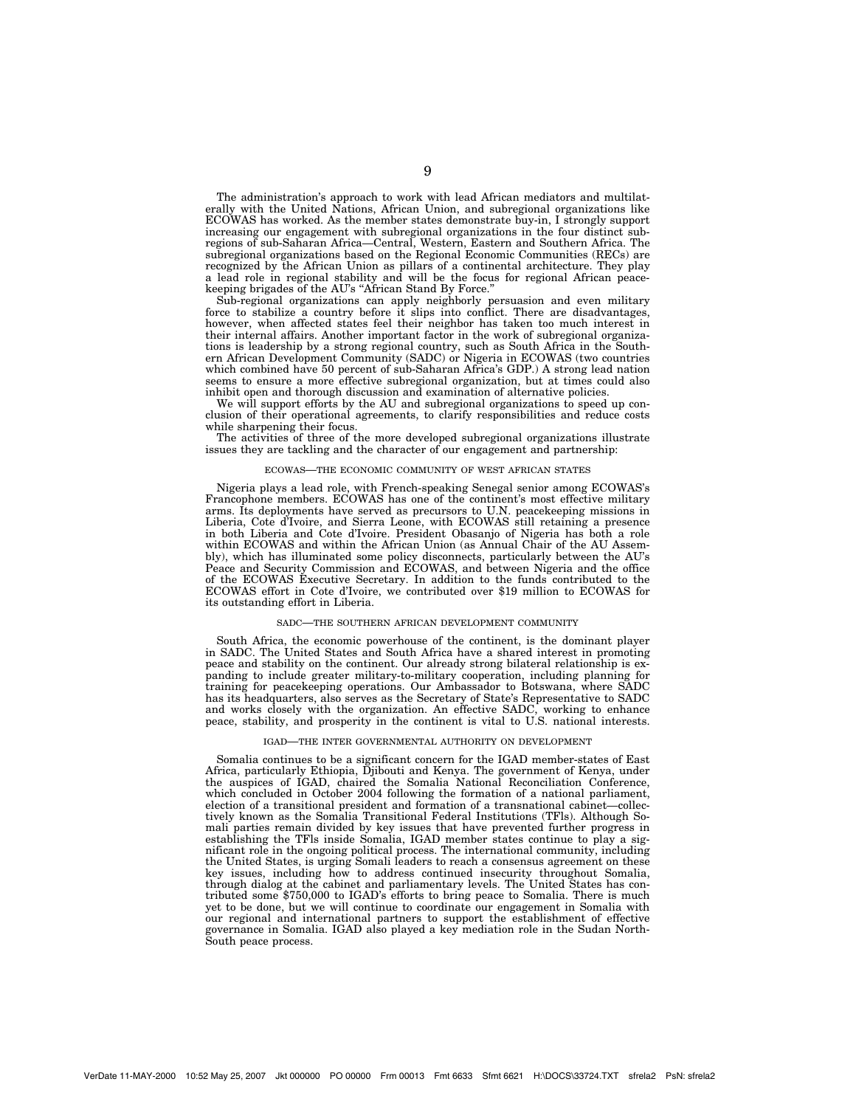The administration's approach to work with lead African mediators and multilaterally with the United Nations, African Union, and subregional organizations like ECOWAS has worked. As the member states demonstrate buy-in, I strongly support increasing our engagement with subregional organizations in the four distinct subregions of sub-Saharan Africa—Central, Western, Eastern and Southern Africa. The subregional organizations based on the Regional Economic Communities (RECs) are recognized by the African Union as pillars of a continental architecture. They play a lead role in regional stability and will be the focus for regional African peacekeeping brigades of the AU's ''African Stand By Force.''

Sub-regional organizations can apply neighborly persuasion and even military force to stabilize a country before it slips into conflict. There are disadvantages, however, when affected states feel their neighbor has taken too much interest in their internal affairs. Another important factor in the work of subregional organizations is leadership by a strong regional country, such as South Africa in the Southern African Development Community (SADC) or Nigeria in ECOWAS (two countries which combined have 50 percent of sub-Saharan Africa's GDP.) A strong lead nation seems to ensure a more effective subregional organization, but at times could also inhibit open and thorough discussion and examination of alternative policies.

We will support efforts by the AU and subregional organizations to speed up conclusion of their operational agreements, to clarify responsibilities and reduce costs while sharpening their focus.

The activities of three of the more developed subregional organizations illustrate issues they are tackling and the character of our engagement and partnership:

#### ECOWAS—THE ECONOMIC COMMUNITY OF WEST AFRICAN STATES

Nigeria plays a lead role, with French-speaking Senegal senior among ECOWAS's Francophone members. ECOWAS has one of the continent's most effective military arms. Its deployments have served as precursors to U.N. peacekeeping missions in Liberia, Cote d'Ivoire, and Sierra Leone, with ECOWAS still retaining a presence in both Liberia and Cote d'Ivoire. President Obasanjo of Nigeria has both a role within ECOWAS and within the African Union (as Annual Chair of the AU Assembly), which has illuminated some policy disconnects, particularly between the AU's Peace and Security Commission and ECOWAS, and between Nigeria and the office of the ECOWAS Executive Secretary. In addition to the funds contributed to the ECOWAS effort in Cote d'Ivoire, we contributed over \$19 million to ECOWAS for its outstanding effort in Liberia.

#### SADC—THE SOUTHERN AFRICAN DEVELOPMENT COMMUNITY

South Africa, the economic powerhouse of the continent, is the dominant player in SADC. The United States and South Africa have a shared interest in promoting peace and stability on the continent. Our already strong bilateral relationship is expanding to include greater military-to-military cooperation, including planning for training for peacekeeping operations. Our Ambassador to Botswana, where SADC has its headquarters, also serves as the Secretary of State's Representative to SADC and works closely with the organization. An effective SADC, working to enhance peace, stability, and prosperity in the continent is vital to U.S. national interests.

#### IGAD—THE INTER GOVERNMENTAL AUTHORITY ON DEVELOPMENT

Somalia continues to be a significant concern for the IGAD member-states of East Africa, particularly Ethiopia, Djibouti and Kenya. The government of Kenya, under the auspices of IGAD, chaired the Somalia National Reconciliation Conference, which concluded in October 2004 following the formation of a national parliament, election of a transitional president and formation of a transnational cabinet—collectively known as the Somalia Transitional Federal Institutions (TFls). Although Somali parties remain divided by key issues that have prevented further progress in establishing the TFls inside Somalia, IGAD member states continue to play a significant role in the ongoing political process. The international community, including the United States, is urging Somali leaders to reach a consensus agreement on these key issues, including how to address continued insecurity throughout Somalia, through dialog at the cabinet and parliamentary levels. The United States has contributed some \$750,000 to IGAD's efforts to bring peace to Somalia. There is much yet to be done, but we will continue to coordinate our engagement in Somalia with our regional and international partners to support the establishment of effective governance in Somalia. IGAD also played a key mediation role in the Sudan North-South peace process.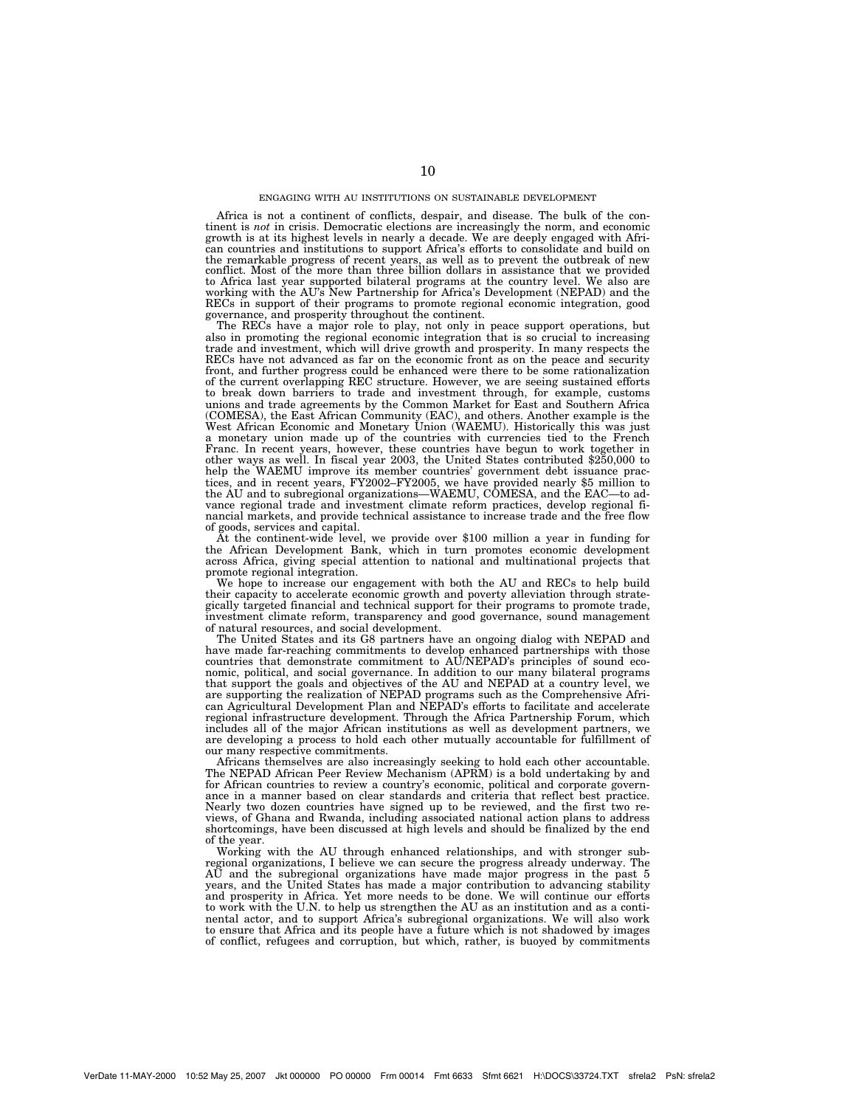#### ENGAGING WITH AU INSTITUTIONS ON SUSTAINABLE DEVELOPMENT

Africa is not a continent of conflicts, despair, and disease. The bulk of the continent is *not* in crisis. Democratic elections are increasingly the norm, and economic growth is at its highest levels in nearly a decade. We are deeply engaged with African countries and institutions to support Africa's efforts to consolidate and build on the remarkable progress of recent years, as well as to prevent the outbreak of new conflict. Most of the more than three billion dollars in assistance that we provided to Africa last year supported bilateral programs at the country level. We also are working with the AU's New Partnership for Africa's Development (NEPAD) and the RECs in support of their programs to promote regional economic integration, good governance, and prosperity throughout the continent.

The RECs have a major role to play, not only in peace support operations, but also in promoting the regional economic integration that is so crucial to increasing trade and investment, which will drive growth and prosperity. In many respects the RECs have not advanced as far on the economic front as on the peace and security front, and further progress could be enhanced were there to be some rationalization of the current overlapping REC structure. However, we are seeing sustained efforts to break down barriers to trade and investment through, for example, customs unions and trade agreements by the Common Market for East and Southern Africa (COMESA), the East African Community (EAC), and others. Another example is the West African Economic and Monetary Union (WAEMU). Historically this was just a monetary union made up of the countries with currencies tied to the French Franc. In recent years, however, these countries have begun to work together in other ways as well. In fiscal year 2003, the United States contributed \$250,000 to help the WAEMU improve its member countries' government debt issuance practices, and in recent years, FY2002–FY2005, we have provided nearly \$5 million to the AU and to subregional organizations—WAEMU, COMESA, and the EAC—to advance regional trade and investment climate reform practices, develop regional financial markets, and provide technical assistance to increase trade and the free flow of goods, services and capital.

At the continent-wide level, we provide over \$100 million a year in funding for the African Development Bank, which in turn promotes economic development across Africa, giving special attention to national and multinational projects that promote regional integration.

We hope to increase our engagement with both the AU and RECs to help build their capacity to accelerate economic growth and poverty alleviation through strategically targeted financial and technical support for their programs to promote trade, investment climate reform, transparency and good governance, sound management of natural resources, and social development.

The United States and its G8 partners have an ongoing dialog with NEPAD and have made far-reaching commitments to develop enhanced partnerships with those countries that demonstrate commitment to AU/NEPAD's principles of sound economic, political, and social governance. In addition to our many bilateral programs that support the goals and objectives of the AU and NEPAD at a country level, we are supporting the realization of NEPAD programs such as the Comprehensive African Agricultural Development Plan and NEPAD's efforts to facilitate and accelerate regional infrastructure development. Through the Africa Partnership Forum, which includes all of the major African institutions as well as development partners, we are developing a process to hold each other mutually accountable for fulfillment of our many respective commitments.

Africans themselves are also increasingly seeking to hold each other accountable. The NEPAD African Peer Review Mechanism (APRM) is a bold undertaking by and for African countries to review a country's economic, political and corporate governance in a manner based on clear standards and criteria that reflect best practice. Nearly two dozen countries have signed up to be reviewed, and the first two reviews, of Ghana and Rwanda, including associated national action plans to address shortcomings, have been discussed at high levels and should be finalized by the end of the year.

Working with the AU through enhanced relationships, and with stronger subregional organizations, I believe we can secure the progress already underway. The AU and the subregional organizations have made major progress in the past 5 years, and the United States has made a major contribution to advancing stability and prosperity in Africa. Yet more needs to be done. We will continue our efforts to work with the U.N. to help us strengthen the AU as an institution and as a continental actor, and to support Africa's subregional organizations. We will also work to ensure that Africa and its people have a future which is not shadowed by images of conflict, refugees and corruption, but which, rather, is buoyed by commitments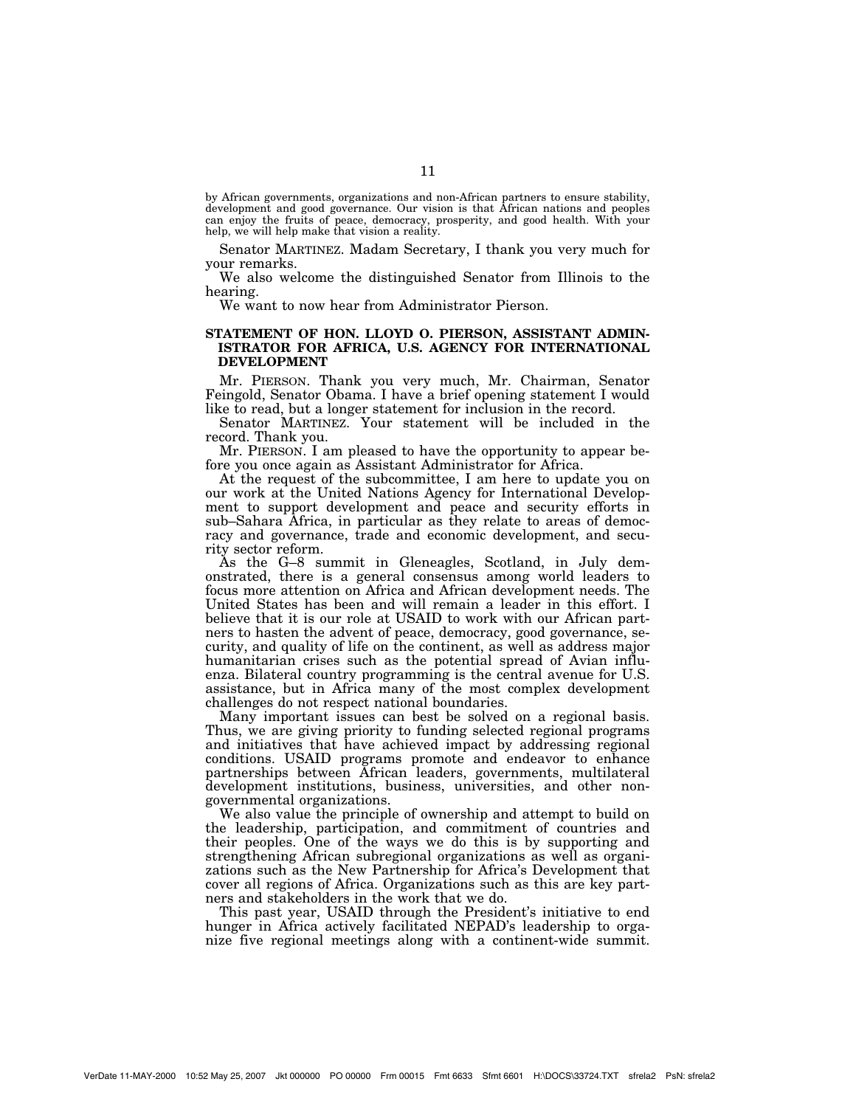by African governments, organizations and non-African partners to ensure stability, development and good governance. Our vision is that African nations and peoples can enjoy the fruits of peace, democracy, prosperity, and good health. With your help, we will help make that vision a reality.

Senator MARTINEZ. Madam Secretary, I thank you very much for your remarks.

We also welcome the distinguished Senator from Illinois to the hearing.

We want to now hear from Administrator Pierson.

## **STATEMENT OF HON. LLOYD O. PIERSON, ASSISTANT ADMIN-ISTRATOR FOR AFRICA, U.S. AGENCY FOR INTERNATIONAL DEVELOPMENT**

Mr. PIERSON. Thank you very much, Mr. Chairman, Senator Feingold, Senator Obama. I have a brief opening statement I would like to read, but a longer statement for inclusion in the record.

Senator MARTINEZ. Your statement will be included in the record. Thank you.

Mr. PIERSON. I am pleased to have the opportunity to appear before you once again as Assistant Administrator for Africa.

At the request of the subcommittee, I am here to update you on our work at the United Nations Agency for International Development to support development and peace and security efforts in sub–Sahara Africa, in particular as they relate to areas of democracy and governance, trade and economic development, and security sector reform.

As the G–8 summit in Gleneagles, Scotland, in July demonstrated, there is a general consensus among world leaders to focus more attention on Africa and African development needs. The United States has been and will remain a leader in this effort. I believe that it is our role at USAID to work with our African partners to hasten the advent of peace, democracy, good governance, security, and quality of life on the continent, as well as address major humanitarian crises such as the potential spread of Avian influenza. Bilateral country programming is the central avenue for U.S. assistance, but in Africa many of the most complex development challenges do not respect national boundaries.

Many important issues can best be solved on a regional basis. Thus, we are giving priority to funding selected regional programs and initiatives that have achieved impact by addressing regional conditions. USAID programs promote and endeavor to enhance partnerships between African leaders, governments, multilateral development institutions, business, universities, and other nongovernmental organizations.

We also value the principle of ownership and attempt to build on the leadership, participation, and commitment of countries and their peoples. One of the ways we do this is by supporting and strengthening African subregional organizations as well as organizations such as the New Partnership for Africa's Development that cover all regions of Africa. Organizations such as this are key partners and stakeholders in the work that we do.

This past year, USAID through the President's initiative to end hunger in Africa actively facilitated NEPAD's leadership to organize five regional meetings along with a continent-wide summit.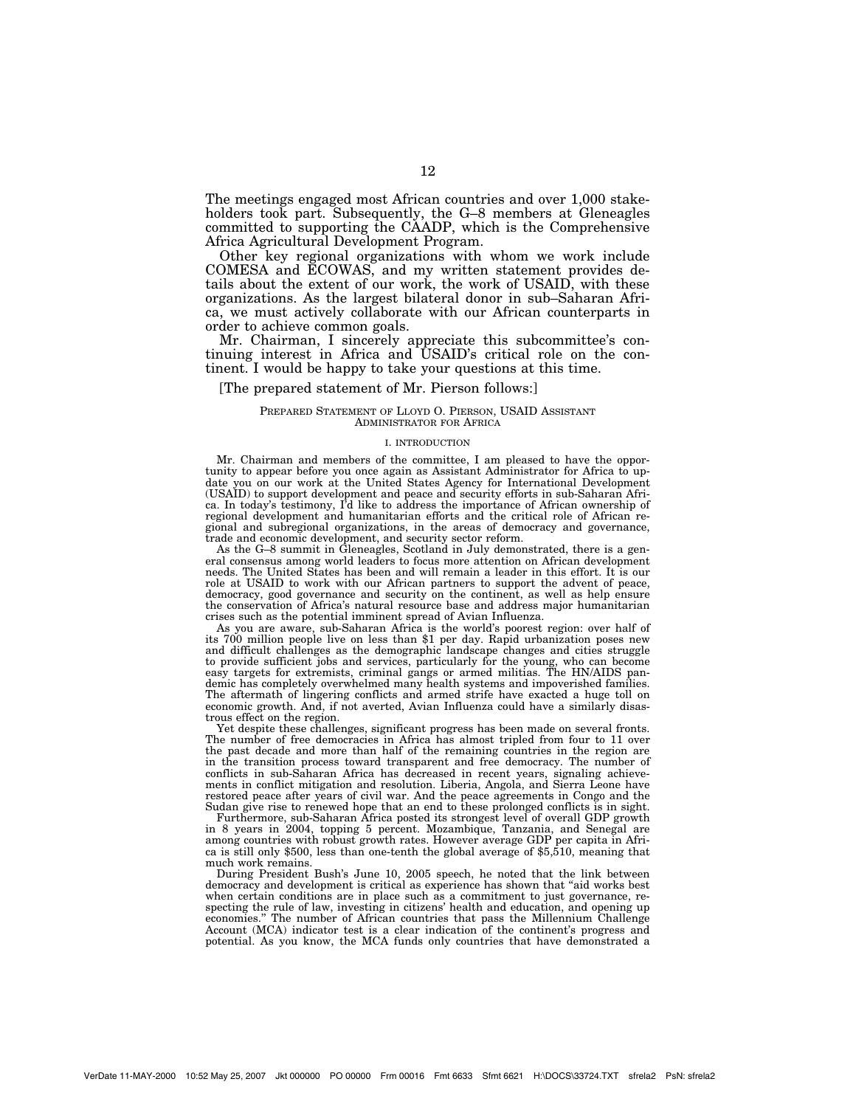The meetings engaged most African countries and over 1,000 stakeholders took part. Subsequently, the G–8 members at Gleneagles committed to supporting the CAADP, which is the Comprehensive Africa Agricultural Development Program.

Other key regional organizations with whom we work include COMESA and ECOWAS, and my written statement provides details about the extent of our work, the work of USAID, with these organizations. As the largest bilateral donor in sub–Saharan Africa, we must actively collaborate with our African counterparts in order to achieve common goals.

Mr. Chairman, I sincerely appreciate this subcommittee's continuing interest in Africa and USAID's critical role on the continent. I would be happy to take your questions at this time.

### [The prepared statement of Mr. Pierson follows:]

#### PREPARED STATEMENT OF LLOYD O. PIERSON, USAID ASSISTANT ADMINISTRATOR FOR AFRICA

#### I. INTRODUCTION

Mr. Chairman and members of the committee, I am pleased to have the opportunity to appear before you once again as Assistant Administrator for Africa to update you on our work at the United States Agency for International Development (USAID) to support development and peace and security efforts in sub-Saharan Africa. In today's testimony, I'd like to address the importance of African ownership of regional development and humanitarian efforts and the critical role of African regional and subregional organizations, in the areas of democracy and governance, trade and economic development, and security sector reform.

As the G–8 summit in Gleneagles, Scotland in July demonstrated, there is a general consensus among world leaders to focus more attention on African development needs. The United States has been and will remain a leader in this effort. It is our role at USAID to work with our African partners to support the advent of peace, democracy, good governance and security on the continent, as well as help ensure the conservation of Africa's natural resource base and address major humanitarian crises such as the potential imminent spread of Avian Influenza.

As you are aware, sub-Saharan Africa is the world's poorest region: over half of its 700 million people live on less than \$1 per day. Rapid urbanization poses new and difficult challenges as the demographic landscape changes and cities struggle to provide sufficient jobs and services, particularly for the young, who can become easy targets for extremists, criminal gangs or armed militias. The HN/AIDS pandemic has completely overwhelmed many health systems and impoverished families. The aftermath of lingering conflicts and armed strife have exacted a huge toll on economic growth. And, if not averted, Avian Influenza could have a similarly disastrous effect on the region.

Yet despite these challenges, significant progress has been made on several fronts. The number of free democracies in Africa has almost tripled from four to 11 over the past decade and more than half of the remaining countries in the region are in the transition process toward transparent and free democracy. The number of conflicts in sub-Saharan Africa has decreased in recent years, signaling achievements in conflict mitigation and resolution. Liberia, Angola, and Sierra Leone have restored peace after years of civil war. And the peace agreements in Congo and the Sudan give rise to renewed hope that an end to these prolonged conflicts is in sight.

Furthermore, sub-Saharan Africa posted its strongest level of overall GDP growth in 8 years in 2004, topping 5 percent. Mozambique, Tanzania, and Senegal are among countries with robust growth rates. However average GDP per capita in Africa is still only \$500, less than one-tenth the global average of \$5,510, meaning that much work remains.

During President Bush's June 10, 2005 speech, he noted that the link between democracy and development is critical as experience has shown that ''aid works best when certain conditions are in place such as a commitment to just governance, respecting the rule of law, investing in citizens' health and education, and opening up economies.'' The number of African countries that pass the Millennium Challenge Account (MCA) indicator test is a clear indication of the continent's progress and potential. As you know, the MCA funds only countries that have demonstrated a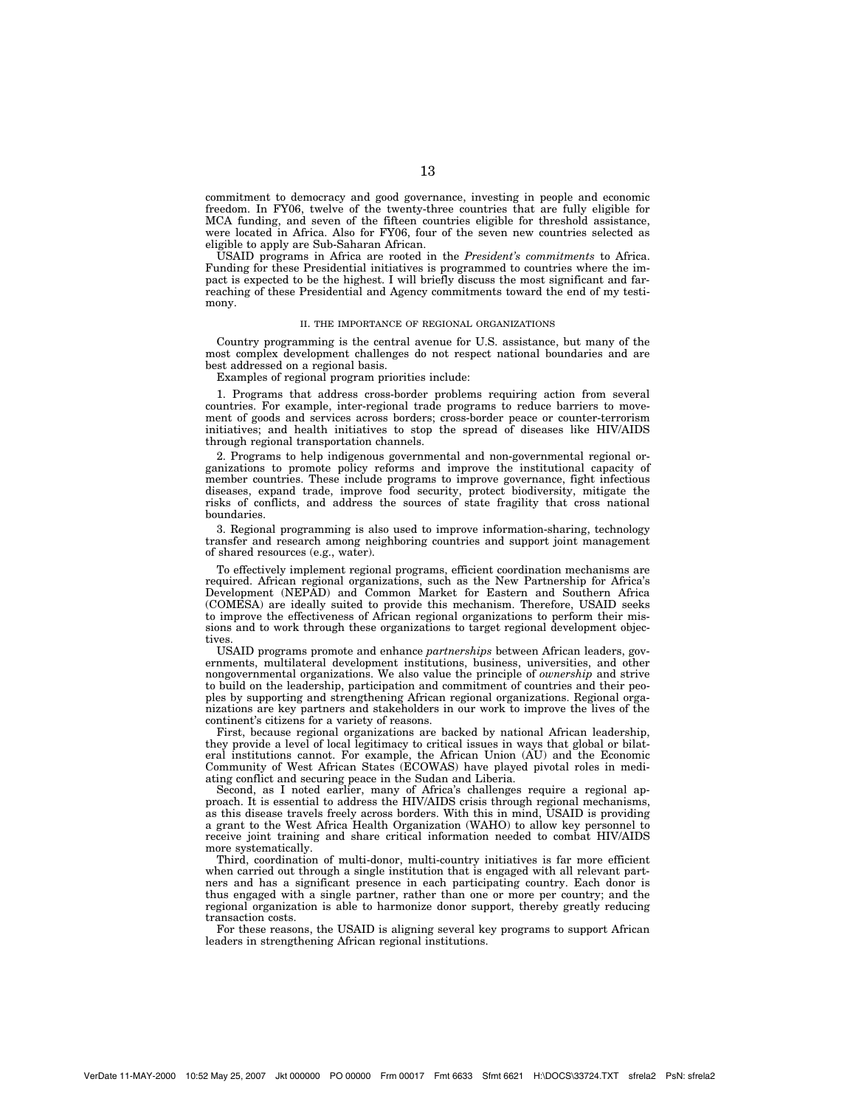commitment to democracy and good governance, investing in people and economic freedom. In FY06, twelve of the twenty-three countries that are fully eligible for MCA funding, and seven of the fifteen countries eligible for threshold assistance, were located in Africa. Also for FY06, four of the seven new countries selected as eligible to apply are Sub-Saharan African.

USAID programs in Africa are rooted in the *President's commitments* to Africa. Funding for these Presidential initiatives is programmed to countries where the impact is expected to be the highest. I will briefly discuss the most significant and farreaching of these Presidential and Agency commitments toward the end of my testimony.

#### II. THE IMPORTANCE OF REGIONAL ORGANIZATIONS

Country programming is the central avenue for U.S. assistance, but many of the most complex development challenges do not respect national boundaries and are best addressed on a regional basis.

Examples of regional program priorities include:

1. Programs that address cross-border problems requiring action from several countries. For example, inter-regional trade programs to reduce barriers to movement of goods and services across borders; cross-border peace or counter-terrorism initiatives; and health initiatives to stop the spread of diseases like HIV/AIDS through regional transportation channels.

2. Programs to help indigenous governmental and non-governmental regional organizations to promote policy reforms and improve the institutional capacity of member countries. These include programs to improve governance, fight infectious diseases, expand trade, improve food security, protect biodiversity, mitigate the risks of conflicts, and address the sources of state fragility that cross national boundaries.

3. Regional programming is also used to improve information-sharing, technology transfer and research among neighboring countries and support joint management of shared resources (e.g., water).

To effectively implement regional programs, efficient coordination mechanisms are required. African regional organizations, such as the New Partnership for Africa's Development (NEPAD) and Common Market for Eastern and Southern Africa (COMESA) are ideally suited to provide this mechanism. Therefore, USAID seeks to improve the effectiveness of African regional organizations to perform their missions and to work through these organizations to target regional development objectives

USAID programs promote and enhance *partnerships* between African leaders, governments, multilateral development institutions, business, universities, and other nongovernmental organizations. We also value the principle of *ownership* and strive to build on the leadership, participation and commitment of countries and their peoples by supporting and strengthening African regional organizations. Regional organizations are key partners and stakeholders in our work to improve the lives of the continent's citizens for a variety of reasons.

First, because regional organizations are backed by national African leadership, they provide a level of local legitimacy to critical issues in ways that global or bilateral institutions cannot. For example, the African Union (AU) and the Economic Community of West African States (ECOWAS) have played pivotal roles in mediating conflict and securing peace in the Sudan and Liberia.

Second, as I noted earlier, many of Africa's challenges require a regional approach. It is essential to address the HIV/AIDS crisis through regional mechanisms, as this disease travels freely across borders. With this in mind, USAID is providing a grant to the West Africa Health Organization (WAHO) to allow key personnel to receive joint training and share critical information needed to combat HIV/AIDS more systematically.

Third, coordination of multi-donor, multi-country initiatives is far more efficient when carried out through a single institution that is engaged with all relevant partners and has a significant presence in each participating country. Each donor is thus engaged with a single partner, rather than one or more per country; and the regional organization is able to harmonize donor support, thereby greatly reducing transaction costs.

For these reasons, the USAID is aligning several key programs to support African leaders in strengthening African regional institutions.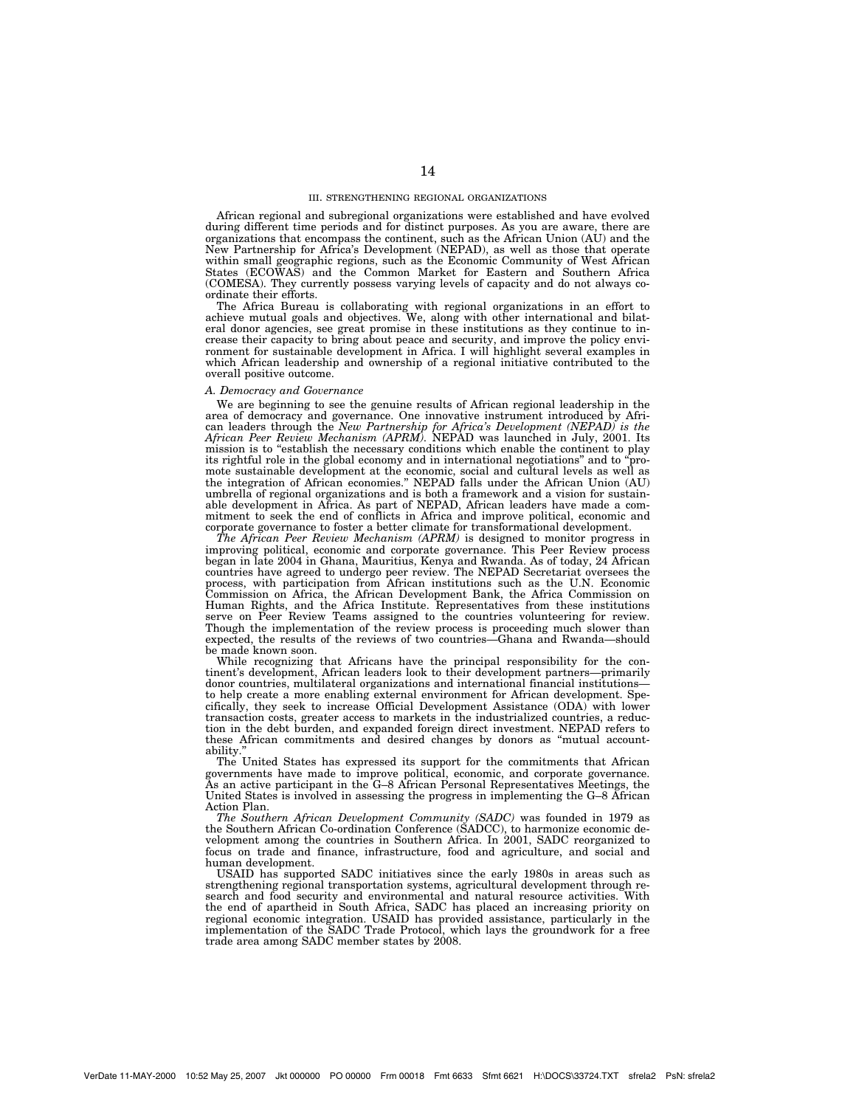African regional and subregional organizations were established and have evolved during different time periods and for distinct purposes. As you are aware, there are organizations that encompass the continent, such as the African Union (AU) and the New Partnership for Africa's Development (NEPAD), as well as those that operate within small geographic regions, such as the Economic Community of West African States (ECOWAS) and the Common Market for Eastern and Southern Africa (COMESA). They currently possess varying levels of capacity and do not always coordinate their efforts.

The Africa Bureau is collaborating with regional organizations in an effort to achieve mutual goals and objectives. We, along with other international and bilateral donor agencies, see great promise in these institutions as they continue to increase their capacity to bring about peace and security, and improve the policy environment for sustainable development in Africa. I will highlight several examples in which African leadership and ownership of a regional initiative contributed to the overall positive outcome.

#### *A. Democracy and Governance*

We are beginning to see the genuine results of African regional leadership in the area of democracy and governance. One innovative instrument introduced by African leaders through the *New Partnership for Africa's Development (NEPAD) is the African Peer Review Mechanism (APRM).* NEPAD was launched in July, 2001. Its mission is to "establish the necessary conditions which enable the continent to play its rightful role in the global economy and in international negotiations'' and to ''promote sustainable development at the economic, social and cultural levels as well as the integration of African economies.'' NEPAD falls under the African Union (AU) umbrella of regional organizations and is both a framework and a vision for sustainable development in Africa. As part of NEPAD, African leaders have made a commitment to seek the end of conflicts in Africa and improve political, economic and corporate governance to foster a better climate for transformational development.

*The African Peer Review Mechanism (APRM)* is designed to monitor progress in improving political, economic and corporate governance. This Peer Review process began in late 2004 in Ghana, Mauritius, Kenya and Rwanda. As of today, 24 African countries have agreed to undergo peer review. The NEPAD Secretariat oversees the process, with participation from African institutions such as the U.N. Economic Commission on Africa, the African Development Bank, the Africa Commission on Human Rights, and the Africa Institute. Representatives from these institutions serve on Peer Review Teams assigned to the countries volunteering for review. Though the implementation of the review process is proceeding much slower than expected, the results of the reviews of two countries—Ghana and Rwanda—should be made known soon.

While recognizing that Africans have the principal responsibility for the continent's development, African leaders look to their development partners—primarily donor countries, multilateral organizations and international financial institutions to help create a more enabling external environment for African development. Specifically, they seek to increase Official Development Assistance (ODA) with lower transaction costs, greater access to markets in the industrialized countries, a reduction in the debt burden, and expanded foreign direct investment. NEPAD refers to these African commitments and desired changes by donors as ''mutual accountability.

The United States has expressed its support for the commitments that African governments have made to improve political, economic, and corporate governance. As an active participant in the G–8 African Personal Representatives Meetings, the United States is involved in assessing the progress in implementing the G–8 African Action Plan.

*The Southern African Development Community (SADC)* was founded in 1979 as the Southern African Co-ordination Conference (SADCC), to harmonize economic development among the countries in Southern Africa. In 2001, SADC reorganized to focus on trade and finance, infrastructure, food and agriculture, and social and human development.

USAID has supported SADC initiatives since the early 1980s in areas such as strengthening regional transportation systems, agricultural development through research and food security and environmental and natural resource activities. With the end of apartheid in South Africa, SADC has placed an increasing priority on regional economic integration. USAID has provided assistance, particularly in the implementation of the SADC Trade Protocol, which lays the groundwork for a free trade area among SADC member states by 2008.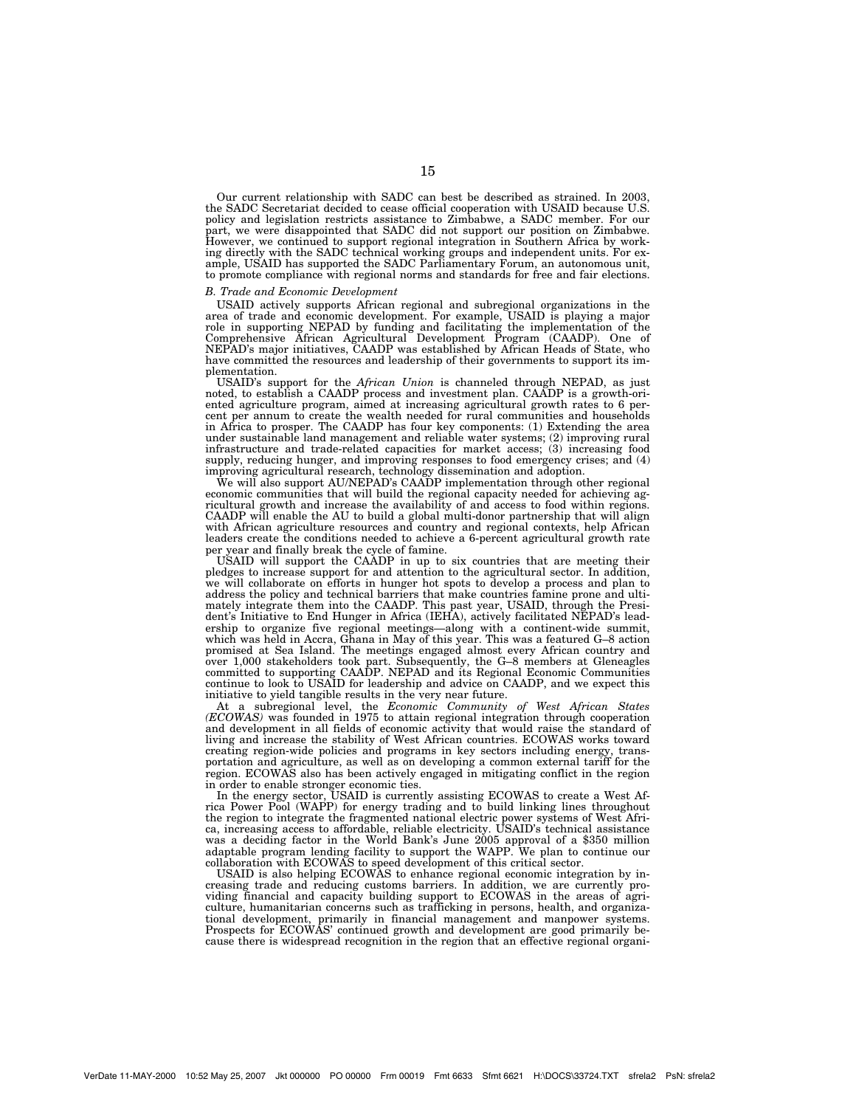Our current relationship with SADC can best be described as strained. In 2003, the SADC Secretariat decided to cease official cooperation with USAID because U.S. policy and legislation restricts assistance to Zimbabwe, a SADC member. For our part, we were disappointed that SADC did not support our position on Zimbabwe. However, we continued to support regional integration in Southern Africa by working directly with the SADC technical working groups and independent units. For ex-ample, USAID has supported the SADC Parliamentary Forum, an autonomous unit, to promote compliance with regional norms and standards for free and fair elections.

#### *B. Trade and Economic Development*

USAID actively supports African regional and subregional organizations in the area of trade and economic development. For example, USAID is playing a major role in supporting NEPAD by funding and facilitating the implementation of the Comprehensive African Agricultural Development Program (CAADP). One of NEPAD's major initiatives, CAADP was established by African Heads of State, who have committed the resources and leadership of their governments to support its implementation.

USAID's support for the *African Union* is channeled through NEPAD, as just noted, to establish a CAADP process and investment plan. CAADP is a growth-oriented agriculture program, aimed at increasing agricultural growth rates to 6 percent per annum to create the wealth needed for rural communities and households in Africa to prosper. The CAADP has four key components: (1) Extending the area under sustainable land management and reliable water systems; (2) improving rural infrastructure and trade-related capacities for market access; (3) increasing food supply, reducing hunger, and improving responses to food emergency crises; and (4) improving agricultural research, technology dissemination and adoption.

We will also support AU/NEPAD's CAADP implementation through other regional economic communities that will build the regional capacity needed for achieving agricultural growth and increase the availability of and access to food within regions. CAADP will enable the AU to build a global multi-donor partnership that will align with African agriculture resources and country and regional contexts, help African leaders create the conditions needed to achieve a 6-percent agricultural growth rate per year and finally break the cycle of famine.

USAID will support the CAADP in up to six countries that are meeting their pledges to increase support for and attention to the agricultural sector. In addition, we will collaborate on efforts in hunger hot spots to develop a process and plan to address the policy and technical barriers that make countries famine prone and ultimately integrate them into the CAADP. This past year, USAID, through the President's Initiative to End Hunger in Africa (IEHA), actively facilitated NEPAD's leadership to organize five regional meetings—along with a continent-wide summit, which was held in Accra, Ghana in May of this year. This was a featured G–8 action promised at Sea Island. The meetings engaged almost every African country and over 1,000 stakeholders took part. Subsequently, the G–8 members at Gleneagles committed to supporting CAADP. NEPAD and its Regional Economic Communities continue to look to USAID for leadership and advice on CAADP, and we expect this initiative to yield tangible results in the very near future.

At a subregional level, the *Economic Community of West African States (ECOWAS)* was founded in 1975 to attain regional integration through cooperation and development in all fields of economic activity that would raise the standard of living and increase the stability of West African countries. ECOWAS works toward creating region-wide policies and programs in key sectors including energy, transportation and agriculture, as well as on developing a common external tariff for the region. ECOWAS also has been actively engaged in mitigating conflict in the region in order to enable stronger economic ties.

In the energy sector, USAID is currently assisting ECOWAS to create a West Africa Power Pool (WAPP) for energy trading and to build linking lines throughout the region to integrate the fragmented national electric power systems of West Africa, increasing access to affordable, reliable electricity. USAID's technical assistance was a deciding factor in the World Bank's June 2005 approval of a \$350 million adaptable program lending facility to support the WAPP. We plan to continue our collaboration with ECOWAS to speed development of this critical sector.

USAID is also helping ECOWAS to enhance regional economic integration by increasing trade and reducing customs barriers. In addition, we are currently providing financial and capacity building support to ECOWAS in the areas of agriculture, humanitarian concerns such as trafficking in persons, health, and organizational development, primarily in financial management and manpower systems. Prospects for ECOWAS' continued growth and development are good primarily because there is widespread recognition in the region that an effective regional organi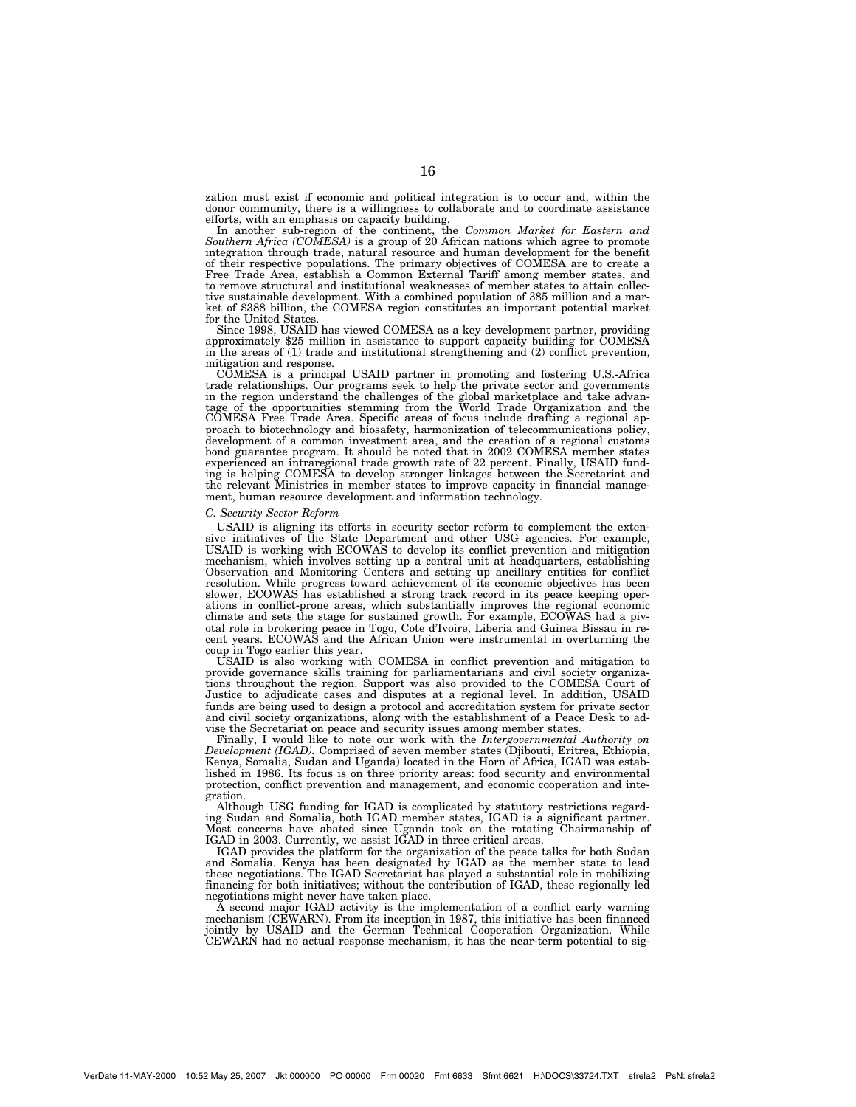zation must exist if economic and political integration is to occur and, within the donor community, there is a willingness to collaborate and to coordinate assistance efforts, with an emphasis on capacity building.

In another sub-region of the continent, the *Common Market for Eastern and Southern Africa (COMESA)* is a group of 20 African nations which agree to promote integration through trade, natural resource and human development for the benefit of their respective populations. The primary objectives of COMESA are to create a Free Trade Area, establish a Common External Tariff among member states, and to remove structural and institutional weaknesses of member states to attain collective sustainable development. With a combined population of 385 million and a mar-ket of \$388 billion, the COMESA region constitutes an important potential market

for the United States.<br>Since 1998, USAID has viewed COMESA as a key development partner, providing Since 1998, USAID has viewed COMESA as a key development partner, providing approximately \$25 million in assistance to support capacity building for COMESA in the areas of (1) trade and institutional strengthening and (2) mitigation and response.

COMESA is a principal USAID partner in promoting and fostering U.S.-Africa trade relationships. Our programs seek to help the private sector and governments<br>in the region understand the challenges of the global marketplace and take advan-<br>tage of the opportunities stemming from the World Trade Or proach to biotechnology and biosafety, harmonization of telecommunications policy, development of a common investment area, and the creation of a regional customs bond guarantee program. It should be noted that in 2002 COMESA member states experienced an intraregional trade growth rate of 22 percent. Finally, USAID funding is helping COMESA to develop stronger linkages between the Secretariat and the relevant Ministries in member states to improve capacity in financial management, human resource development and information technology.

#### *C. Security Sector Reform*

USAID is aligning its efforts in security sector reform to complement the extensive initiatives of the State Department and other USG agencies. For example, USAID is working with ECOWAS to develop its conflict prevention and mitigation mechanism, which involves setting up a central unit at headquarters, establishing Observation and Monitoring Centers and setting up ancillary entities for conflict resolution. While progress toward achievement of its economic objectives has been slower, ECOWAS has established a strong track record in its peace keeping operations in conflict-prone areas, which substantially improves the regional economic climate and sets the stage for sustained growth. For example, ECOWAS had a pivotal role in brokering peace in Togo, Cote d'Ivoire, Liberia and Guinea Bissau in recent years. ECOWAS and the African Union were instrumental in overturning the coup in Togo earlier this year.

USAID is also working with COMESA in conflict prevention and mitigation to provide governance skills training for parliamentarians and civil society organizations throughout the region. Support was also provided to the COMESA Court of Justice to adjudicate cases and disputes at a regional level. In addition, USAID funds are being used to design a protocol and accreditation system for private sector and civil society organizations, along with the establishment of a Peace Desk to advise the Secretariat on peace and security issues among member states.

Finally, I would like to note our work with the *Intergovernmental Authority on Development (IGAD).* Comprised of seven member states (Djibouti, Eritrea, Ethiopia, Kenya, Somalia, Sudan and Uganda) located in the Horn of Africa, IGAD was established in 1986. Its focus is on three priority areas: food security and environmental protection, conflict prevention and management, and economic cooperation and integration.

Although USG funding for IGAD is complicated by statutory restrictions regarding Sudan and Somalia, both IGAD member states, IGAD is a significant partner. Most concerns have abated since Uganda took on the rotating Chairmanship of IGAD in 2003. Currently, we assist IGAD in three critical areas.

IGAD provides the platform for the organization of the peace talks for both Sudan and Somalia. Kenya has been designated by IGAD as the member state to lead these negotiations. The IGAD Secretariat has played a substantial role in mobilizing financing for both initiatives; without the contribution of IGAD, these regionally led negotiations might never have taken place.

A second major IGAD activity is the implementation of a conflict early warning mechanism (CEWARN). From its inception in 1987, this initiative has been financed<br>jointly by USAID and the German Technical Cooperation Organization. While<br>CEWARN had no actual response mechanism, it has the near-term pote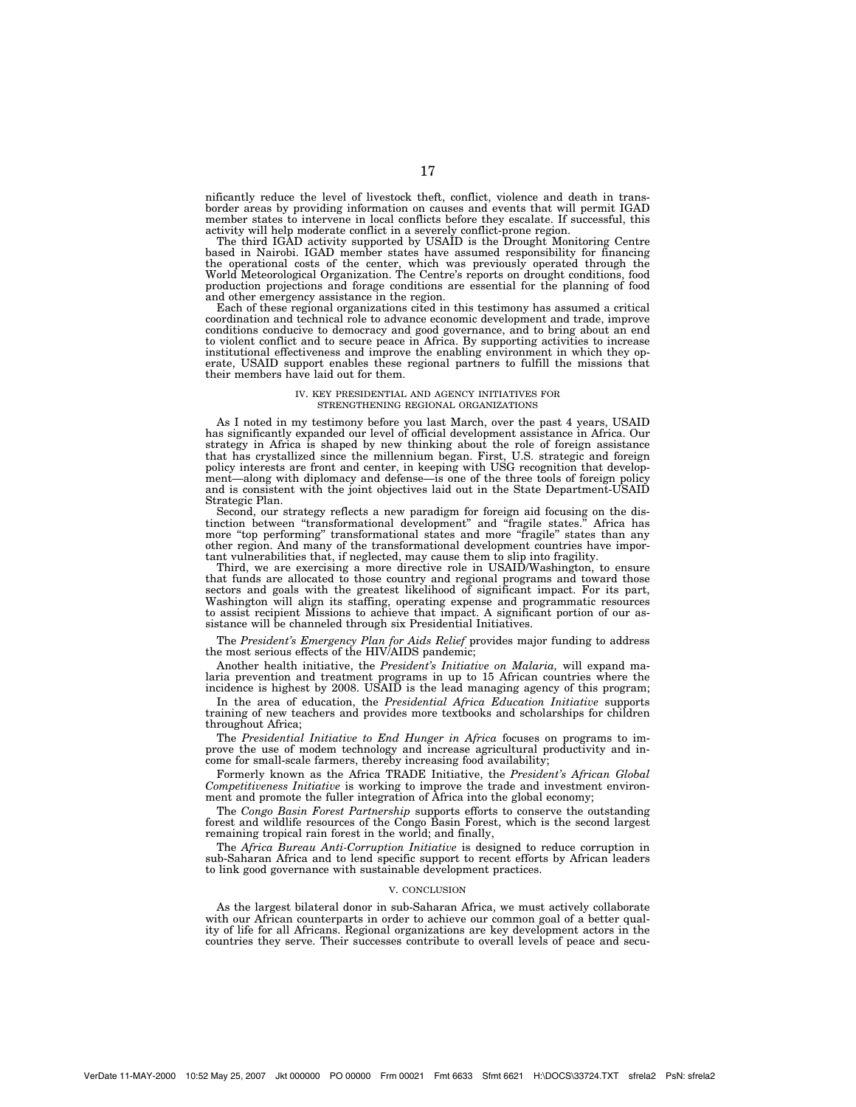nificantly reduce the level of livestock theft, conflict, violence and death in transborder areas by providing information on causes and events that will permit IGAD member states to intervene in local conflicts before they escalate. If successful, this

activity will help moderate conflict in a severely conflict-prone region. The third IGAD activity supported by USAID is the Drought Monitoring Centre based in Nairobi. IGAD member states have assumed responsibility for financing<br>the operational costs of the center, which was previously operated through the<br>World Meteorological Organization. The Centre's reports on droug production projections and forage conditions are essential for the planning of food and other emergency assistance in the region.

Each of these regional organizations cited in this testimony has assumed a critical coordination and technical role to advance economic development and trade, improve conditions conducive to democracy and good governance, and to bring about an end to violent conflict and to secure peace in Africa. By supporting activities to increase institutional effectiveness and improve the enabling environment in which they operate, USAID support enables these regional partners to fulfill the missions that their members have laid out for them.

#### IV. KEY PRESIDENTIAL AND AGENCY INITIATIVES FOR STRENGTHENING REGIONAL ORGANIZATIONS

As I noted in my testimony before you last March, over the past 4 years, USAID has significantly expanded our level of official development assistance in Africa. Our strategy in Africa is shaped by new thinking about the role of foreign assistance that has crystallized since the millennium began. First, U.S. strategic and foreign policy interests are front and center, in keeping with USG recognition that development—along with diplomacy and defense—is one of the three tools of foreign policy and is consistent with the joint objectives laid out in the State Department-USAID Strategic Plan.

Second, our strategy reflects a new paradigm for foreign aid focusing on the distinction between ''transformational development'' and ''fragile states.'' Africa has tinction between "transformational development" and "fragile states." Africa has more "top performing" transformational states and more "fragile" states than any other region. And many of the transformational development countries have important vulnerabilities that, if neglected, may cause them to slip into fragility.

Third, we are exercising a more directive role in USAID/Washington, to ensure that funds are allocated to those country and regional programs and toward those sectors and goals with the greatest likelihood of significant impact. For its part, Washington will align its staffing, operating expense and programmatic resources to assist recipient Missions to achieve that impact. A significant portion of our assistance will be channeled through six Presidential Initiatives.

The *President's Emergency Plan for Aids Relief* provides major funding to address the most serious effects of the HIV/AIDS pandemic;

Another health initiative, the *President's Initiative on Malaria,* will expand malaria prevention and treatment programs in up to 15 African countries where the incidence is highest by 2008. USAID is the lead managing agency of this program;

In the area of education, the *Presidential Africa Education Initiative* supports training of new teachers and provides more textbooks and scholarships for children throughout Africa;

The *Presidential Initiative to End Hunger in Africa* focuses on programs to improve the use of modem technology and increase agricultural productivity and income for small-scale farmers, thereby increasing food availability;

Formerly known as the Africa TRADE Initiative, the *President's African Global Competitiveness Initiative* is working to improve the trade and investment environment and promote the fuller integration of Africa into the global economy;

The *Congo Basin Forest Partnership* supports efforts to conserve the outstanding forest and wildlife resources of the Congo Basin Forest, which is the second largest remaining tropical rain forest in the world; and finally,

The *Africa Bureau Anti-Corruption Initiative* is designed to reduce corruption in sub-Saharan Africa and to lend specific support to recent efforts by African leaders to link good governance with sustainable development practices.

#### V. CONCLUSION

As the largest bilateral donor in sub-Saharan Africa, we must actively collaborate with our African counterparts in order to achieve our common goal of a better quality of life for all Africans. Regional organizations are key development actors in the countries they serve. Their successes contribute to overall levels of peace and secu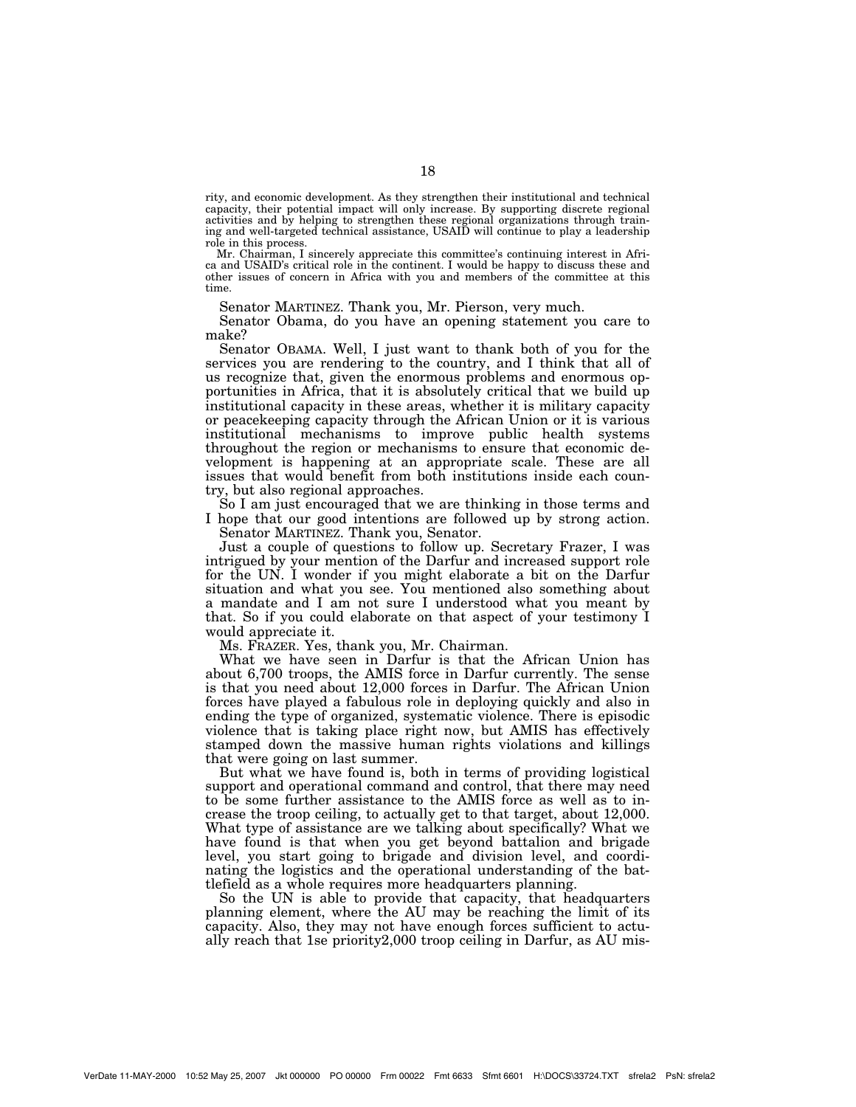rity, and economic development. As they strengthen their institutional and technical capacity, their potential impact will only increase. By supporting discrete regional activities and by helping to strengthen these regional organizations through training and well-targeted technical assistance, USAID will continue to play a leadership role in this process.

Mr. Chairman, I sincerely appreciate this committee's continuing interest in Africa and USAID's critical role in the continent. I would be happy to discuss these and other issues of concern in Africa with you and members of the committee at this time.

Senator MARTINEZ. Thank you, Mr. Pierson, very much.

Senator Obama, do you have an opening statement you care to make?

Senator OBAMA. Well, I just want to thank both of you for the services you are rendering to the country, and I think that all of us recognize that, given the enormous problems and enormous opportunities in Africa, that it is absolutely critical that we build up institutional capacity in these areas, whether it is military capacity or peacekeeping capacity through the African Union or it is various institutional mechanisms to improve public health systems throughout the region or mechanisms to ensure that economic development is happening at an appropriate scale. These are all issues that would benefit from both institutions inside each country, but also regional approaches.

So I am just encouraged that we are thinking in those terms and I hope that our good intentions are followed up by strong action.

Senator MARTINEZ. Thank you, Senator.

Just a couple of questions to follow up. Secretary Frazer, I was intrigued by your mention of the Darfur and increased support role for the UN. I wonder if you might elaborate a bit on the Darfur situation and what you see. You mentioned also something about a mandate and I am not sure I understood what you meant by that. So if you could elaborate on that aspect of your testimony I would appreciate it.

Ms. FRAZER. Yes, thank you, Mr. Chairman.

What we have seen in Darfur is that the African Union has about 6,700 troops, the AMIS force in Darfur currently. The sense is that you need about 12,000 forces in Darfur. The African Union forces have played a fabulous role in deploying quickly and also in ending the type of organized, systematic violence. There is episodic violence that is taking place right now, but AMIS has effectively stamped down the massive human rights violations and killings that were going on last summer.

But what we have found is, both in terms of providing logistical support and operational command and control, that there may need to be some further assistance to the AMIS force as well as to increase the troop ceiling, to actually get to that target, about 12,000. What type of assistance are we talking about specifically? What we have found is that when you get beyond battalion and brigade level, you start going to brigade and division level, and coordinating the logistics and the operational understanding of the battlefield as a whole requires more headquarters planning.

So the UN is able to provide that capacity, that headquarters planning element, where the AU may be reaching the limit of its capacity. Also, they may not have enough forces sufficient to actually reach that 1se priority2,000 troop ceiling in Darfur, as AU mis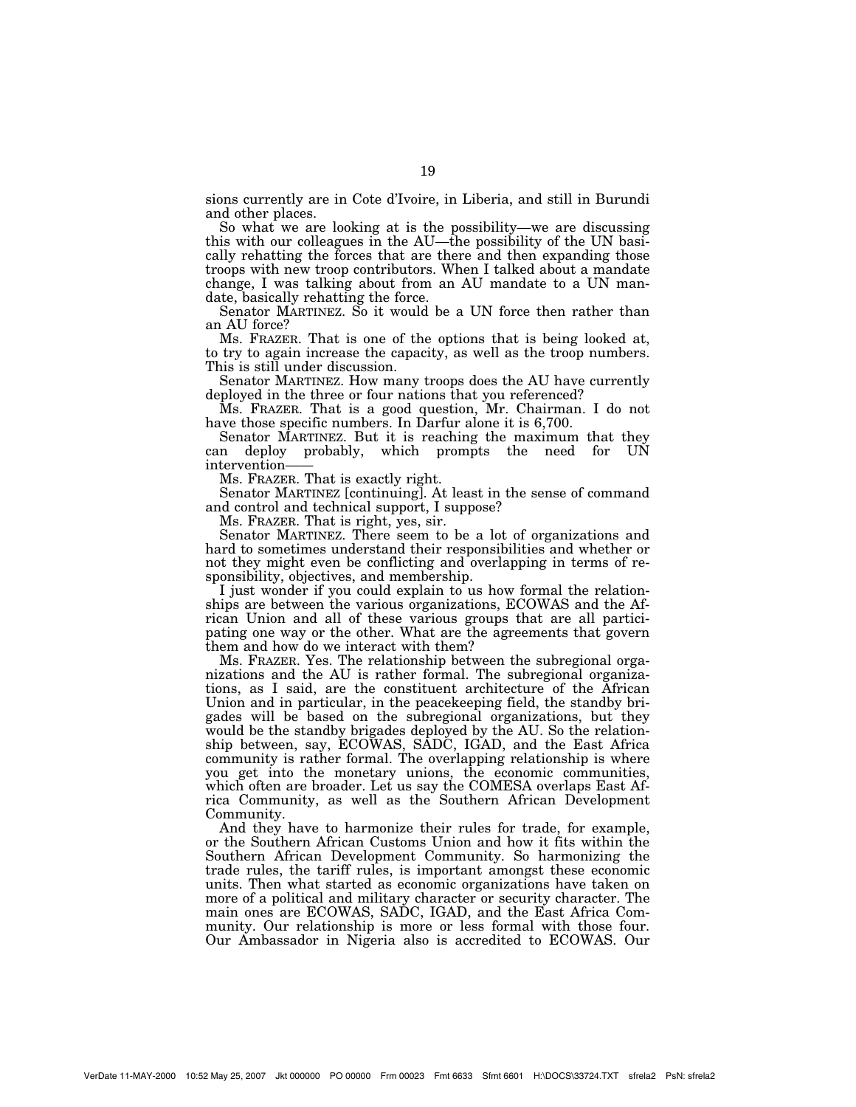sions currently are in Cote d'Ivoire, in Liberia, and still in Burundi and other places.

So what we are looking at is the possibility—we are discussing this with our colleagues in the AU—the possibility of the UN basically rehatting the forces that are there and then expanding those troops with new troop contributors. When I talked about a mandate change, I was talking about from an AU mandate to a UN mandate, basically rehatting the force.

Senator MARTINEZ. So it would be a UN force then rather than an AU force?

Ms. FRAZER. That is one of the options that is being looked at, to try to again increase the capacity, as well as the troop numbers. This is still under discussion.

Senator MARTINEZ. How many troops does the AU have currently deployed in the three or four nations that you referenced?

Ms. FRAZER. That is a good question, Mr. Chairman. I do not have those specific numbers. In Darfur alone it is 6,700.

Senator MARTINEZ. But it is reaching the maximum that they can deploy probably, which prompts the need for UN intervention——

Ms. FRAZER. That is exactly right.

Senator MARTINEZ [continuing]. At least in the sense of command and control and technical support, I suppose?

Ms. FRAZER. That is right, yes, sir.

Senator MARTINEZ. There seem to be a lot of organizations and hard to sometimes understand their responsibilities and whether or not they might even be conflicting and overlapping in terms of responsibility, objectives, and membership.

I just wonder if you could explain to us how formal the relationships are between the various organizations, ECOWAS and the African Union and all of these various groups that are all participating one way or the other. What are the agreements that govern them and how do we interact with them?

Ms. FRAZER. Yes. The relationship between the subregional organizations and the AU is rather formal. The subregional organizations, as I said, are the constituent architecture of the African Union and in particular, in the peacekeeping field, the standby brigades will be based on the subregional organizations, but they would be the standby brigades deployed by the AU. So the relationship between, say, ECOWAS, SADC, IGAD, and the East Africa community is rather formal. The overlapping relationship is where you get into the monetary unions, the economic communities, which often are broader. Let us say the COMESA overlaps East Africa Community, as well as the Southern African Development Community.

And they have to harmonize their rules for trade, for example, or the Southern African Customs Union and how it fits within the Southern African Development Community. So harmonizing the trade rules, the tariff rules, is important amongst these economic units. Then what started as economic organizations have taken on more of a political and military character or security character. The main ones are ECOWAS, SADC, IGAD, and the East Africa Community. Our relationship is more or less formal with those four. Our Ambassador in Nigeria also is accredited to ECOWAS. Our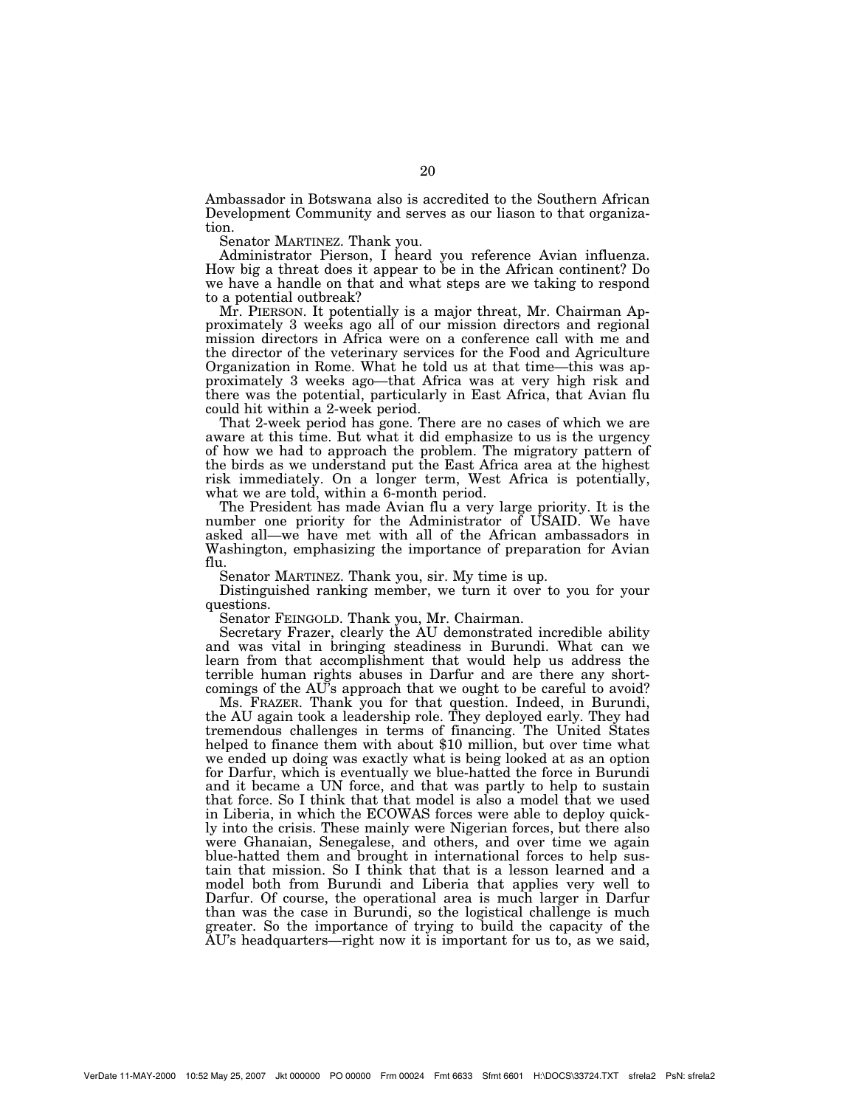Ambassador in Botswana also is accredited to the Southern African Development Community and serves as our liason to that organization.

Senator MARTINEZ. Thank you.

Administrator Pierson, I heard you reference Avian influenza. How big a threat does it appear to be in the African continent? Do we have a handle on that and what steps are we taking to respond to a potential outbreak?

Mr. PIERSON. It potentially is a major threat, Mr. Chairman Approximately 3 weeks ago all of our mission directors and regional mission directors in Africa were on a conference call with me and the director of the veterinary services for the Food and Agriculture Organization in Rome. What he told us at that time—this was approximately 3 weeks ago—that Africa was at very high risk and there was the potential, particularly in East Africa, that Avian flu could hit within a 2-week period.

That 2-week period has gone. There are no cases of which we are aware at this time. But what it did emphasize to us is the urgency of how we had to approach the problem. The migratory pattern of the birds as we understand put the East Africa area at the highest risk immediately. On a longer term, West Africa is potentially, what we are told, within a 6-month period.

The President has made Avian flu a very large priority. It is the number one priority for the Administrator of USAID. We have asked all—we have met with all of the African ambassadors in Washington, emphasizing the importance of preparation for Avian flu.

Senator MARTINEZ. Thank you, sir. My time is up.

Distinguished ranking member, we turn it over to you for your questions.

Senator FEINGOLD. Thank you, Mr. Chairman.

Secretary Frazer, clearly the AU demonstrated incredible ability and was vital in bringing steadiness in Burundi. What can we learn from that accomplishment that would help us address the terrible human rights abuses in Darfur and are there any shortcomings of the AU's approach that we ought to be careful to avoid?

Ms. FRAZER. Thank you for that question. Indeed, in Burundi, the AU again took a leadership role. They deployed early. They had tremendous challenges in terms of financing. The United States helped to finance them with about \$10 million, but over time what we ended up doing was exactly what is being looked at as an option for Darfur, which is eventually we blue-hatted the force in Burundi and it became a UN force, and that was partly to help to sustain that force. So I think that that model is also a model that we used in Liberia, in which the ECOWAS forces were able to deploy quickly into the crisis. These mainly were Nigerian forces, but there also were Ghanaian, Senegalese, and others, and over time we again blue-hatted them and brought in international forces to help sustain that mission. So I think that that is a lesson learned and a model both from Burundi and Liberia that applies very well to Darfur. Of course, the operational area is much larger in Darfur than was the case in Burundi, so the logistical challenge is much greater. So the importance of trying to build the capacity of the AU's headquarters—right now it is important for us to, as we said,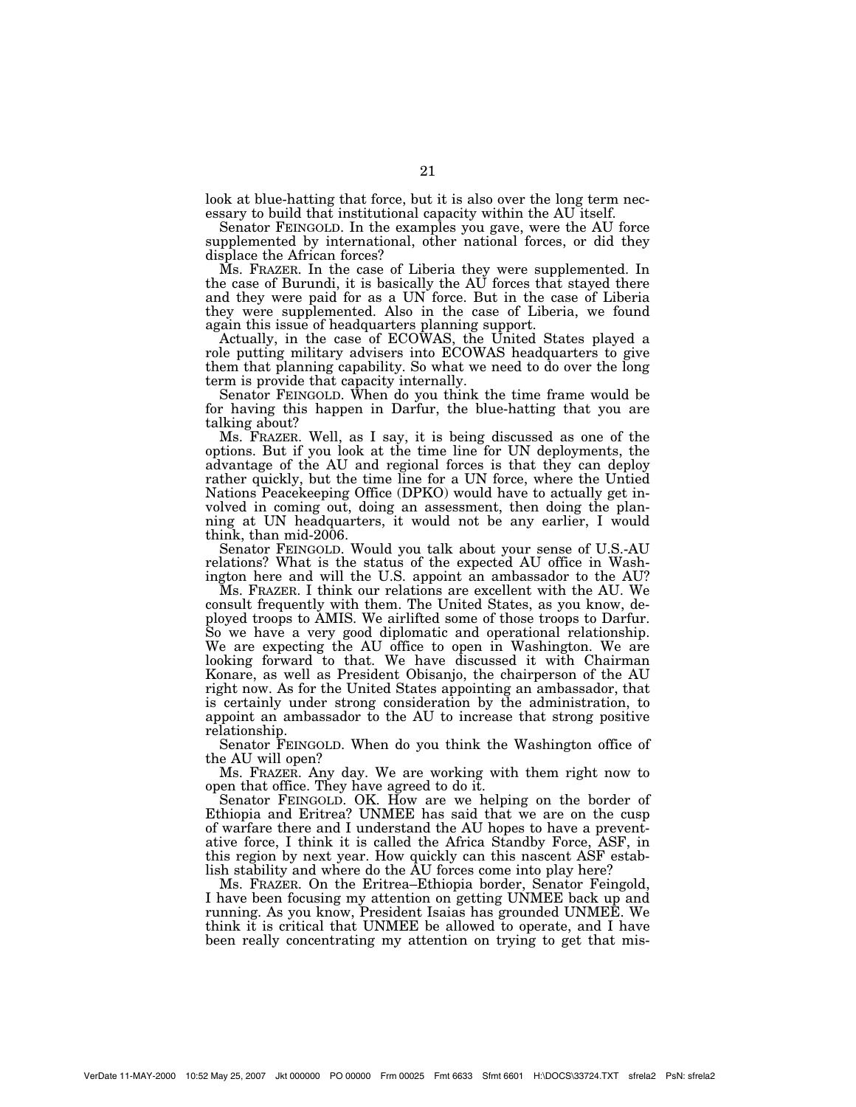look at blue-hatting that force, but it is also over the long term necessary to build that institutional capacity within the AU itself.

Senator FEINGOLD. In the examples you gave, were the AU force supplemented by international, other national forces, or did they displace the African forces?

Ms. FRAZER. In the case of Liberia they were supplemented. In the case of Burundi, it is basically the AU forces that stayed there and they were paid for as a UN force. But in the case of Liberia they were supplemented. Also in the case of Liberia, we found again this issue of headquarters planning support.

Actually, in the case of ECOWAS, the United States played a role putting military advisers into ECOWAS headquarters to give them that planning capability. So what we need to do over the long term is provide that capacity internally.

Senator FEINGOLD. When do you think the time frame would be for having this happen in Darfur, the blue-hatting that you are talking about?

Ms. FRAZER. Well, as I say, it is being discussed as one of the options. But if you look at the time line for UN deployments, the advantage of the AU and regional forces is that they can deploy rather quickly, but the time line for a UN force, where the Untied Nations Peacekeeping Office (DPKO) would have to actually get involved in coming out, doing an assessment, then doing the planning at UN headquarters, it would not be any earlier, I would think, than mid-2006.

Senator FEINGOLD. Would you talk about your sense of U.S.-AU relations? What is the status of the expected AU office in Washington here and will the U.S. appoint an ambassador to the AU?

Ms. FRAZER. I think our relations are excellent with the AU. We consult frequently with them. The United States, as you know, deployed troops to AMIS. We airlifted some of those troops to Darfur. So we have a very good diplomatic and operational relationship. We are expecting the AU office to open in Washington. We are looking forward to that. We have discussed it with Chairman Konare, as well as President Obisanjo, the chairperson of the AU right now. As for the United States appointing an ambassador, that is certainly under strong consideration by the administration, to appoint an ambassador to the AU to increase that strong positive relationship.

Senator FEINGOLD. When do you think the Washington office of the AU will open?

Ms. FRAZER. Any day. We are working with them right now to open that office. They have agreed to do it.

Senator FEINGOLD. OK. How are we helping on the border of Ethiopia and Eritrea? UNMEE has said that we are on the cusp of warfare there and I understand the AU hopes to have a preventative force, I think it is called the Africa Standby Force, ASF, in this region by next year. How quickly can this nascent ASF establish stability and where do the AU forces come into play here?

Ms. FRAZER. On the Eritrea–Ethiopia border, Senator Feingold, I have been focusing my attention on getting UNMEE back up and running. As you know, President Isaias has grounded UNMEE. We think it is critical that UNMEE be allowed to operate, and I have been really concentrating my attention on trying to get that mis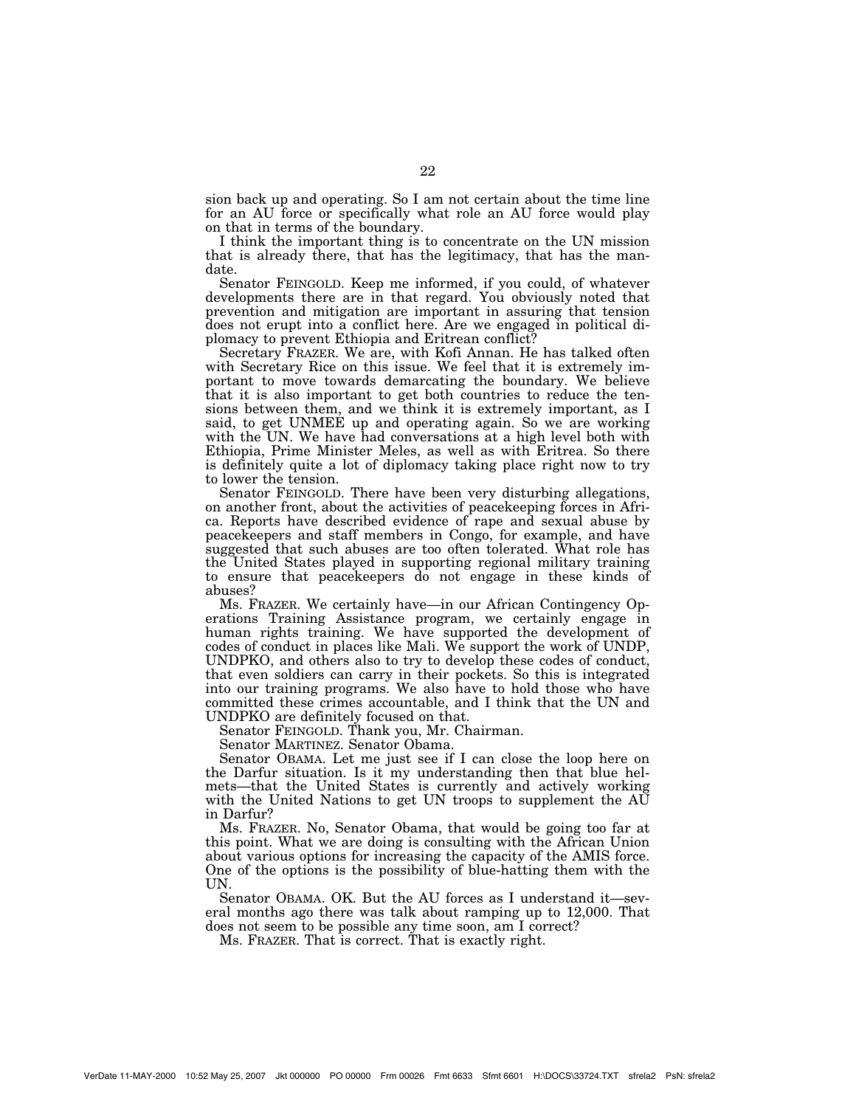sion back up and operating. So I am not certain about the time line for an AU force or specifically what role an AU force would play on that in terms of the boundary.

I think the important thing is to concentrate on the UN mission that is already there, that has the legitimacy, that has the mandate.

Senator FEINGOLD. Keep me informed, if you could, of whatever developments there are in that regard. You obviously noted that prevention and mitigation are important in assuring that tension does not erupt into a conflict here. Are we engaged in political diplomacy to prevent Ethiopia and Eritrean conflict?

Secretary FRAZER. We are, with Kofi Annan. He has talked often with Secretary Rice on this issue. We feel that it is extremely important to move towards demarcating the boundary. We believe that it is also important to get both countries to reduce the tensions between them, and we think it is extremely important, as I said, to get UNMEE up and operating again. So we are working with the UN. We have had conversations at a high level both with Ethiopia, Prime Minister Meles, as well as with Eritrea. So there is definitely quite a lot of diplomacy taking place right now to try to lower the tension.

Senator FEINGOLD. There have been very disturbing allegations, on another front, about the activities of peacekeeping forces in Africa. Reports have described evidence of rape and sexual abuse by peacekeepers and staff members in Congo, for example, and have suggested that such abuses are too often tolerated. What role has the United States played in supporting regional military training to ensure that peacekeepers do not engage in these kinds of abuses?

Ms. FRAZER. We certainly have—in our African Contingency Operations Training Assistance program, we certainly engage in human rights training. We have supported the development of codes of conduct in places like Mali. We support the work of UNDP, UNDPKO, and others also to try to develop these codes of conduct, that even soldiers can carry in their pockets. So this is integrated into our training programs. We also have to hold those who have committed these crimes accountable, and I think that the UN and UNDPKO are definitely focused on that.

Senator FEINGOLD. Thank you, Mr. Chairman.

Senator MARTINEZ. Senator Obama.

Senator OBAMA. Let me just see if I can close the loop here on the Darfur situation. Is it my understanding then that blue helmets—that the United States is currently and actively working with the United Nations to get UN troops to supplement the AU in Darfur?

Ms. FRAZER. No, Senator Obama, that would be going too far at this point. What we are doing is consulting with the African Union about various options for increasing the capacity of the AMIS force. One of the options is the possibility of blue-hatting them with the UN.

Senator OBAMA. OK. But the AU forces as I understand it—several months ago there was talk about ramping up to 12,000. That does not seem to be possible any time soon, am I correct?

Ms. FRAZER. That is correct. That is exactly right.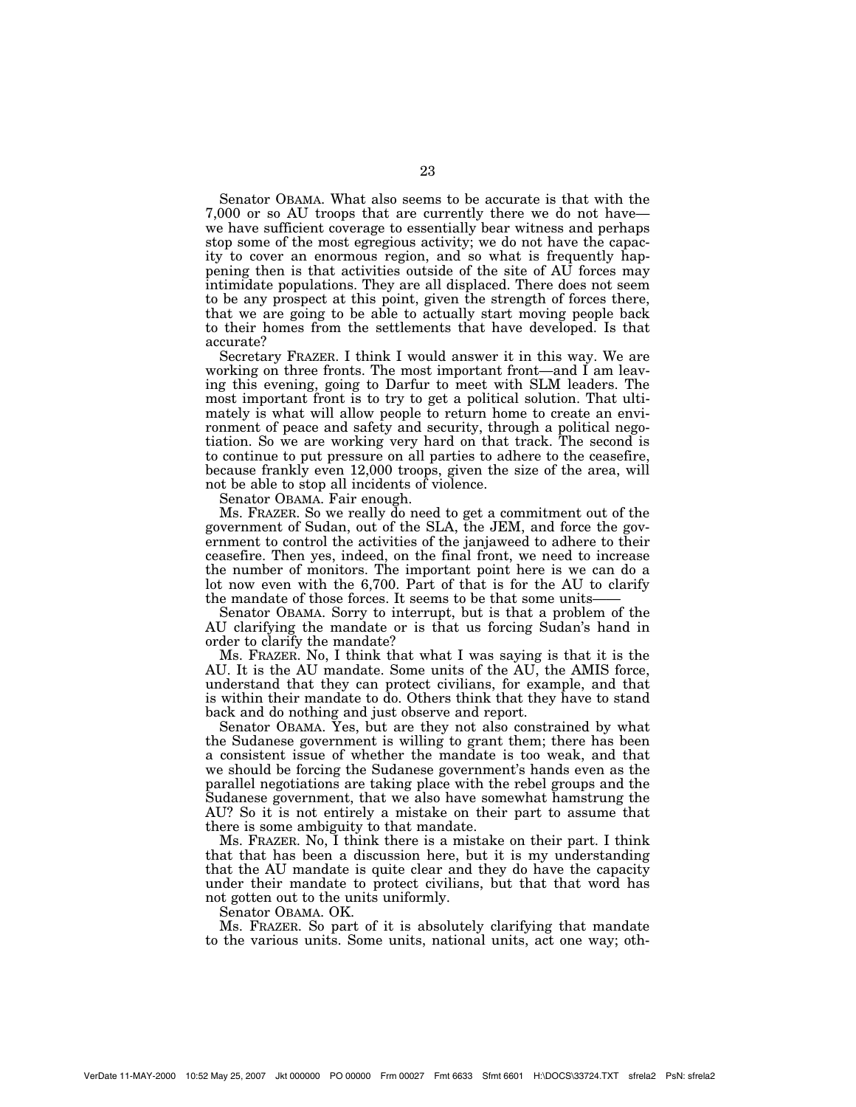Senator OBAMA. What also seems to be accurate is that with the 7,000 or so AU troops that are currently there we do not have we have sufficient coverage to essentially bear witness and perhaps stop some of the most egregious activity; we do not have the capacity to cover an enormous region, and so what is frequently happening then is that activities outside of the site of AU forces may intimidate populations. They are all displaced. There does not seem to be any prospect at this point, given the strength of forces there, that we are going to be able to actually start moving people back to their homes from the settlements that have developed. Is that accurate?

Secretary FRAZER. I think I would answer it in this way. We are working on three fronts. The most important front—and I am leaving this evening, going to Darfur to meet with SLM leaders. The most important front is to try to get a political solution. That ultimately is what will allow people to return home to create an environment of peace and safety and security, through a political negotiation. So we are working very hard on that track. The second is to continue to put pressure on all parties to adhere to the ceasefire, because frankly even 12,000 troops, given the size of the area, will not be able to stop all incidents of violence.

Senator OBAMA. Fair enough.

Ms. FRAZER. So we really do need to get a commitment out of the government of Sudan, out of the SLA, the JEM, and force the government to control the activities of the janjaweed to adhere to their ceasefire. Then yes, indeed, on the final front, we need to increase the number of monitors. The important point here is we can do a lot now even with the 6,700. Part of that is for the AU to clarify the mandate of those forces. It seems to be that some units-

Senator OBAMA. Sorry to interrupt, but is that a problem of the AU clarifying the mandate or is that us forcing Sudan's hand in order to clarify the mandate?

Ms. FRAZER. No, I think that what I was saying is that it is the AU. It is the AU mandate. Some units of the AU, the AMIS force, understand that they can protect civilians, for example, and that is within their mandate to do. Others think that they have to stand back and do nothing and just observe and report.

Senator OBAMA. Yes, but are they not also constrained by what the Sudanese government is willing to grant them; there has been a consistent issue of whether the mandate is too weak, and that we should be forcing the Sudanese government's hands even as the parallel negotiations are taking place with the rebel groups and the Sudanese government, that we also have somewhat hamstrung the AU? So it is not entirely a mistake on their part to assume that there is some ambiguity to that mandate.

Ms. FRAZER. No, I think there is a mistake on their part. I think that that has been a discussion here, but it is my understanding that the AU mandate is quite clear and they do have the capacity under their mandate to protect civilians, but that that word has not gotten out to the units uniformly.

Senator OBAMA. OK.

Ms. FRAZER. So part of it is absolutely clarifying that mandate to the various units. Some units, national units, act one way; oth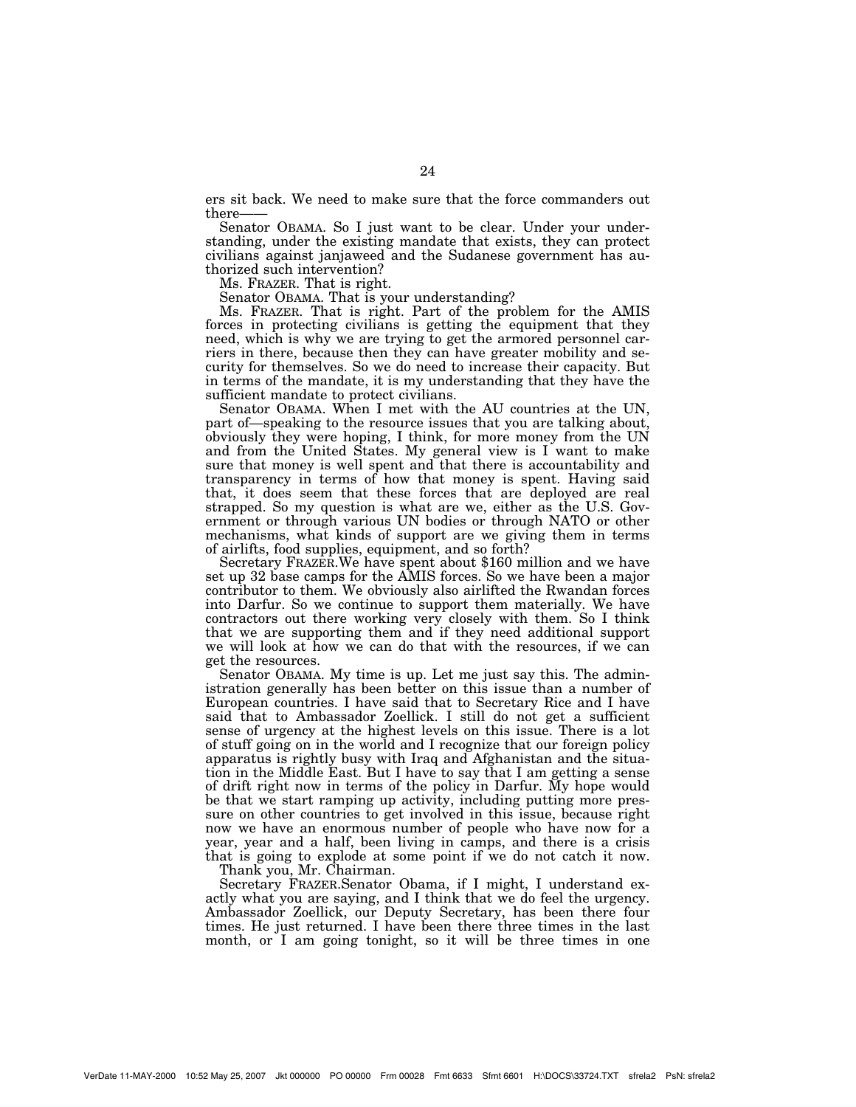ers sit back. We need to make sure that the force commanders out there-

Senator OBAMA. So I just want to be clear. Under your understanding, under the existing mandate that exists, they can protect civilians against janjaweed and the Sudanese government has authorized such intervention?

Ms. FRAZER. That is right.

Senator OBAMA. That is your understanding?

Ms. FRAZER. That is right. Part of the problem for the AMIS forces in protecting civilians is getting the equipment that they need, which is why we are trying to get the armored personnel carriers in there, because then they can have greater mobility and security for themselves. So we do need to increase their capacity. But in terms of the mandate, it is my understanding that they have the sufficient mandate to protect civilians.

Senator OBAMA. When I met with the AU countries at the UN, part of—speaking to the resource issues that you are talking about, obviously they were hoping, I think, for more money from the UN and from the United States. My general view is I want to make sure that money is well spent and that there is accountability and transparency in terms of how that money is spent. Having said that, it does seem that these forces that are deployed are real strapped. So my question is what are we, either as the U.S. Government or through various UN bodies or through NATO or other mechanisms, what kinds of support are we giving them in terms of airlifts, food supplies, equipment, and so forth?

Secretary FRAZER.We have spent about \$160 million and we have set up 32 base camps for the AMIS forces. So we have been a major contributor to them. We obviously also airlifted the Rwandan forces into Darfur. So we continue to support them materially. We have contractors out there working very closely with them. So I think that we are supporting them and if they need additional support we will look at how we can do that with the resources, if we can get the resources.

Senator OBAMA. My time is up. Let me just say this. The administration generally has been better on this issue than a number of European countries. I have said that to Secretary Rice and I have said that to Ambassador Zoellick. I still do not get a sufficient sense of urgency at the highest levels on this issue. There is a lot of stuff going on in the world and I recognize that our foreign policy apparatus is rightly busy with Iraq and Afghanistan and the situation in the Middle East. But I have to say that I am getting a sense of drift right now in terms of the policy in Darfur. My hope would be that we start ramping up activity, including putting more pressure on other countries to get involved in this issue, because right now we have an enormous number of people who have now for a year, year and a half, been living in camps, and there is a crisis that is going to explode at some point if we do not catch it now.

Thank you, Mr. Chairman.

Secretary FRAZER.Senator Obama, if I might, I understand exactly what you are saying, and I think that we do feel the urgency. Ambassador Zoellick, our Deputy Secretary, has been there four times. He just returned. I have been there three times in the last month, or I am going tonight, so it will be three times in one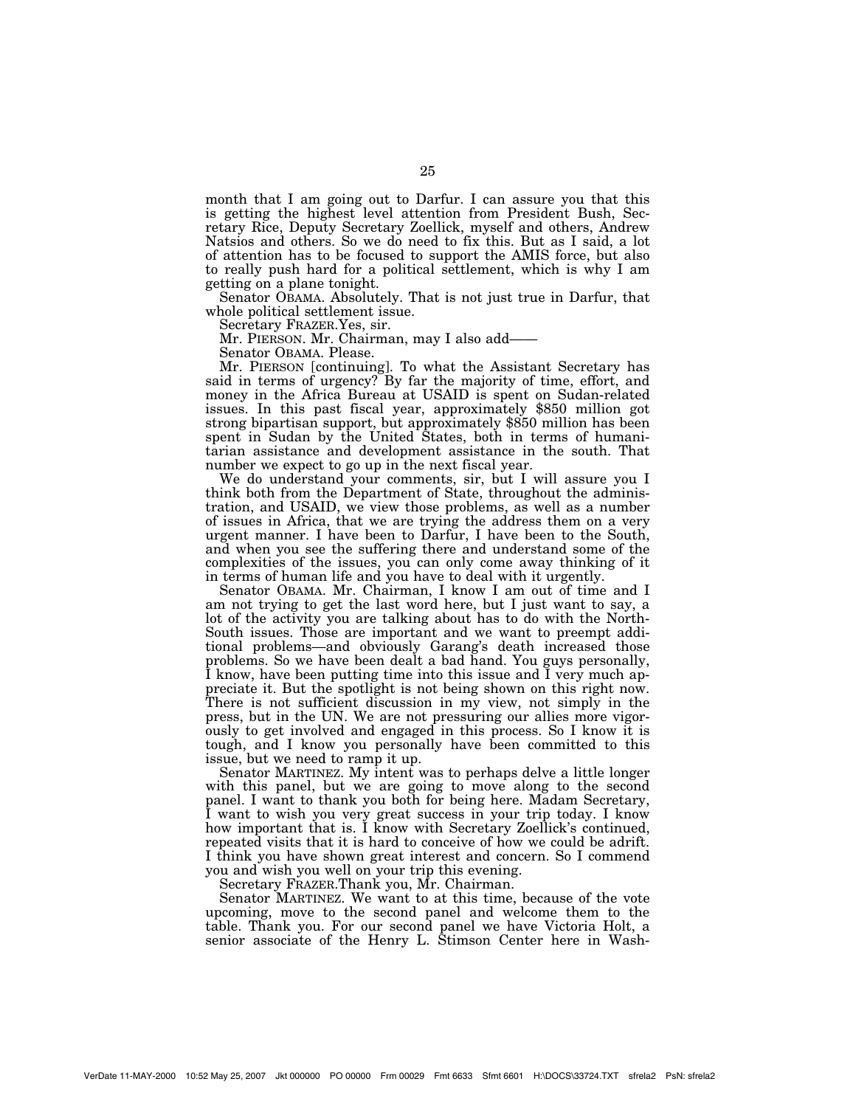month that I am going out to Darfur. I can assure you that this is getting the highest level attention from President Bush, Secretary Rice, Deputy Secretary Zoellick, myself and others, Andrew Natsios and others. So we do need to fix this. But as I said, a lot of attention has to be focused to support the AMIS force, but also to really push hard for a political settlement, which is why I am getting on a plane tonight.

Senator OBAMA. Absolutely. That is not just true in Darfur, that whole political settlement issue.

Secretary FRAZER.Yes, sir.

Mr. PIERSON. Mr. Chairman, may I also add——

Senator OBAMA. Please.

Mr. PIERSON [continuing]. To what the Assistant Secretary has said in terms of urgency? By far the majority of time, effort, and money in the Africa Bureau at USAID is spent on Sudan-related issues. In this past fiscal year, approximately \$850 million got strong bipartisan support, but approximately \$850 million has been spent in Sudan by the United States, both in terms of humanitarian assistance and development assistance in the south. That number we expect to go up in the next fiscal year.

We do understand your comments, sir, but I will assure you I think both from the Department of State, throughout the administration, and USAID, we view those problems, as well as a number of issues in Africa, that we are trying the address them on a very urgent manner. I have been to Darfur, I have been to the South, and when you see the suffering there and understand some of the complexities of the issues, you can only come away thinking of it in terms of human life and you have to deal with it urgently.

Senator OBAMA. Mr. Chairman, I know I am out of time and I am not trying to get the last word here, but I just want to say, a lot of the activity you are talking about has to do with the North-South issues. Those are important and we want to preempt additional problems—and obviously Garang's death increased those problems. So we have been dealt a bad hand. You guys personally, I know, have been putting time into this issue and I very much appreciate it. But the spotlight is not being shown on this right now. There is not sufficient discussion in my view, not simply in the press, but in the UN. We are not pressuring our allies more vigorously to get involved and engaged in this process. So I know it is tough, and I know you personally have been committed to this issue, but we need to ramp it up.

Senator MARTINEZ. My intent was to perhaps delve a little longer with this panel, but we are going to move along to the second panel. I want to thank you both for being here. Madam Secretary, I want to wish you very great success in your trip today. I know how important that is. I know with Secretary Zoellick's continued, repeated visits that it is hard to conceive of how we could be adrift. I think you have shown great interest and concern. So I commend you and wish you well on your trip this evening.

Secretary FRAZER.Thank you, Mr. Chairman.

Senator MARTINEZ. We want to at this time, because of the vote upcoming, move to the second panel and welcome them to the table. Thank you. For our second panel we have Victoria Holt, a senior associate of the Henry L. Stimson Center here in Wash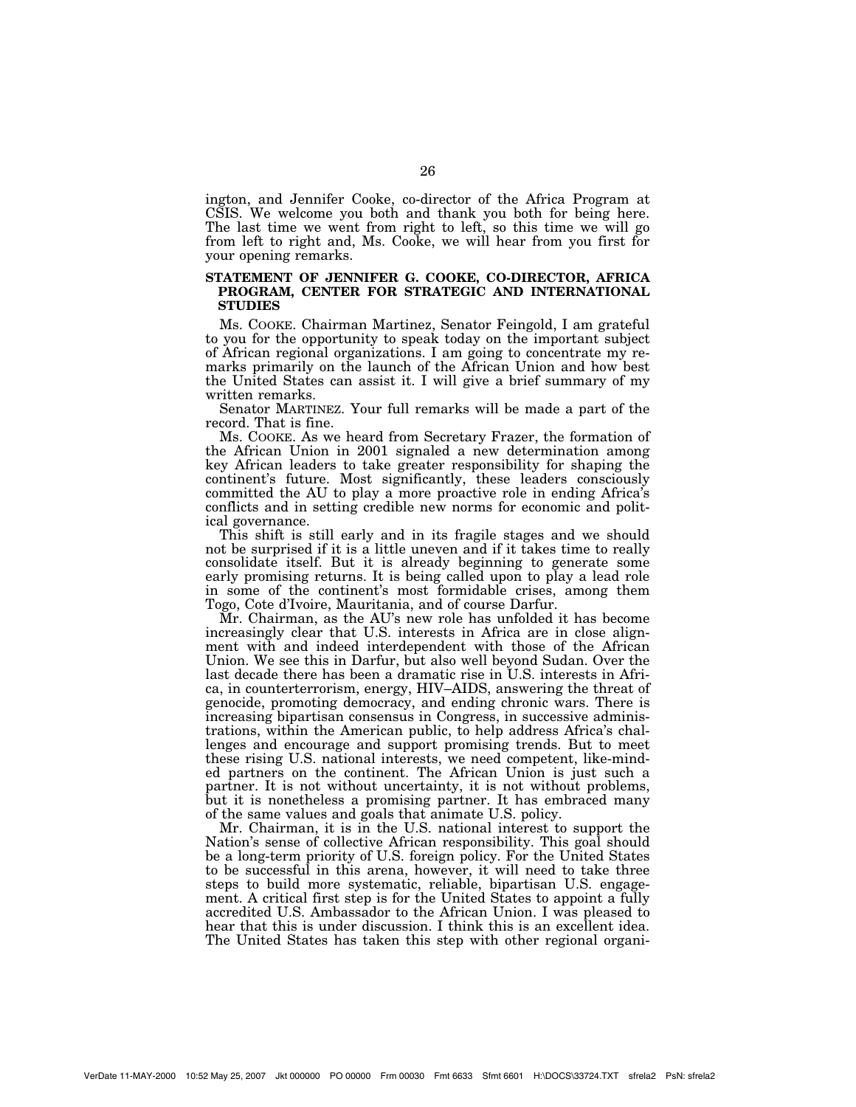ington, and Jennifer Cooke, co-director of the Africa Program at CSIS. We welcome you both and thank you both for being here. The last time we went from right to left, so this time we will go from left to right and, Ms. Cooke, we will hear from you first for your opening remarks.

## **STATEMENT OF JENNIFER G. COOKE, CO-DIRECTOR, AFRICA PROGRAM, CENTER FOR STRATEGIC AND INTERNATIONAL STUDIES**

Ms. COOKE. Chairman Martinez, Senator Feingold, I am grateful to you for the opportunity to speak today on the important subject of African regional organizations. I am going to concentrate my remarks primarily on the launch of the African Union and how best the United States can assist it. I will give a brief summary of my written remarks.

Senator MARTINEZ. Your full remarks will be made a part of the record. That is fine.

Ms. COOKE. As we heard from Secretary Frazer, the formation of the African Union in 2001 signaled a new determination among key African leaders to take greater responsibility for shaping the continent's future. Most significantly, these leaders consciously committed the AU to play a more proactive role in ending Africa's conflicts and in setting credible new norms for economic and political governance.

This shift is still early and in its fragile stages and we should not be surprised if it is a little uneven and if it takes time to really consolidate itself. But it is already beginning to generate some early promising returns. It is being called upon to play a lead role in some of the continent's most formidable crises, among them Togo, Cote d'Ivoire, Mauritania, and of course Darfur.

Mr. Chairman, as the AU's new role has unfolded it has become increasingly clear that U.S. interests in Africa are in close alignment with and indeed interdependent with those of the African Union. We see this in Darfur, but also well beyond Sudan. Over the last decade there has been a dramatic rise in U.S. interests in Africa, in counterterrorism, energy, HIV–AIDS, answering the threat of genocide, promoting democracy, and ending chronic wars. There is increasing bipartisan consensus in Congress, in successive administrations, within the American public, to help address Africa's challenges and encourage and support promising trends. But to meet these rising U.S. national interests, we need competent, like-minded partners on the continent. The African Union is just such a partner. It is not without uncertainty, it is not without problems, but it is nonetheless a promising partner. It has embraced many of the same values and goals that animate U.S. policy.

Mr. Chairman, it is in the U.S. national interest to support the Nation's sense of collective African responsibility. This goal should be a long-term priority of U.S. foreign policy. For the United States to be successful in this arena, however, it will need to take three steps to build more systematic, reliable, bipartisan U.S. engagement. A critical first step is for the United States to appoint a fully accredited U.S. Ambassador to the African Union. I was pleased to hear that this is under discussion. I think this is an excellent idea. The United States has taken this step with other regional organi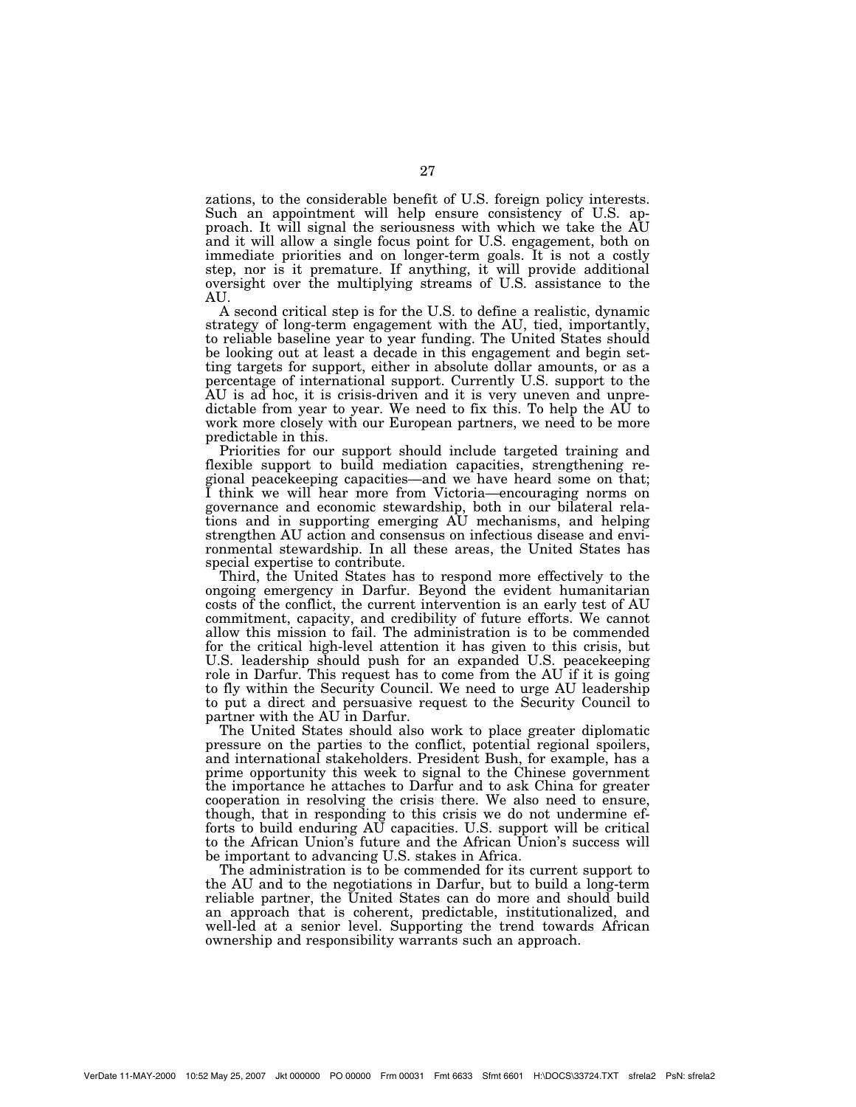zations, to the considerable benefit of U.S. foreign policy interests. Such an appointment will help ensure consistency of U.S. approach. It will signal the seriousness with which we take the AU and it will allow a single focus point for U.S. engagement, both on immediate priorities and on longer-term goals. It is not a costly step, nor is it premature. If anything, it will provide additional oversight over the multiplying streams of U.S. assistance to the AU.

A second critical step is for the U.S. to define a realistic, dynamic strategy of long-term engagement with the AU, tied, importantly, to reliable baseline year to year funding. The United States should be looking out at least a decade in this engagement and begin setting targets for support, either in absolute dollar amounts, or as a percentage of international support. Currently U.S. support to the AU is ad hoc, it is crisis-driven and it is very uneven and unpredictable from year to year. We need to fix this. To help the AU to work more closely with our European partners, we need to be more predictable in this.

Priorities for our support should include targeted training and flexible support to build mediation capacities, strengthening regional peacekeeping capacities—and we have heard some on that; I think we will hear more from Victoria—encouraging norms on governance and economic stewardship, both in our bilateral relations and in supporting emerging AU mechanisms, and helping strengthen AU action and consensus on infectious disease and environmental stewardship. In all these areas, the United States has special expertise to contribute.

Third, the United States has to respond more effectively to the ongoing emergency in Darfur. Beyond the evident humanitarian costs of the conflict, the current intervention is an early test of AU commitment, capacity, and credibility of future efforts. We cannot allow this mission to fail. The administration is to be commended for the critical high-level attention it has given to this crisis, but U.S. leadership should push for an expanded U.S. peacekeeping role in Darfur. This request has to come from the AU if it is going to fly within the Security Council. We need to urge AU leadership to put a direct and persuasive request to the Security Council to partner with the AU in Darfur.

The United States should also work to place greater diplomatic pressure on the parties to the conflict, potential regional spoilers, and international stakeholders. President Bush, for example, has a prime opportunity this week to signal to the Chinese government the importance he attaches to Darfur and to ask China for greater cooperation in resolving the crisis there. We also need to ensure, though, that in responding to this crisis we do not undermine efforts to build enduring AU capacities. U.S. support will be critical to the African Union's future and the African Union's success will be important to advancing U.S. stakes in Africa.

The administration is to be commended for its current support to the AU and to the negotiations in Darfur, but to build a long-term reliable partner, the United States can do more and should build an approach that is coherent, predictable, institutionalized, and well-led at a senior level. Supporting the trend towards African ownership and responsibility warrants such an approach.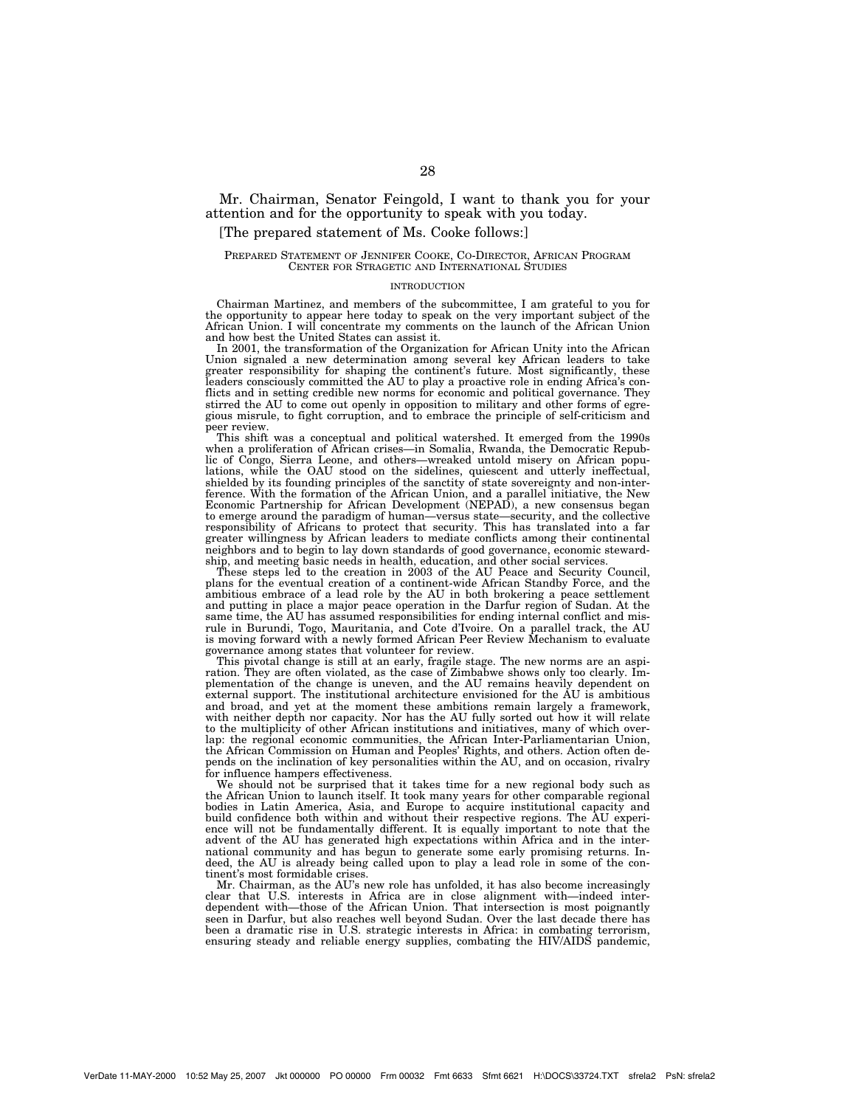Mr. Chairman, Senator Feingold, I want to thank you for your attention and for the opportunity to speak with you today.

## [The prepared statement of Ms. Cooke follows:]

#### PREPARED STATEMENT OF JENNIFER COOKE, CO-DIRECTOR, AFRICAN PROGRAM CENTER FOR STRAGETIC AND INTERNATIONAL STUDIES

#### INTRODUCTION

Chairman Martinez, and members of the subcommittee, I am grateful to you for the opportunity to appear here today to speak on the very important subject of the African Union. I will concentrate my comments on the launch of the African Union and how best the United States can assist it.

In 2001, the transformation of the Organization for African Unity into the African Union signaled a new determination among several key African leaders to take greater responsibility for shaping the continent's future. Most significantly, these leaders consciously committed the AU to play a proactive role in ending Africa's conflicts and in setting credible new norms for economic and political governance. They stirred the AU to come out openly in opposition to military and other forms of egregious misrule, to fight corruption, and to embrace the principle of self-criticism and peer review

This shift was a conceptual and political watershed. It emerged from the 1990s when a proliferation of African crises—in Somalia, Rwanda, the Democratic Republic of Congo, Sierra Leone, and others—wreaked untold misery on African populations, while the OAU stood on the sidelines, quiescent and utterly ineffectual, shielded by its founding principles of the sanctity of state sovereignty and non-interference. With the formation of the African Union, and a parallel initiative, the New Economic Partnership for African Development (NEPAD), a new consensus began to emerge around the paradigm of human—versus state—security, and the collective responsibility of Africans to protect that security. This has translated into a far greater willingness by African leaders to mediate conflicts among their continental neighbors and to begin to lay down standards of good governance, economic stewardship, and meeting basic needs in health, education, and other social services.

These steps led to the creation in 2003 of the AU Peace and Security Council, plans for the eventual creation of a continent-wide African Standby Force, and the ambitious embrace of a lead role by the AU in both brokering a peace settlement and putting in place a major peace operation in the Darfur region of Sudan. At the same time, the AU has assumed responsibilities for ending internal conflict and misrule in Burundi, Togo, Mauritania, and Cote d'Ivoire. On a parallel track, the AU is moving forward with a newly formed African Peer Review Mechanism to evaluate governance among states that volunteer for review.

This pivotal change is still at an early, fragile stage. The new norms are an aspiration. They are often violated, as the case of Zimbabwe shows only too clearly. Implementation of the change is uneven, and the AU remains heavily dependent on external support. The institutional architecture envisioned for the AU is ambitious and broad, and yet at the moment these ambitions remain largely a framework, with neither depth nor capacity. Nor has the AU fully sorted out how it will relate to the multiplicity of other African institutions and initiatives, many of which overlap: the regional economic communities, the African Inter-Parliamentarian Union, the African Commission on Human and Peoples' Rights, and others. Action often depends on the inclination of key personalities within the AU, and on occasion, rivalry for influence hampers effectiveness.

We should not be surprised that it takes time for a new regional body such as the African Union to launch itself. It took many years for other comparable regional bodies in Latin America, Asia, and Europe to acquire institutional capacity and build confidence both within and without their respective regions. The AU experience will not be fundamentally different. It is equally important to note that the advent of the AU has generated high expectations within Africa and in the international community and has begun to generate some early promising returns. Indeed, the AU is already being called upon to play a lead role in some of the continent's most formidable crises.

Mr. Chairman, as the AU's new role has unfolded, it has also become increasingly clear that U.S. interests in Africa are in close alignment with—indeed interdependent with—those of the African Union. That intersection is most poignantly seen in Darfur, but also reaches well beyond Sudan. Over the last decade there has been a dramatic rise in U.S. strategic interests in Africa: in combating terrorism, ensuring steady and reliable energy supplies, combating the HIV/AIDS pandemic,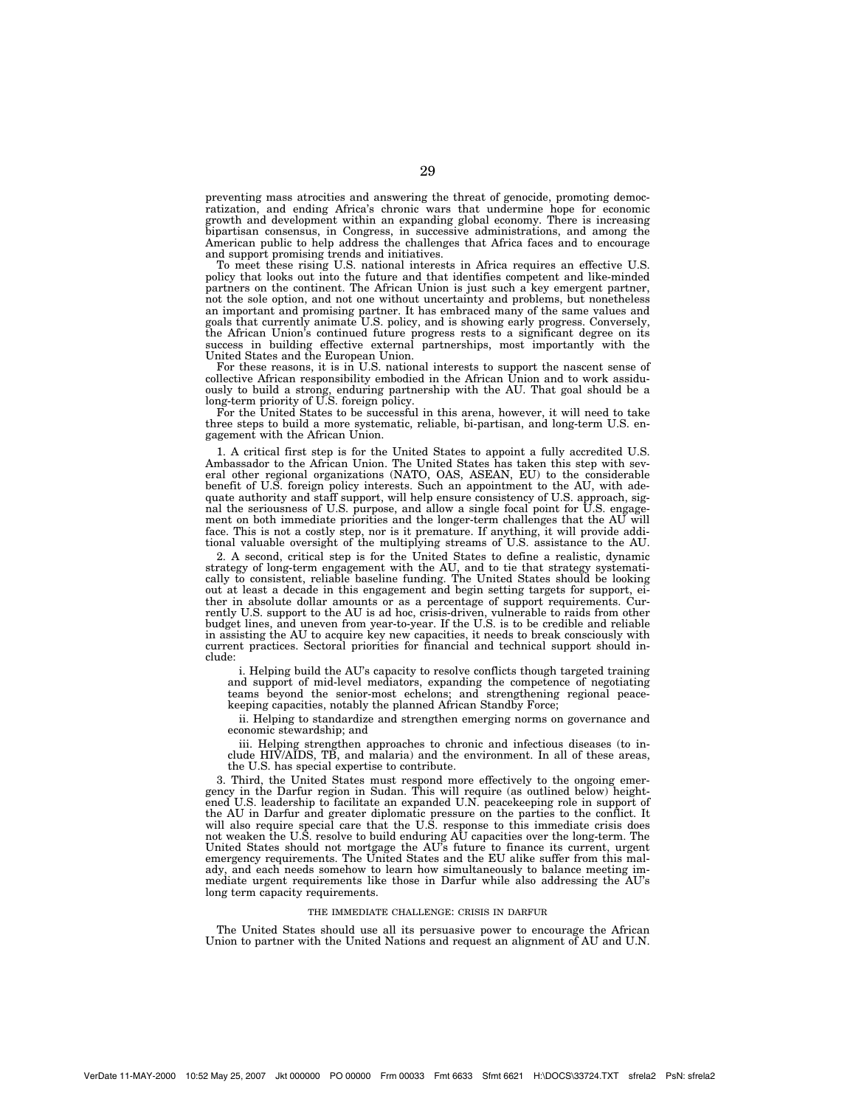preventing mass atrocities and answering the threat of genocide, promoting democratization, and ending Africa's chronic wars that undermine hope for economic growth and development within an expanding global economy. There is increasing bipartisan consensus, in Congress, in successive administrations, and among the American public to help address the challenges that Africa faces and to encourage and support promising trends and initiatives.

To meet these rising U.S. national interests in Africa requires an effective U.S. policy that looks out into the future and that identifies competent and like-minded partners on the continent. The African Union is just such a key emergent partner, not the sole option, and not one without uncertainty and problems, but nonetheless an important and promising partner. It has embraced many of the same values and goals that currently animate U.S. policy, and is showing early progress. Conversely, the African Union's continued future progress rests to a significant degree on its success in building effective external partnerships, most importantly with the United States and the European Union.

For these reasons, it is in U.S. national interests to support the nascent sense of collective African responsibility embodied in the African Union and to work assiduously to build a strong, enduring partnership with the AU. That goal should be a long-term priority of U.S. foreign policy.

For the United States to be successful in this arena, however, it will need to take three steps to build a more systematic, reliable, bi-partisan, and long-term U.S. engagement with the African Union.

1. A critical first step is for the United States to appoint a fully accredited U.S. Ambassador to the African Union. The United States has taken this step with several other regional organizations (NATO, OAS, ASEAN, EU) to the considerable benefit of U.S. foreign policy interests. Such an appointment to the AU, with adequate authority and staff support, will help ensure consistency of U.S. approach, signal the seriousness of U.S. purpose, and allow a single focal point for  $\hat{U}$ .S. engagement on both immediate priorities and the longer-term challenges that the AU will face. This is not a costly step, nor is it premature. If anything, it will provide additional valuable oversight of the multiplying streams of U.S. assistance to the AU.

2. A second, critical step is for the United States to define a realistic, dynamic strategy of long-term engagement with the AU, and to tie that strategy systematically to consistent, reliable baseline funding. The United States should be looking out at least a decade in this engagement and begin setting targets for support, either in absolute dollar amounts or as a percentage of support requirements. Currently U.S. support to the AU is ad hoc, crisis-driven, vulnerable to raids from other budget lines, and uneven from year-to-year. If the U.S. is to be credible and reliable in assisting the AU to acquire key new capacities, it needs to break consciously with current practices. Sectoral priorities for financial and technical support should include:

i. Helping build the AU's capacity to resolve conflicts though targeted training and support of mid-level mediators, expanding the competence of negotiating teams beyond the senior-most echelons; and strengthening regional peacekeeping capacities, notably the planned African Standby Force;

ii. Helping to standardize and strengthen emerging norms on governance and economic stewardship; and

iii. Helping strengthen approaches to chronic and infectious diseases (to include  $H\ddot{IV}/\ddot{A} \ddot{D} S$ ,  $T\ddot{B}$ , and malaria) and the environment. In all of these areas, the U.S. has special expertise to contribute.

3. Third, the United States must respond more effectively to the ongoing emergency in the Darfur region in Sudan. This will require (as outlined below) heightened U.S. leadership to facilitate an expanded U.N. peacekeeping role in support of the AU in Darfur and greater diplomatic pressure on the parties to the conflict. It will also require special care that the U.S. response to this immediate crisis does not weaken the U.S. resolve to build enduring AU capacities over the long-term. The United States should not mortgage the AU's future to finance its current, urgent emergency requirements. The United States and the EU alike suffer from this malady, and each needs somehow to learn how simultaneously to balance meeting immediate urgent requirements like those in Darfur while also addressing the AU's long term capacity requirements.

#### THE IMMEDIATE CHALLENGE: CRISIS IN DARFUR

The United States should use all its persuasive power to encourage the African Union to partner with the United Nations and request an alignment of AU and U.N.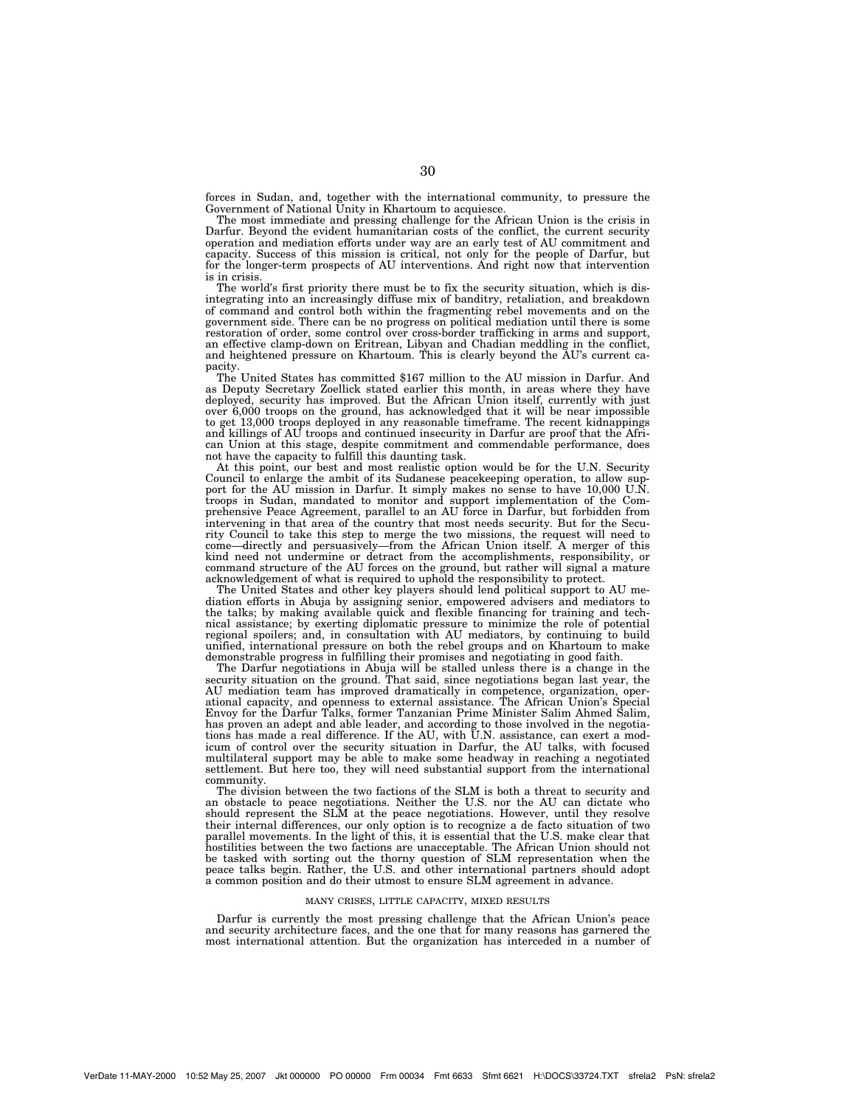forces in Sudan, and, together with the international community, to pressure the Government of National Unity in Khartoum to acquiesce.

The most immediate and pressing challenge for the African Union is the crisis in Darfur. Beyond the evident humanitarian costs of the conflict, the current security operation and mediation efforts under way are an early test of AU commitment and capacity. Success of this mission is critical, not only for the people of Darfur, but for the longer-term prospects of AU interventions. And right now that intervention is in crisis.

The world's first priority there must be to fix the security situation, which is disintegrating into an increasingly diffuse mix of banditry, retaliation, and breakdown of command and control both within the fragmenting rebel movements and on the government side. There can be no progress on political mediation until there is some restoration of order, some control over cross-border trafficking in arms and support, an effective clamp-down on Eritrean, Libyan and Chadian meddling in the conflict, and heightened pressure on Khartoum. This is clearly beyond the AU's current capacity.

The United States has committed \$167 million to the AU mission in Darfur. And as Deputy Secretary Zoellick stated earlier this month, in areas where they have deployed, security has improved. But the African Union itself, currently with just over 6,000 troops on the ground, has acknowledged that it will be near impossible to get 13,000 troops deployed in any reasonable timeframe. The recent kidnappings and killings of AU troops and continued insecurity in Darfur are proof that the African Union at this stage, despite commitment and commendable performance, does not have the capacity to fulfill this daunting task.

At this point, our best and most realistic option would be for the U.N. Security Council to enlarge the ambit of its Sudanese peacekeeping operation, to allow support for the AU mission in Darfur. It simply makes no sense to have 10,000 U.N. troops in Sudan, mandated to monitor and support implementation of the Comprehensive Peace Agreement, parallel to an AU force in Darfur, but forbidden from intervening in that area of the country that most needs security. But for the Security Council to take this step to merge the two missions, the request will need to come—directly and persuasively—from the African Union itself. A merger of this kind need not undermine or detract from the accomplishments, responsibility, or command structure of the AU forces on the ground, but rather will signal a mature acknowledgement of what is required to uphold the responsibility to protect.

The United States and other key players should lend political support to AU mediation efforts in Abuja by assigning senior, empowered advisers and mediators to the talks; by making available quick and flexible financing for training and technical assistance; by exerting diplomatic pressure to minimize the role of potential regional spoilers; and, in consultation with AU mediators, by continuing to build unified, international pressure on both the rebel groups and on Khartoum to make demonstrable progress in fulfilling their promises and negotiating in good faith.

The Darfur negotiations in Abuja will be stalled unless there is a change in the security situation on the ground. That said, since negotiations began last year, the AU mediation team has improved dramatically in competence, organization, operational capacity, and openness to external assistance. The African Union's Special Envoy for the Darfur Talks, former Tanzanian Prime Minister Salim Ahmed Salim, has proven an adept and able leader, and according to those involved in the negotiations has made a real difference. If the AU, with U.N. assistance, can exert a modicum of control over the security situation in Darfur, the AU talks, with focused multilateral support may be able to make some headway in reaching a negotiated settlement. But here too, they will need substantial support from the international community.

The division between the two factions of the SLM is both a threat to security and an obstacle to peace negotiations. Neither the U.S. nor the AU can dictate who should represent the SLM at the peace negotiations. However, until they resolve their internal differences, our only option is to recognize a de facto situation of two parallel movements. In the light of this, it is essential that the U.S. make clear that hostilities between the two factions are unacceptable. The African Union should not be tasked with sorting out the thorny question of SLM representation when the peace talks begin. Rather, the U.S. and other international partners should adopt a common position and do their utmost to ensure SLM agreement in advance.

#### MANY CRISES, LITTLE CAPACITY, MIXED RESULTS

Darfur is currently the most pressing challenge that the African Union's peace and security architecture faces, and the one that for many reasons has garnered the most international attention. But the organization has interceded in a number of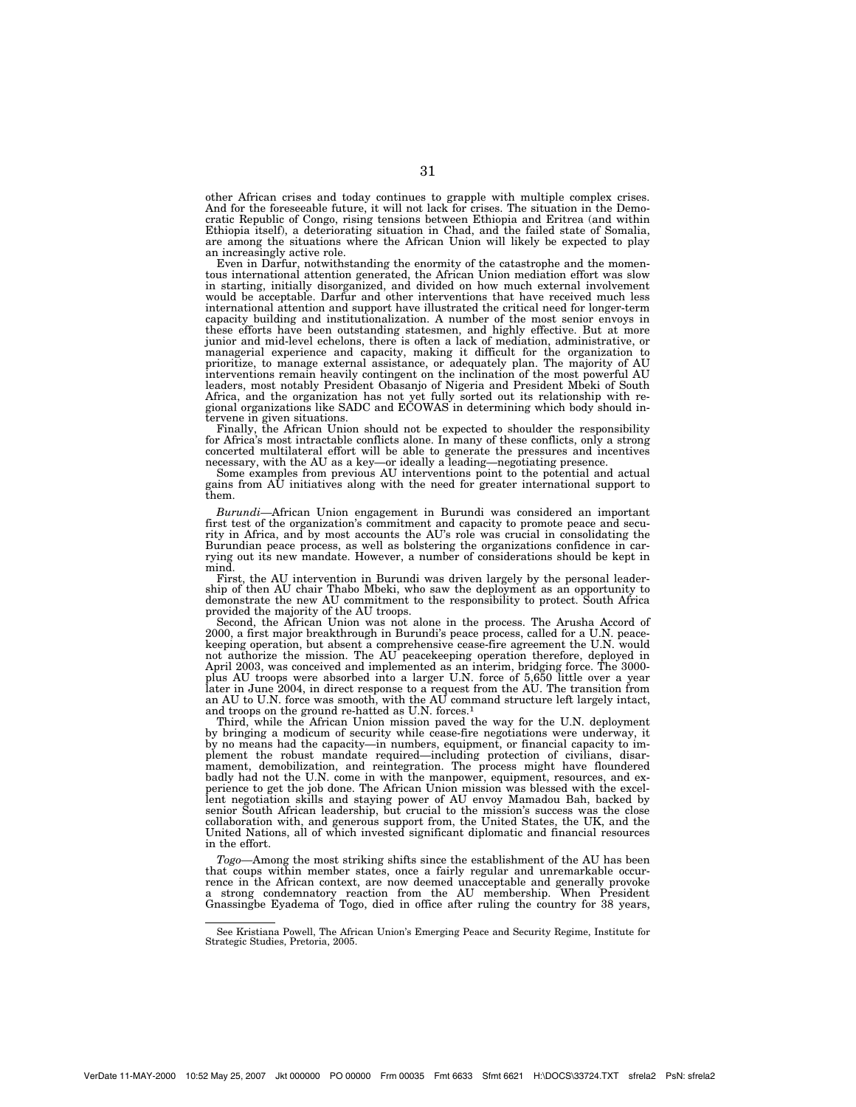other African crises and today continues to grapple with multiple complex crises. And for the foreseeable future, it will not lack for crises. The situation in the Democratic Republic of Congo, rising tensions between Ethiopia and Eritrea (and within Ethiopia itself), a deteriorating situation in Chad, and the failed state of Somalia, are among the situations where the African Union will likely be expected to play an increasingly active role.

Even in Darfur, notwithstanding the enormity of the catastrophe and the momentous international attention generated, the African Union mediation effort was slow in starting, initially disorganized, and divided on how much external involvement would be acceptable. Darfur and other interventions that have received much less international attention and support have illustrated the critical need for longer-term capacity building and institutionalization. A number of the most senior envoys in these efforts have been outstanding statesmen, and highly effective. But at more junior and mid-level echelons, there is often a lack of mediation, administrative, or managerial experience and capacity, making it difficult for the organization to prioritize, to manage external assistance, or adequately plan. The majority of AU interventions remain heavily contingent on the inclination of the most powerful AU leaders, most notably President Obasanjo of Nigeria and President Mbeki of South Africa, and the organization has not yet fully sorted out its relationship with re-gional organizations like SADC and ECOWAS in determining which body should intervene in given situations.

Finally, the African Union should not be expected to shoulder the responsibility for Africa's most intractable conflicts alone. In many of these conflicts, only a strong concerted multilateral effort will be able to generate the pressures and incentives necessary, with the AU as a key—or ideally a leading—negotiating presence.<br>Some examples from previous AU interventions point to the poten

gains from AU initiatives along with the need for greater international support to them.

*Burundi—*African Union engagement in Burundi was considered an important first test of the organization's commitment and capacity to promote peace and security in Africa, and by most accounts the AU's role was crucial in consolidating the Burundian peace process, as well as bolstering the organizations confidence in carrying out its new mandate. However, a number of considerations should be kept in mind.

First, the AU intervention in Burundi was driven largely by the personal leadership of then AU chair Thabo Mbeki, who saw the deployment as an opportunity to demonstrate the new AU commitment to the responsibility to protect. South Africa provided the majority of the AU troops.

Second, the African Union was not alone in the process. The Arusha Accord of 2000, a first major breakthrough in Burundi's peace process, called for a U.N. peacekeeping operation, but absent a comprehensive cease-fire agreement the U.N. would not authorize the mission. The AU peacekeeping operation therefore, deployed in April 2003, was conceived and implemented as an interim, bridging force. The 3000- plus AU troops were absorbed into a larger U.N. force of 5,650 little over a year later in June 2004, in direct response to a request from the AU. The transition from an AU to U.N. force was smooth, with the AU command structure left largely intact, and troops on the ground re-hatted as U.N. forces.1

Third, while the African Union mission paved the way for the U.N. deployment by bringing a modicum of security while cease-fire negotiations were underway, it by no means had the capacity—in numbers, equipment, or financial capacity to implement the robust mandate required—including protection of civilians, disarmament, demobilization, and reintegration. The process might have floundered badly had not the U.N. come in with the manpower, equipment, resources, and experience to get the job done. The African Union mission was blessed with the excel-lent negotiation skills and staying power of AU envoy Mamadou Bah, backed by senior South African leadership, but crucial to the mission's success was the close collaboration with, and generous support from, the United States, the UK, and the United Nations, all of which invested significant diplomatic and financial resources in the effort.

*Togo—*Among the most striking shifts since the establishment of the AU has been that coups within member states, once a fairly regular and unremarkable occurrence in the African context, are now deemed unacceptable and generally provoke<br>a strong condemnatory reaction from the AU membership. When Presi

See Kristiana Powell, The African Union's Emerging Peace and Security Regime, Institute for Strategic Studies, Pretoria, 2005.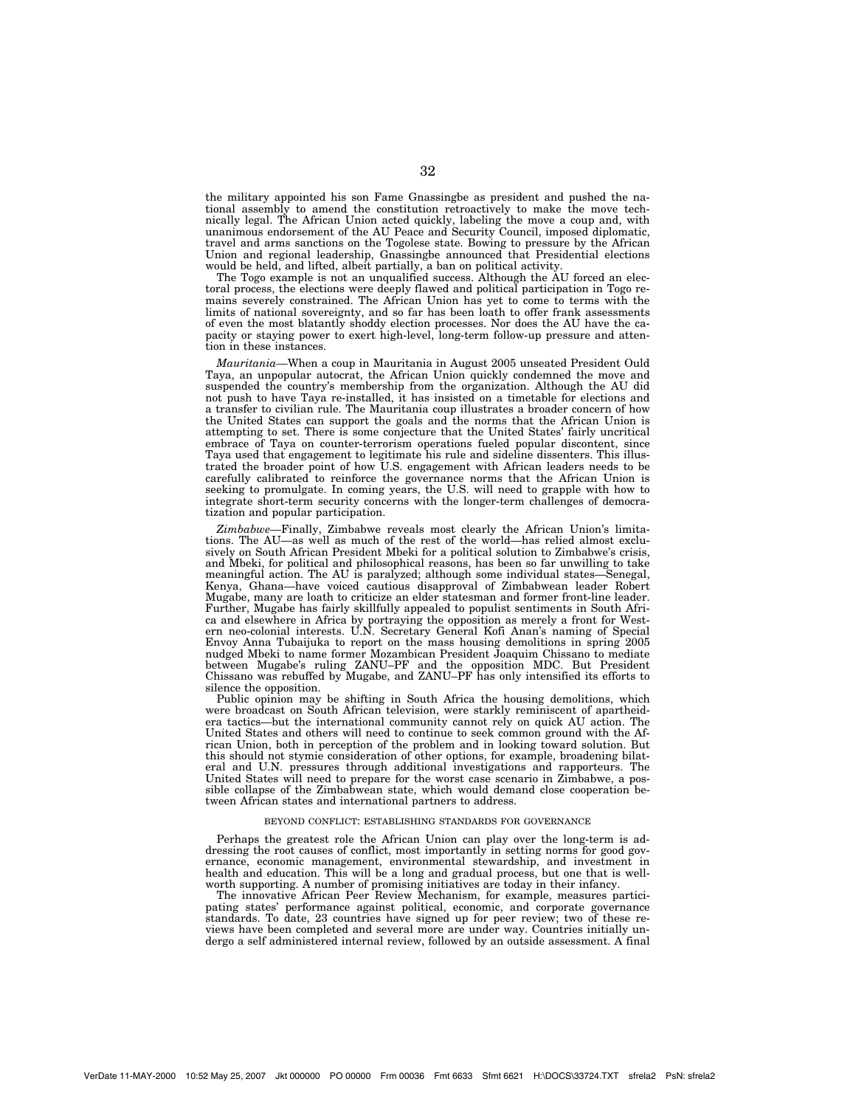the military appointed his son Fame Gnassingbe as president and pushed the national assembly to amend the constitution retroactively to make the move technically legal. The African Union acted quickly, labeling the move a coup and, with unanimous endorsement of the AU Peace and Security Council, imposed diplomatic, travel and arms sanctions on the Togolese state. Bowing to pressure by the African Union and regional leadership, Gnassingbe announced that Presidential elections would be held, and lifted, albeit partially, a ban on political activity.

The Togo example is not an unqualified success. Although the AU forced an electoral process, the elections were deeply flawed and political participation in Togo remains severely constrained. The African Union has yet to come to terms with the limits of national sovereignty, and so far has been loath to offer frank assessments of even the most blatantly shoddy election processes. Nor does the AU have the capacity or staying power to exert high-level, long-term follow-up pressure and attention in these instances.

*Mauritania—*When a coup in Mauritania in August 2005 unseated President Ould Taya, an unpopular autocrat, the African Union quickly condemned the move and suspended the country's membership from the organization. Although the AU did not push to have Taya re-installed, it has insisted on a timetable for elections and a transfer to civilian rule. The Mauritania coup illustrates a broader concern of how the United States can support the goals and the norms that the African Union is attempting to set. There is some conjecture that the United States' fairly uncritical embrace of Taya on counter-terrorism operations fueled popular discontent, since Taya used that engagement to legitimate his rule and sideline dissenters. This illustrated the broader point of how U.S. engagement with African leaders needs to be carefully calibrated to reinforce the governance norms that the African Union is seeking to promulgate. In coming years, the U.S. will need to grapple with how to integrate short-term security concerns with the longer-term challenges of democratization and popular participation.

*Zimbabwe—*Finally, Zimbabwe reveals most clearly the African Union's limitations. The AU—as well as much of the rest of the world—has relied almost exclusively on South African President Mbeki for a political solution to Zimbabwe's crisis, and Mbeki, for political and philosophical reasons, has been so far unwilling to take meaningful action. The AU is paralyzed; although some individual states—Senegal, Kenya, Ghana—have voiced cautious disapproval of Zimbabwean leader Robert Mugabe, many are loath to criticize an elder statesman and former front-line leader. Further, Mugabe has fairly skillfully appealed to populist sentiments in South Africa and elsewhere in Africa by portraying the opposition as merely a front for Western neo-colonial interests. U.N. Secretary General Kofi Anan's naming of Special Envoy Anna Tubaijuka to report on the mass housing demolitions in spring 2005 nudged Mbeki to name former Mozambican President Joaquim Chissano to mediate between Mugabe's ruling ZANU–PF and the opposition MDC. But President Chissano was rebuffed by Mugabe, and ZANU–PF has only intensified its efforts to silence the opposition.

Public opinion may be shifting in South Africa the housing demolitions, which were broadcast on South African television, were starkly reminiscent of apartheidera tactics—but the international community cannot rely on quick AU action. The United States and others will need to continue to seek common ground with the African Union, both in perception of the problem and in looking toward solution. But this should not stymie consideration of other options, for example, broadening bilateral and U.N. pressures through additional investigations and rapporteurs. The United States will need to prepare for the worst case scenario in Zimbabwe, a possible collapse of the Zimbabwean state, which would demand close cooperation between African states and international partners to address.

#### BEYOND CONFLICT: ESTABLISHING STANDARDS FOR GOVERNANCE

Perhaps the greatest role the African Union can play over the long-term is addressing the root causes of conflict, most importantly in setting norms for good governance, economic management, environmental stewardship, and investment in health and education. This will be a long and gradual process, but one that is wellworth supporting. A number of promising initiatives are today in their infancy.

The innovative African Peer Review Mechanism, for example, measures participating states' performance against political, economic, and corporate governance standards. To date, 23 countries have signed up for peer review; two of these reviews have been completed and several more are under way. Countries initially undergo a self administered internal review, followed by an outside assessment. A final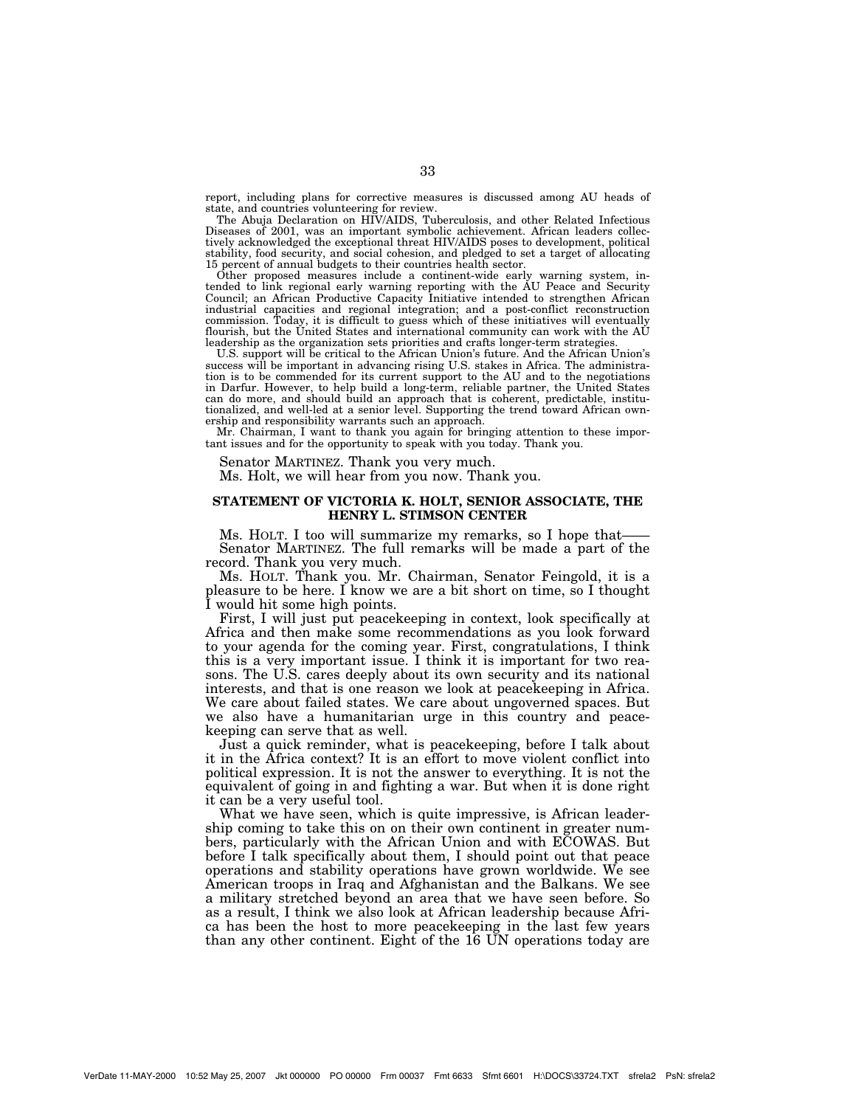report, including plans for corrective measures is discussed among AU heads of state, and countries volunteering for review.

The Abuja Declaration on HIV/AIDS, Tuberculosis, and other Related Infectious Diseases of 2001, was an important symbolic achievement. African leaders collectively acknowledged the exceptional threat HIV/AIDS poses to development, political stability, food security, and social cohesion, and pledged to set a target of allocating 15 percent of annual budgets to their countries health sector.

Other proposed measures include a continent-wide early warning system, intended to link regional early warning reporting with the AU Peace and Security Council; an African Productive Capacity Initiative intended to strengthen African industrial capacities and regional integration; and a post-conflict reconstruction commission. Today, it is difficult to guess which of these initiatives will eventually flourish, but the United States and international community can work with the AU leadership as the organization sets priorities and crafts longer-term strategies.

U.S. support will be critical to the African Union's future. And the African Union's success will be important in advancing rising U.S. stakes in Africa. The administration is to be commended for its current support to the AU and to the negotiations in Darfur. However, to help build a long-term, reliable partner, the United States can do more, and should build an approach that is coherent, predictable, institutionalized, and well-led at a senior level. Supporting the trend toward African ownership and responsibility warrants such an approach.

Mr. Chairman, I want to thank you again for bringing attention to these important issues and for the opportunity to speak with you today. Thank you.

Senator MARTINEZ. Thank you very much.

Ms. Holt, we will hear from you now. Thank you.

## **STATEMENT OF VICTORIA K. HOLT, SENIOR ASSOCIATE, THE HENRY L. STIMSON CENTER**

Ms. HOLT. I too will summarize my remarks, so I hope that— Senator MARTINEZ. The full remarks will be made a part of the record. Thank you very much.

Ms. HOLT. Thank you. Mr. Chairman, Senator Feingold, it is a pleasure to be here. I know we are a bit short on time, so I thought would hit some high points.

First, I will just put peacekeeping in context, look specifically at Africa and then make some recommendations as you look forward to your agenda for the coming year. First, congratulations, I think this is a very important issue. I think it is important for two reasons. The U.S. cares deeply about its own security and its national interests, and that is one reason we look at peacekeeping in Africa. We care about failed states. We care about ungoverned spaces. But we also have a humanitarian urge in this country and peacekeeping can serve that as well.

Just a quick reminder, what is peacekeeping, before I talk about it in the Africa context? It is an effort to move violent conflict into political expression. It is not the answer to everything. It is not the equivalent of going in and fighting a war. But when it is done right it can be a very useful tool.

What we have seen, which is quite impressive, is African leadership coming to take this on on their own continent in greater numbers, particularly with the African Union and with ECOWAS. But before I talk specifically about them, I should point out that peace operations and stability operations have grown worldwide. We see American troops in Iraq and Afghanistan and the Balkans. We see a military stretched beyond an area that we have seen before. So as a result, I think we also look at African leadership because Africa has been the host to more peacekeeping in the last few years than any other continent. Eight of the 16 UN operations today are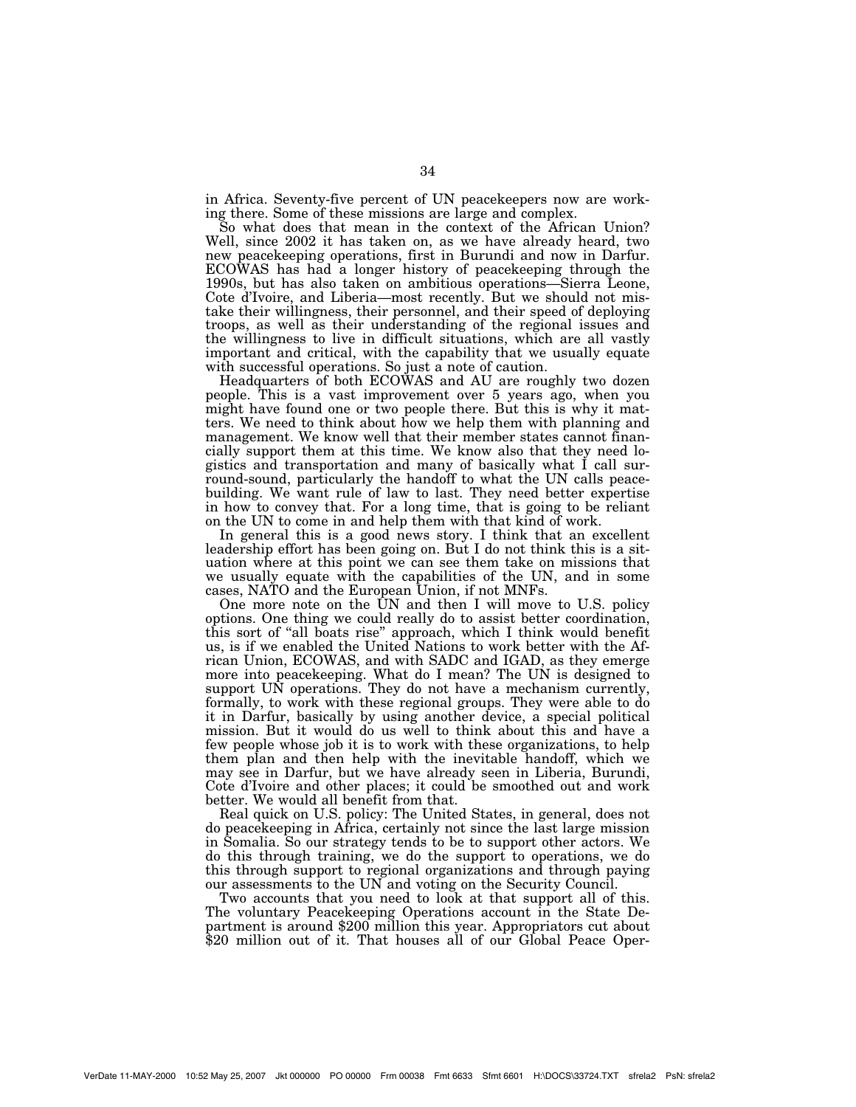in Africa. Seventy-five percent of UN peacekeepers now are working there. Some of these missions are large and complex.

So what does that mean in the context of the African Union? Well, since 2002 it has taken on, as we have already heard, two new peacekeeping operations, first in Burundi and now in Darfur. ECOWAS has had a longer history of peacekeeping through the 1990s, but has also taken on ambitious operations—Sierra Leone, Cote d'Ivoire, and Liberia—most recently. But we should not mistake their willingness, their personnel, and their speed of deploying troops, as well as their understanding of the regional issues and the willingness to live in difficult situations, which are all vastly important and critical, with the capability that we usually equate with successful operations. So just a note of caution.

Headquarters of both ECOWAS and AU are roughly two dozen people. This is a vast improvement over 5 years ago, when you might have found one or two people there. But this is why it matters. We need to think about how we help them with planning and management. We know well that their member states cannot financially support them at this time. We know also that they need logistics and transportation and many of basically what I call surround-sound, particularly the handoff to what the UN calls peacebuilding. We want rule of law to last. They need better expertise in how to convey that. For a long time, that is going to be reliant on the UN to come in and help them with that kind of work.

In general this is a good news story. I think that an excellent leadership effort has been going on. But I do not think this is a situation where at this point we can see them take on missions that we usually equate with the capabilities of the UN, and in some cases, NATO and the European Union, if not MNFs.

One more note on the UN and then I will move to U.S. policy options. One thing we could really do to assist better coordination, this sort of ''all boats rise'' approach, which I think would benefit us, is if we enabled the United Nations to work better with the African Union, ECOWAS, and with SADC and IGAD, as they emerge more into peacekeeping. What do I mean? The UN is designed to support UN operations. They do not have a mechanism currently, formally, to work with these regional groups. They were able to do it in Darfur, basically by using another device, a special political mission. But it would do us well to think about this and have a few people whose job it is to work with these organizations, to help them plan and then help with the inevitable handoff, which we may see in Darfur, but we have already seen in Liberia, Burundi, Cote d'Ivoire and other places; it could be smoothed out and work better. We would all benefit from that.

Real quick on U.S. policy: The United States, in general, does not do peacekeeping in Africa, certainly not since the last large mission in Somalia. So our strategy tends to be to support other actors. We do this through training, we do the support to operations, we do this through support to regional organizations and through paying our assessments to the UN and voting on the Security Council.

Two accounts that you need to look at that support all of this. The voluntary Peacekeeping Operations account in the State Department is around \$200 million this year. Appropriators cut about \$20 million out of it. That houses all of our Global Peace Oper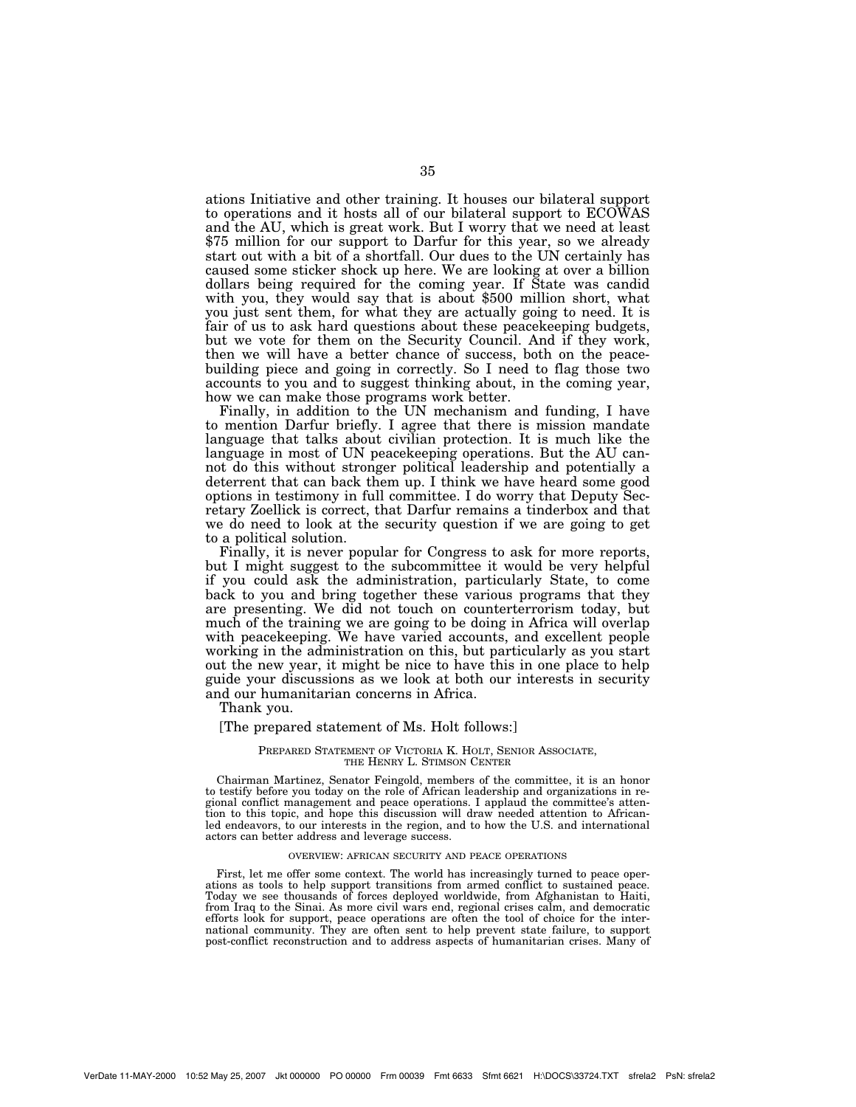ations Initiative and other training. It houses our bilateral support to operations and it hosts all of our bilateral support to ECOWAS and the AU, which is great work. But I worry that we need at least \$75 million for our support to Darfur for this year, so we already start out with a bit of a shortfall. Our dues to the UN certainly has caused some sticker shock up here. We are looking at over a billion dollars being required for the coming year. If State was candid with you, they would say that is about \$500 million short, what you just sent them, for what they are actually going to need. It is fair of us to ask hard questions about these peacekeeping budgets, but we vote for them on the Security Council. And if they work, then we will have a better chance of success, both on the peacebuilding piece and going in correctly. So I need to flag those two accounts to you and to suggest thinking about, in the coming year, how we can make those programs work better.

Finally, in addition to the UN mechanism and funding, I have to mention Darfur briefly. I agree that there is mission mandate language that talks about civilian protection. It is much like the language in most of UN peacekeeping operations. But the AU cannot do this without stronger political leadership and potentially a deterrent that can back them up. I think we have heard some good options in testimony in full committee. I do worry that Deputy Secretary Zoellick is correct, that Darfur remains a tinderbox and that we do need to look at the security question if we are going to get to a political solution.

Finally, it is never popular for Congress to ask for more reports, but I might suggest to the subcommittee it would be very helpful if you could ask the administration, particularly State, to come back to you and bring together these various programs that they are presenting. We did not touch on counterterrorism today, but much of the training we are going to be doing in Africa will overlap with peacekeeping. We have varied accounts, and excellent people working in the administration on this, but particularly as you start out the new year, it might be nice to have this in one place to help guide your discussions as we look at both our interests in security and our humanitarian concerns in Africa.

Thank you.

#### [The prepared statement of Ms. Holt follows:]

#### PREPARED STATEMENT OF VICTORIA K. HOLT, SENIOR ASSOCIATE, THE HENRY L. STIMSON CENTER

Chairman Martinez, Senator Feingold, members of the committee, it is an honor to testify before you today on the role of African leadership and organizations in regional conflict management and peace operations. I applaud the committee's attention to this topic, and hope this discussion will draw needed attention to Africanled endeavors, to our interests in the region, and to how the U.S. and international actors can better address and leverage success.

#### OVERVIEW: AFRICAN SECURITY AND PEACE OPERATIONS

First, let me offer some context. The world has increasingly turned to peace operations as tools to help support transitions from armed conflict to sustained peace. Today we see thousands of forces deployed worldwide, from Afghanistan to Haiti, from Iraq to the Sinai. As more civil wars end, regional crises calm, and democratic efforts look for support, peace operations are often the tool of choice for the international community. They are often sent to help prevent state failure, to support post-conflict reconstruction and to address aspects of humanitarian crises. Many of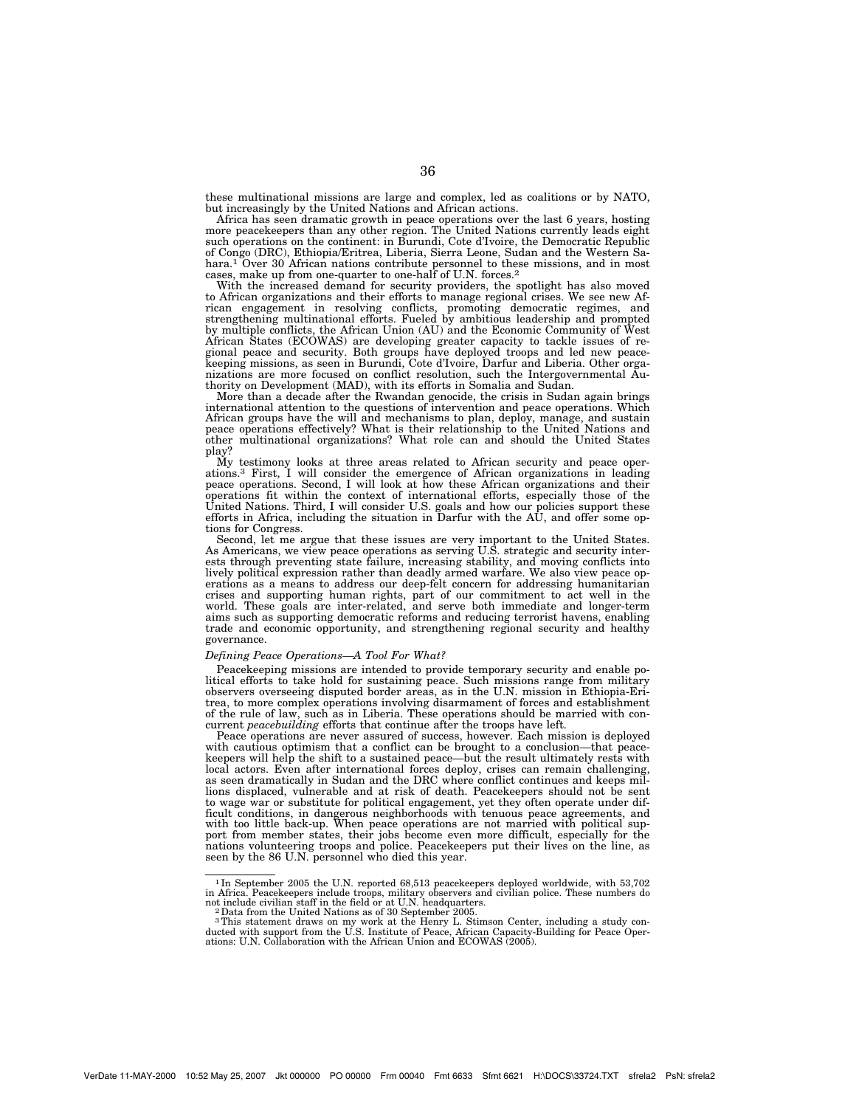these multinational missions are large and complex, led as coalitions or by NATO, but increasingly by the United Nations and African actions.

Africa has seen dramatic growth in peace operations over the last 6 years, hosting more peacekeepers than any other region. The United Nations currently leads eight such operations on the continent: in Burundi, Cote d'Ivoire, the Democratic Republic of Congo (DRC), Ethiopia/Eritrea, Liberia, Sierra Leone, Sudan and the Western Sahara.1 Over 30 African nations contribute personnel to these missions, and in most cases, make up from one-quarter to one-half of U.N. forces.2

With the increased demand for security providers, the spotlight has also moved to African organizations and their efforts to manage regional crises. We see new African engagement in resolving conflicts, promoting democratic regimes, and<br>strengthening multinational efforts. Fueled by ambitious leadership and prompted<br>by multiple conflicts, the African Union (AU) and the Economic Com African States (ECOWAS) are developing greater capacity to tackle issues of re-gional peace and security. Both groups have deployed troops and led new peacekeeping missions, as seen in Burundi, Cote d'Ivoire, Darfur and Liberia. Other organizations are more focused on conflict resolution, such the Intergovernmental Authority on Development (MAD), with its efforts in Somalia and Sudan.<br>More than a decade after the Rwandan genocide, the crisis in Sudan again

international attention to the questions of intervention and peace operations. Which African groups have the will and mechanisms to plan, deploy, manage, and sustain<br>peace operations effectively? What is their relationship to the United Nations and<br>other multinational organizations? What role can and shoul play?

My testimony looks at three areas related to African security and peace oper-<br>ations.<sup>3</sup> First, I will consider the emergence of African organizations in leading<br>peace operations. Second, I will look at how these African tions for Congress.

Second, let me argue that these issues are very important to the United States. As Americans, we view peace operations as serving U.S. strategic and security interests through preventing state failure, increasing stability, and moving conflicts into lively political expression rather than deadly armed warfare. We also view peace operations as a means to address our deep-felt concern for addressing humanitarian crises and supporting human rights, part of our commitment to act well in the world. These goals are inter-related, and serve both immediate and longer-term aims such as supporting democratic reforms and reducing terrorist havens, enabling trade and economic opportunity, and strengthening regional security and healthy governance.

#### *Defining Peace Operations—A Tool For What?*

Peacekeeping missions are intended to provide temporary security and enable political efforts to take hold for sustaining peace. Such missions range from military observers overseeing disputed border areas, as in the U.N. mission in Ethiopia-Eritrea, to more complex operations involving disarmament of forces and establishment of the rule of law, such as in Liberia. These operations should be married with concurrent *peacebuilding* efforts that continue after the troops have left.

Peace operations are never assured of success, however. Each mission is deployed with cautious optimism that a conflict can be brought to a conclusion—that peacekeepers will help the shift to a sustained peace—but the result ultimately rests with<br>local actors. Even after international forces deploy, crises can remain challenging,<br>as seen dramatically in Sudan and the DRC where con lions displaced, vulnerable and at risk of death. Peacekeepers should not be sent to wage war or substitute for political engagement, yet they often operate under difficult conditions, in dangerous neighborhoods with tenuous peace agreements, and with too little back-up. When peace operations are not ma

 $^{1}$  In September 2005 the U.N. reported 68,513 peace<br>keepers deployed worldwide, with 53,702 in Africa. Peace<br>keepers include troops, military observers and civilian police. These numbers do<br>not include civilian staff i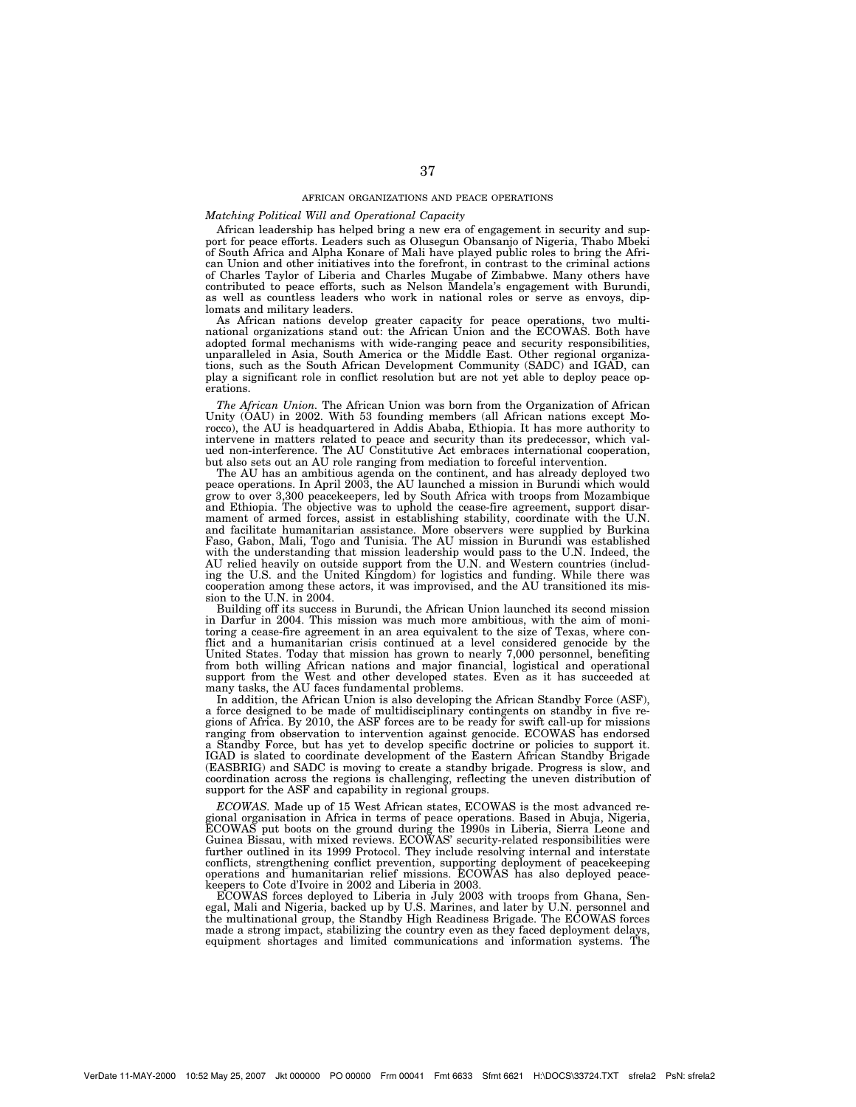#### AFRICAN ORGANIZATIONS AND PEACE OPERATIONS

#### *Matching Political Will and Operational Capacity*

African leadership has helped bring a new era of engagement in security and support for peace efforts. Leaders such as Olusegun Obansanjo of Nigeria, Thabo Mbeki of South Africa and Alpha Konare of Mali have played public roles to bring the African Union and other initiatives into the forefront, in contrast to the criminal actions of Charles Taylor of Liberia and Charles Mugabe of Zimbabwe. Many others have contributed to peace efforts, such as Nelson Mandela's engagement with Burundi, as well as countless leaders who work in national roles or serve as envoys, diplomats and military leaders.

As African nations develop greater capacity for peace operations, two multinational organizations stand out: the African Union and the ECOWAS. Both have adopted formal mechanisms with wide-ranging peace and security responsibilities, unparalleled in Asia, South America or the Middle East. Other regional organizations, such as the South African Development Community (SADC) and IGAD, can play a significant role in conflict resolution but are not yet able to deploy peace operations.

*The African Union.* The African Union was born from the Organization of African Unity (OAU) in 2002. With 53 founding members (all African nations except Morocco), the AU is headquartered in Addis Ababa, Ethiopia. It has more authority to intervene in matters related to peace and security than its predecessor, which valued non-interference. The AU Constitutive Act embraces international cooperation, but also sets out an AU role ranging from mediation to forceful intervention.

The AU has an ambitious agenda on the continent, and has already deployed two peace operations. In April 2003, the AU launched a mission in Burundi which would grow to over 3,300 peacekeepers, led by South Africa with troops from Mozambique and Ethiopia. The objective was to uphold the cease-fire agreement, support disarmament of armed forces, assist in establishing stability, coordinate with the U.N. and facilitate humanitarian assistance. More observers were supplied by Burkina Faso, Gabon, Mali, Togo and Tunisia. The AU mission in Burundi was established with the understanding that mission leadership would pass to the U.N. Indeed, the AU relied heavily on outside support from the U.N. and Western countries (including the U.S. and the United Kingdom) for logistics and funding. While there was cooperation among these actors, it was improvised, and the AU transitioned its mission to the U.N. in 2004.

Building off its success in Burundi, the African Union launched its second mission in Darfur in 2004. This mission was much more ambitious, with the aim of monitoring a cease-fire agreement in an area equivalent to the size of Texas, where conflict and a humanitarian crisis continued at a level considered genocide by the United States. Today that mission has grown to nearly 7,000 personnel, benefiting from both willing African nations and major financial, logistical and operational support from the West and other developed states. Even as it has succeeded at many tasks, the AU faces fundamental problems.

In addition, the African Union is also developing the African Standby Force (ASF), a force designed to be made of multidisciplinary contingents on standby in five regions of Africa. By 2010, the ASF forces are to be ready for swift call-up for missions ranging from observation to intervention against genocide. ECOWAS has endorsed a Standby Force, but has yet to develop specific doctrine or policies to support it. IGAD is slated to coordinate development of the Eastern African Standby Brigade (EASBRIG) and SADC is moving to create a standby brigade. Progress is slow, and coordination across the regions is challenging, reflecting the uneven distribution of support for the ASF and capability in regional groups.

*ECOWAS.* Made up of 15 West African states, ECOWAS is the most advanced regional organisation in Africa in terms of peace operations. Based in Abuja, Nigeria, ECOWAS put boots on the ground during the 1990s in Liberia, Sierra Leone and Guinea Bissau, with mixed reviews. ECOWAS' security-related responsibilities were further outlined in its 1999 Protocol. They include resolving internal and interstate conflicts, strengthening conflict prevention, supporting deployment of peacekeeping operations and humanitarian relief missions. ECOWAS has also deployed peacekeepers to Cote d'Ivoire in 2002 and Liberia in 2003.

ECOWAS forces deployed to Liberia in July 2003 with troops from Ghana, Senegal, Mali and Nigeria, backed up by U.S. Marines, and later by U.N. personnel and the multinational group, the Standby High Readiness Brigade. The ECOWAS forces made a strong impact, stabilizing the country even as they faced deployment delays, equipment shortages and limited communications and information systems. The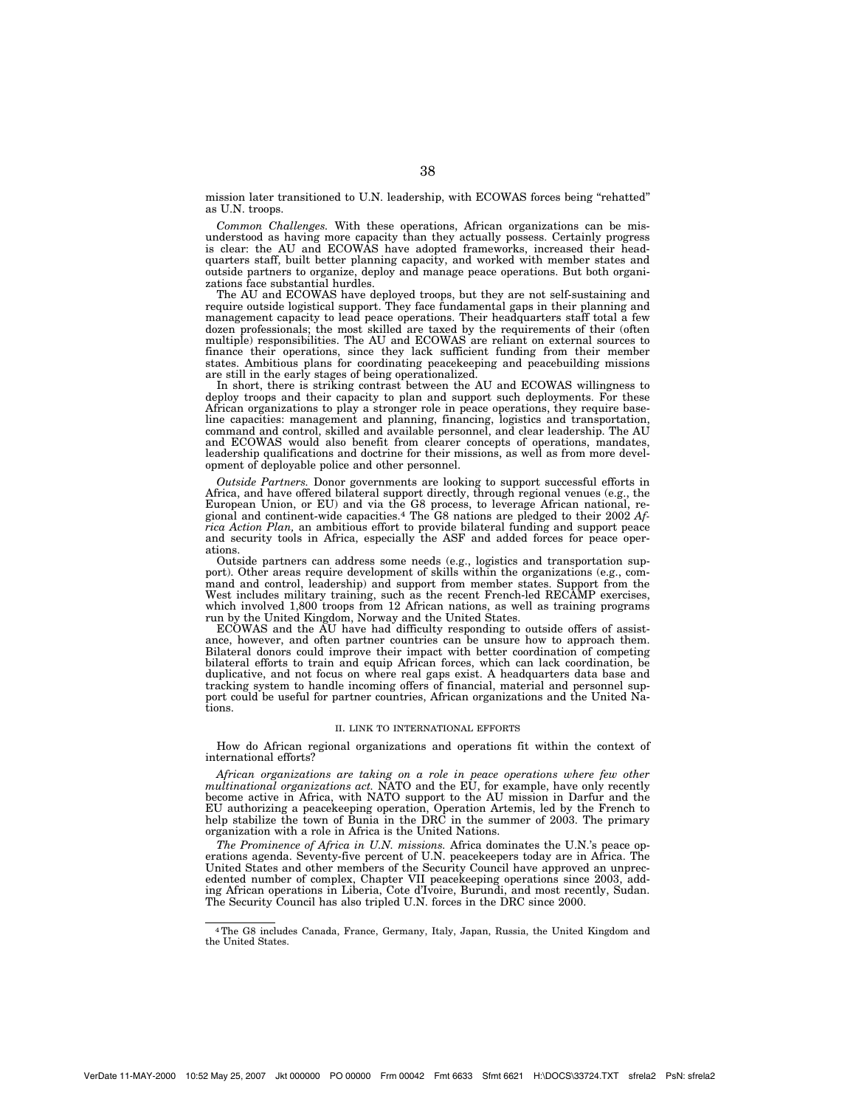mission later transitioned to U.N. leadership, with ECOWAS forces being ''rehatted'' as U.N. troops.

*Common Challenges.* With these operations, African organizations can be misunderstood as having more capacity than they actually possess. Certainly progress is clear: the AU and ECOWAS have adopted frameworks, increased their headquarters staff, built better planning capacity, and worked with member states and outside partners to organize, deploy and manage peace operations. But both organizations face substantial hurdles.

The AU and ECOWAS have deployed troops, but they are not self-sustaining and require outside logistical support. They face fundamental gaps in their planning and management capacity to lead peace operations. Their headquarters staff total a few dozen professionals; the most skilled are taxed by the requirements of their (often multiple) responsibilities. The AU and ECOWAS are reliant on external sources to finance their operations, since they lack sufficient funding from their member states. Ambitious plans for coordinating peacekeeping and peacebuilding missions are still in the early stages of being operationalized.

In short, there is striking contrast between the AU and ECOWAS willingness to deploy troops and their capacity to plan and support such deployments. For these African organizations to play a stronger role in peace operations, they require baseline capacities: management and planning, financing, logistics and transportation, command and control, skilled and available personnel, and clear leadership. The AU and ECOWAS would also benefit from clearer concepts of operations, mandates, leadership qualifications and doctrine for their missions, as well as from more development of deployable police and other personnel.

*Outside Partners.* Donor governments are looking to support successful efforts in Africa, and have offered bilateral support directly, through regional venues (e.g., the European Union, or EU) and via the G8 process, to leverage African national, regional and continent-wide capacities.4 The G8 nations are pledged to their 2002 *Africa Action Plan,* an ambitious effort to provide bilateral funding and support peace and security tools in Africa, especially the ASF and added forces for peace operations.

Outside partners can address some needs (e.g., logistics and transportation support). Other areas require development of skills within the organizations (e.g., command and control, leadership) and support from member states. Support from the West includes military training, such as the recent French-led RECAMP exercises, which involved 1,800 troops from 12 African nations, as well as training programs run by the United Kingdom, Norway and the United States.

ECOWAS and the AU have had difficulty responding to outside offers of assistance, however, and often partner countries can be unsure how to approach them. Bilateral donors could improve their impact with better coordination of competing bilateral efforts to train and equip African forces, which can lack coordination, be duplicative, and not focus on where real gaps exist. A headquarters data base and tracking system to handle incoming offers of financial, material and personnel support could be useful for partner countries, African organizations and the United Nations.

#### II. LINK TO INTERNATIONAL EFFORTS

How do African regional organizations and operations fit within the context of international efforts?

*African organizations are taking on a role in peace operations where few other multinational organizations act.* NATO and the EU, for example, have only recently become active in Africa, with NATO support to the AU mission in Darfur and the EU authorizing a peacekeeping operation, Operation Artemis, led by the French to help stabilize the town of Bunia in the DRC in the summer of 2003. The primary organization with a role in Africa is the United Nations.

*The Prominence of Africa in U.N. missions.* Africa dominates the U.N.'s peace operations agenda. Seventy-five percent of U.N. peacekeepers today are in Africa. The United States and other members of the Security Council have approved an unprecedented number of complex, Chapter VII peacekeeping operations since 2003, adding African operations in Liberia, Cote d'Ivoire, Burundi, and most recently, Sudan. The Security Council has also tripled U.N. forces in the DRC since 2000.

<sup>4</sup>The G8 includes Canada, France, Germany, Italy, Japan, Russia, the United Kingdom and the United States.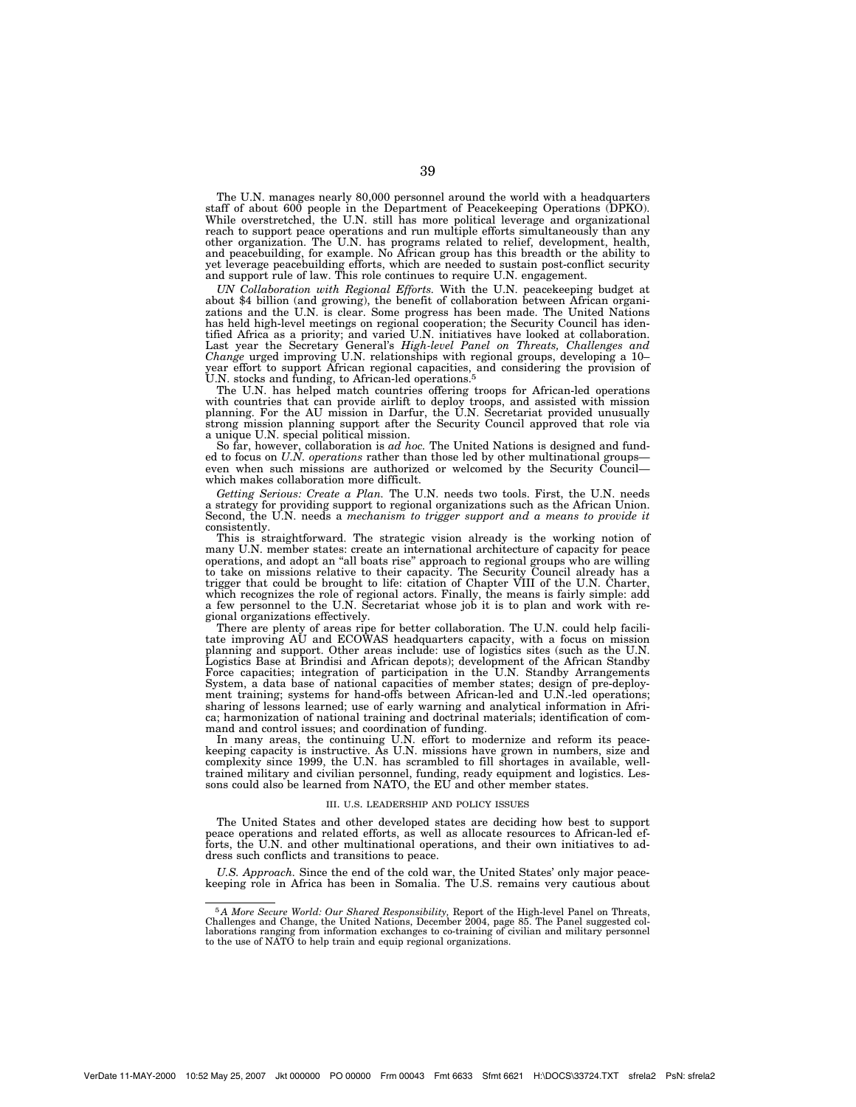The U.N. manages nearly 80,000 personnel around the world with a headquarters staff of about 600 people in the Department of Peacekeeping Operations (DPKO). While overstretched, the U.N. still has more political leverage and organizational reach to support peace operations and run multiple efforts simultaneously than any other organization. The U.N. has programs related to relief, development, health, and peacebuilding, for example. No African group has this breadth or the ability to yet leverage peacebuilding efforts, which are needed to sustain post-conflict security and support rule of law. This role continues to require U.N. engagement.

*UN Collaboration with Regional Efforts.* With the U.N. peacekeeping budget at about \$4 billion (and growing), the benefit of collaboration between African organizations and the U.N. is clear. Some progress has been made. The United Nations has held high-level meetings on regional cooperation; the Security Council has identified Africa as a priority; and varied U.N. initiatives have looked at collaboration. Last year the Secretary General's *High-level Panel on Threats, Challenges and Change* urged improving U.N. relationships with regional groups, developing a 10– year effort to support African regional capacities, and considering the provision of U.N. stocks and funding, to African-led operations.<sup>5</sup>

The U.N. has helped match countries offering troops for African-led operations with countries that can provide airlift to deploy troops, and assisted with mission planning. For the AU mission in Darfur, the U.N. Secretariat provided unusually strong mission planning support after the Security Council approved that role via a unique U.N. special political mission.

So far, however, collaboration is *ad hoc*. The United Nations is designed and funded to focus on *U.N. operations* rather than those led by other multinational groups even when such missions are authorized or welcomed by the Security Council which makes collaboration more difficult.

*Getting Serious: Create a Plan.* The U.N. needs two tools. First, the U.N. needs a strategy for providing support to regional organizations such as the African Union. Second, the U.N. needs a *mechanism to trigger support and a means to provide it* consistently.

This is straightforward. The strategic vision already is the working notion of many U.N. member states: create an international architecture of capacity for peace operations, and adopt an ''all boats rise'' approach to regional groups who are willing to take on missions relative to their capacity. The Security Council already has a trigger that could be brought to life: citation of Chapter VIII of the U.N. Charter, which recognizes the role of regional actors. Finally, the means is fairly simple: add a few personnel to the U.N. Secretariat whose job it is to plan and work with regional organizations effectively.

There are plenty of areas ripe for better collaboration. The U.N. could help facilitate improving AU and ECOWAS headquarters capacity, with a focus on mission planning and support. Other areas include: use of logistics sites (such as the U.N. Logistics Base at Brindisi and African depots); development of the African Standby Force capacities; integration of participation in the U.N. Standby Arrangements System, a data base of national capacities of member states; design of pre-deployment training; systems for hand-offs between African-led and U.N.-led operations; sharing of lessons learned; use of early warning and analytical information in Africa; harmonization of national training and doctrinal materials; identification of command and control issues; and coordination of funding.

In many areas, the continuing U.N. effort to modernize and reform its peacekeeping capacity is instructive. As U.N. missions have grown in numbers, size and complexity since 1999, the U.N. has scrambled to fill shortages in available, welltrained military and civilian personnel, funding, ready equipment and logistics. Lessons could also be learned from NATO, the EU and other member states.

#### III. U.S. LEADERSHIP AND POLICY ISSUES

The United States and other developed states are deciding how best to support peace operations and related efforts, as well as allocate resources to African-led efforts, the U.N. and other multinational operations, and their own initiatives to address such conflicts and transitions to peace.

*U.S. Approach.* Since the end of the cold war, the United States' only major peacekeeping role in Africa has been in Somalia. The U.S. remains very cautious about

<sup>5</sup> *A More Secure World: Our Shared Responsibility,* Report of the High-level Panel on Threats, Challenges and Change, the United Nations, December 2004, page 85. The Panel suggested collaborations ranging from information exchanges to co-training of civilian and military personnel to the use of NATO to help train and equip regional organizations.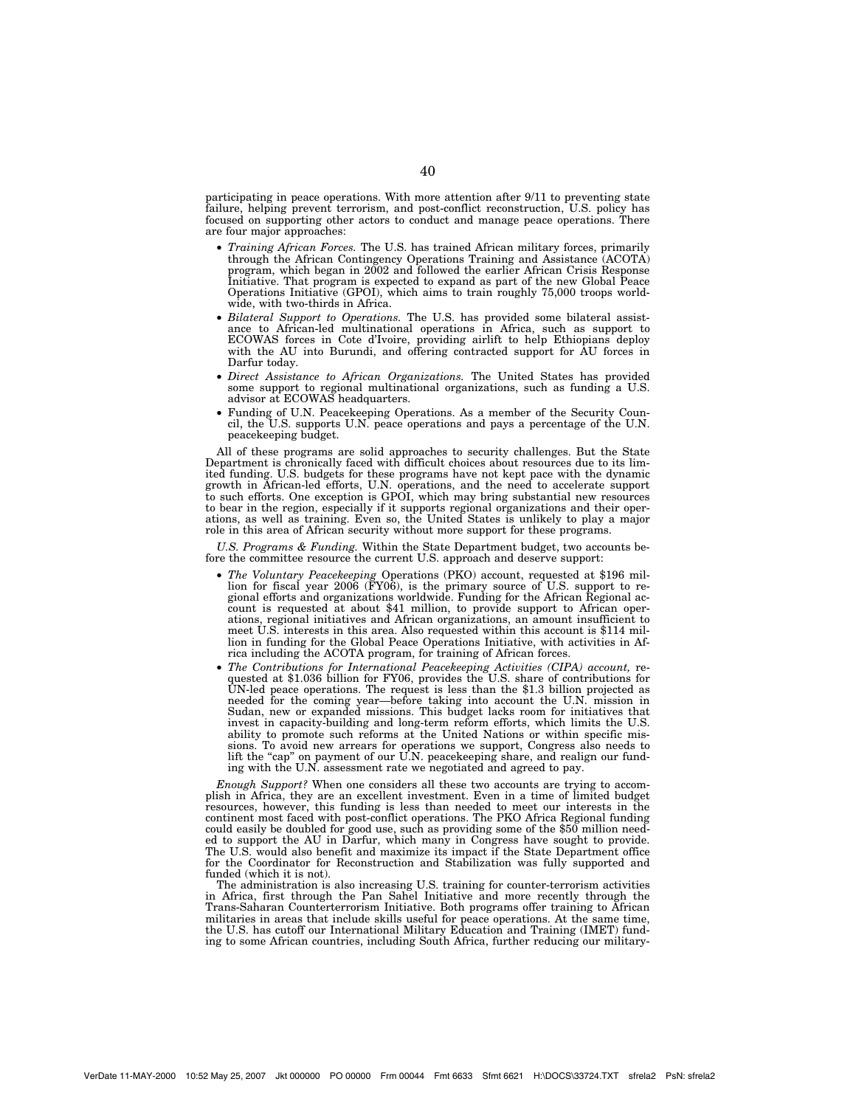participating in peace operations. With more attention after 9/11 to preventing state failure, helping prevent terrorism, and post-conflict reconstruction, U.S. policy has focused on supporting other actors to conduct and manage peace operations. There are four major approaches:

- *Training African Forces.* The U.S. has trained African military forces, primarily through the African Contingency Operations Training and Assistance (ACOTA) program, which began in 2002 and followed the earlier African Crisis Response Initiative. That program is expected to expand as part of the new Global Peace Operations Initiative (GPOI), which aims to train roughly 75,000 troops worldwide, with two-thirds in Africa.
- *Bilateral Support to Operations.* The U.S. has provided some bilateral assist-ance to African-led multinational operations in Africa, such as support to ECOWAS forces in Cote d'Ivoire, providing airlift to help Ethiopians deploy with the AU into Burundi, and offering contracted support for AU forces in Darfur today.
- *Direct Assistance to African Organizations.* The United States has provided some support to regional multinational organizations, such as funding a U.S. advisor at ECOWAS headquarters.
- Funding of U.N. Peacekeeping Operations. As a member of the Security Council, the U.S. supports U.N. peace operations and pays a percentage of the U.N. peacekeeping budget.

All of these programs are solid approaches to security challenges. But the State Department is chronically faced with difficult choices about resources due to its limited funding. U.S. budgets for these programs have not kept pace with the dynamic growth in African-led efforts, U.N. operations, and the need to accelerate support to such efforts. One exception is GPOI, which may bring substantial new resources to bear in the region, especially if it supports regional organizations and their operations, as well as training. Even so, the United States is unlikely to play a major role in this area of African security without more support for these programs.

*U.S. Programs & Funding.* Within the State Department budget, two accounts before the committee resource the current U.S. approach and deserve support:

- *The Voluntary Peacekeeping* Operations (PKO) account, requested at \$196 million for fiscal year 2006 (FY06), is the primary source of U.S. support to regional efforts and organizations worldwide. Funding for the African Regional account is requested at about \$41 million, to provide support to African operations, regional initiatives and African organizations, an amount insufficient to meet U.S. interests in this area. Also requested within this account is \$114 million in funding for the Global Peace Operations Initiative, with activities in Africa including the ACOTA program, for training of African forces.
- *The Contributions for International Peacekeeping Activities (CIPA) account,* requested at \$1.036 billion for FY06, provides the U.S. share of contributions for UN-led peace operations. The request is less than the \$1.3 billion projected as needed for the coming year—before taking into account the U.N. mission in Sudan, new or expanded missions. This budget lacks room for initiatives that invest in capacity-building and long-term reform efforts, which limits the U.S. ability to promote such reforms at the United Nations or within specific missions. To avoid new arrears for operations we support, Congress also needs to lift the "cap" on payment of our U.N. peacekeeping share, and realign our funding with the U.N. assessment rate we negotiated and agreed to pay.

*Enough Support?* When one considers all these two accounts are trying to accomplish in Africa, they are an excellent investment. Even in a time of limited budget resources, however, this funding is less than needed to meet our interests in the continent most faced with post-conflict operations. The PKO Africa Regional funding could easily be doubled for good use, such as providing some of the \$50 million needed to support the AU in Darfur, which many in Congress have sought to provide. The U.S. would also benefit and maximize its impact if the State Department office for the Coordinator for Reconstruction and Stabilization was fully supported and funded (which it is not).

The administration is also increasing U.S. training for counter-terrorism activities in Africa, first through the Pan Sahel Initiative and more recently through the Trans-Saharan Counterterrorism Initiative. Both programs offer training to African militaries in areas that include skills useful for peace operations. At the same time,<br>the U.S. has cutoff our International Military Education and Training (IMET) fund-<br>ing to some African countries, including South Afric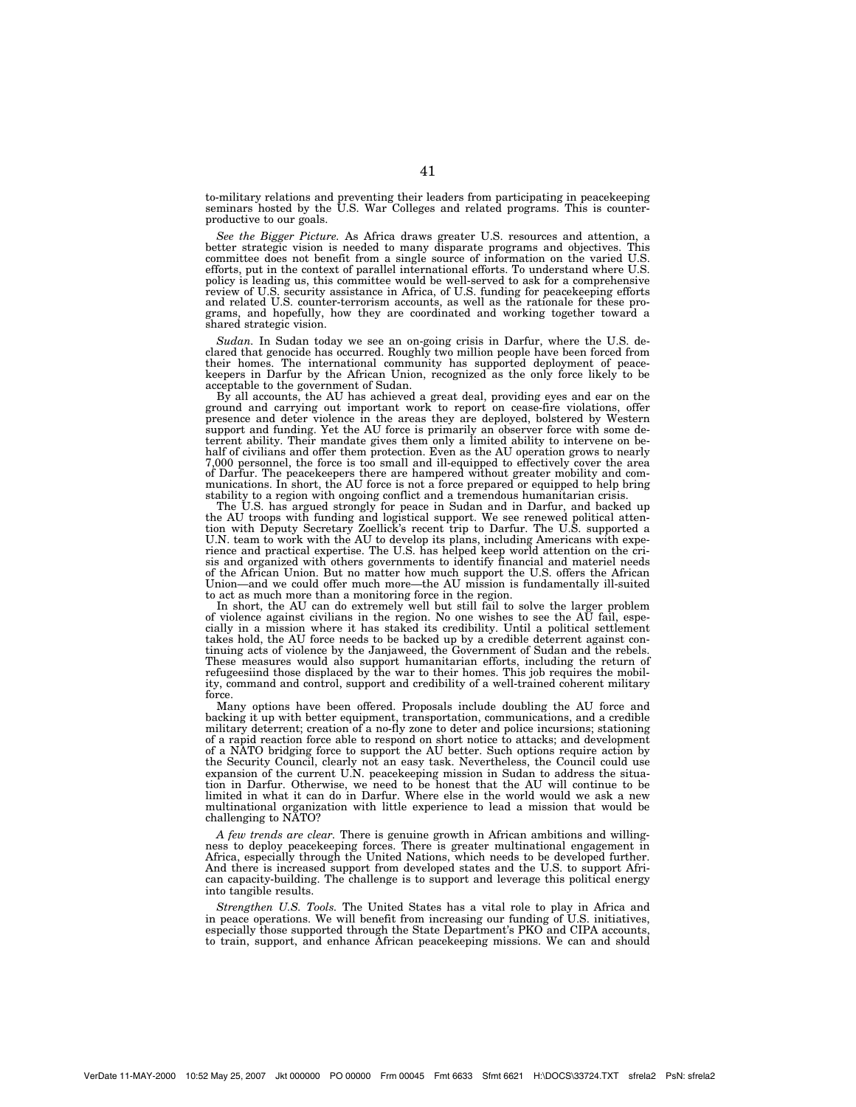to-military relations and preventing their leaders from participating in peacekeeping seminars hosted by the U.S. War Colleges and related programs. This is counterproductive to our goals.

*See the Bigger Picture.* As Africa draws greater U.S. resources and attention, a better strategic vision is needed to many disparate programs and objectives. This committee does not benefit from a single source of information on the varied U.S. efforts, put in the context of parallel international efforts. To understand where U.S. policy is leading us, this committee would be well-served to ask for a comprehensive review of U.S. security assistance in Africa, of U.S. funding for peacekeeping efforts and related U.S. counter-terrorism accounts, as well as the rationale for these programs, and hopefully, how they are coordinated and working together toward a shared strategic vision.

*Sudan.* In Sudan today we see an on-going crisis in Darfur, where the U.S. declared that genocide has occurred. Roughly two million people have been forced from their homes. The international community has supported deployment of peacekeepers in Darfur by the African Union, recognized as the only force likely to be acceptable to the government of Sudan.

By all accounts, the AU has achieved a great deal, providing eyes and ear on the ground and carrying out important work to report on cease-fire violations, offer presence and deter violence in the areas they are deployed, bolstered by Western support and funding. Yet the AU force is primarily an observer force with some deterrent ability. Their mandate gives them only a limited ability to intervene on behalf of civilians and offer them protection. Even as the AU operation grows to nearly 7,000 personnel, the force is too small and ill-equipped to effectively cover the area of Darfur. The peacekeepers there are hampered without greater mobility and communications. In short, the AU force is not a force prepared or equipped to help bring stability to a region with ongoing conflict and a tremendous humanitarian crisis. The U.S. has argued strongly for peace in Sudan and in Darfur, and backed up

the AU troops with funding and logistical support. We see renewed political atten-tion with Deputy Secretary Zoellick's recent trip to Darfur. The U.S. supported a U.N. team to work with the AU to develop its plans, including Americans with expe-rience and practical expertise. The U.S. has helped keep world attention on the crisis and organized with others governments to identify financial and materiel needs of the African Union. But no matter how much support the U.S. offers the African Union—and we could offer much more—the AU mission is fundamentally ill-suited to act as much more than a monitoring force in the region.

In short, the AU can do extremely well but still fail to solve the larger problem of violence against civilians in the region. No one wishes to see the AU fail, especially in a mission where it has staked its credibility. Until a political settlement takes hold, the AU force needs to be backed up by a credible deterrent against continuing acts of violence by the Janjaweed, the Government of Sudan and the rebels. These measures would also support humanitarian efforts, including the return of refugeesiind those displaced by the war to their homes. This job requires the mobility, command and control, support and credibility of a well-trained coherent military force.

Many options have been offered. Proposals include doubling the AU force and backing it up with better equipment, transportation, communications, and a credible military deterrent; creation of a no-fly zone to deter and police incursions; stationing of a rapid reaction force able to respond on short notice to attacks; and development of a NATO bridging force to support the AU better. Such options require action by the Security Council, clearly not an easy task. Nevertheless, the Council could use expansion of the current U.N. peacekeeping mission in Sudan to address the situation in Darfur. Otherwise, we need to be honest that the AU will continue to be limited in what it can do in Darfur. Where else in the world would we ask a new multinational organization with little experience to lead a mission that would be challenging to NATO?

*A few trends are clear.* There is genuine growth in African ambitions and willingness to deploy peacekeeping forces. There is greater multinational engagement in Africa, especially through the United Nations, which needs to be developed further. And there is increased support from developed states and the U.S. to support African capacity-building. The challenge is to support and leverage this political energy into tangible results.

*Strengthen U.S. Tools.* The United States has a vital role to play in Africa and in peace operations. We will benefit from increasing our funding of U.S. initiatives, especially those supported through the State Department's PKO and CIPA accounts, to train, support, and enhance African peacekeeping missions. We can and should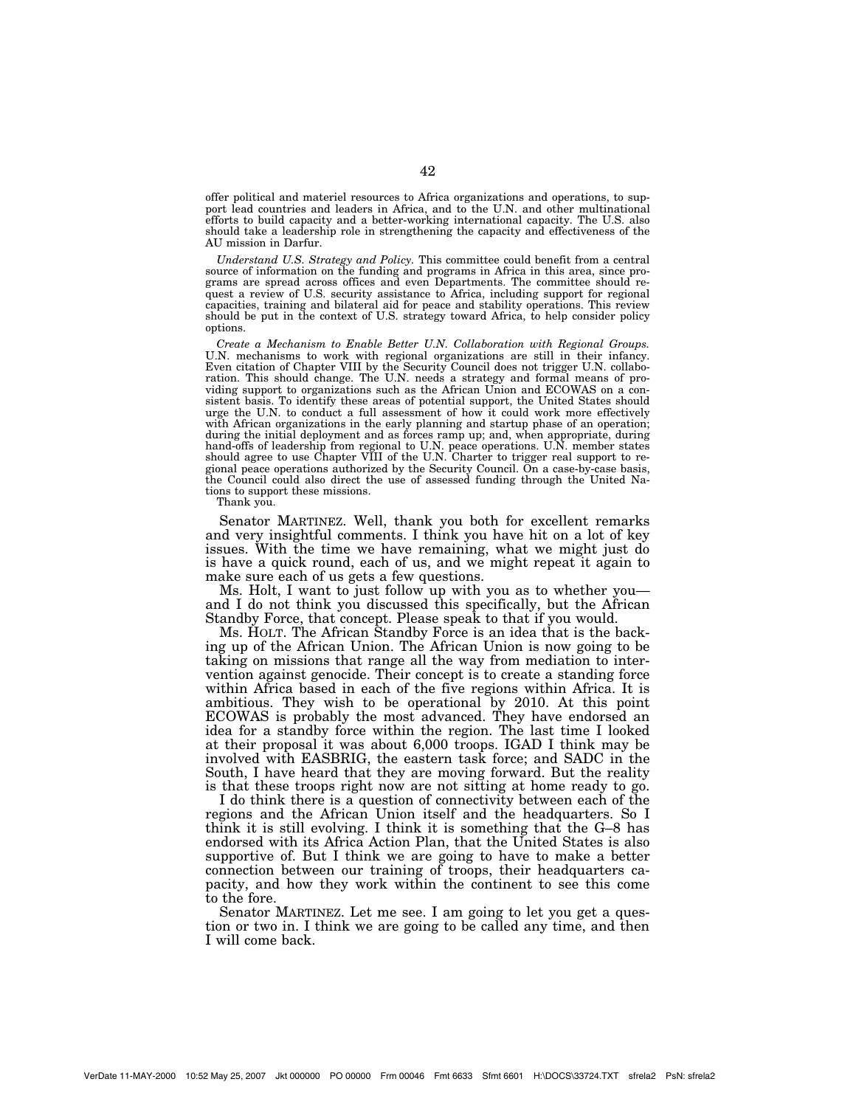offer political and materiel resources to Africa organizations and operations, to support lead countries and leaders in Africa, and to the U.N. and other multinational efforts to build capacity and a better-working international capacity. The U.S. also should take a leadership role in strengthening the capacity and effectiveness of the AU mission in Darfur.

*Understand U.S. Strategy and Policy.* This committee could benefit from a central source of information on the funding and programs in Africa in this area, since programs are spread across offices and even Departments. The committee should request a review of U.S. security assistance to Africa, including support for regional capacities, training and bilateral aid for peace and stability operations. This review should be put in the context of U.S. strategy toward Africa, to help consider policy options.

*Create a Mechanism to Enable Better U.N. Collaboration with Regional Groups.* U.N. mechanisms to work with regional organizations are still in their infancy. Even citation of Chapter VIII by the Security Council does not trigger U.N. collaboration. This should change. The U.N. needs a strategy and formal means of providing support to organizations such as the African Union and ECOWAS on a consistent basis. To identify these areas of potential support, the United States should urge the U.N. to conduct a full assessment of how it could work more effectively with African organizations in the early planning and startup phase of an operation; during the initial deployment and as forces ramp up; and, when appropriate, during hand-offs of leadership from regional to U.N. peace operations. U.N. member states should agree to use Chapter VIII of the U.N. Charter to trigger real support to regional peace operations authorized by the Security Council. On a case-by-case basis, the Council could also direct the use of assessed funding through the United Nations to support these missions.

Thank you.

Senator MARTINEZ. Well, thank you both for excellent remarks and very insightful comments. I think you have hit on a lot of key issues. With the time we have remaining, what we might just do is have a quick round, each of us, and we might repeat it again to make sure each of us gets a few questions.

Ms. Holt, I want to just follow up with you as to whether you and I do not think you discussed this specifically, but the African Standby Force, that concept. Please speak to that if you would.

Ms. HOLT. The African Standby Force is an idea that is the backing up of the African Union. The African Union is now going to be taking on missions that range all the way from mediation to intervention against genocide. Their concept is to create a standing force within Africa based in each of the five regions within Africa. It is ambitious. They wish to be operational by 2010. At this point ECOWAS is probably the most advanced. They have endorsed an idea for a standby force within the region. The last time I looked at their proposal it was about 6,000 troops. IGAD I think may be involved with EASBRIG, the eastern task force; and SADC in the South, I have heard that they are moving forward. But the reality is that these troops right now are not sitting at home ready to go.

I do think there is a question of connectivity between each of the regions and the African Union itself and the headquarters. So I think it is still evolving. I think it is something that the G–8 has endorsed with its Africa Action Plan, that the United States is also supportive of. But I think we are going to have to make a better connection between our training of troops, their headquarters capacity, and how they work within the continent to see this come to the fore.

Senator MARTINEZ. Let me see. I am going to let you get a question or two in. I think we are going to be called any time, and then I will come back.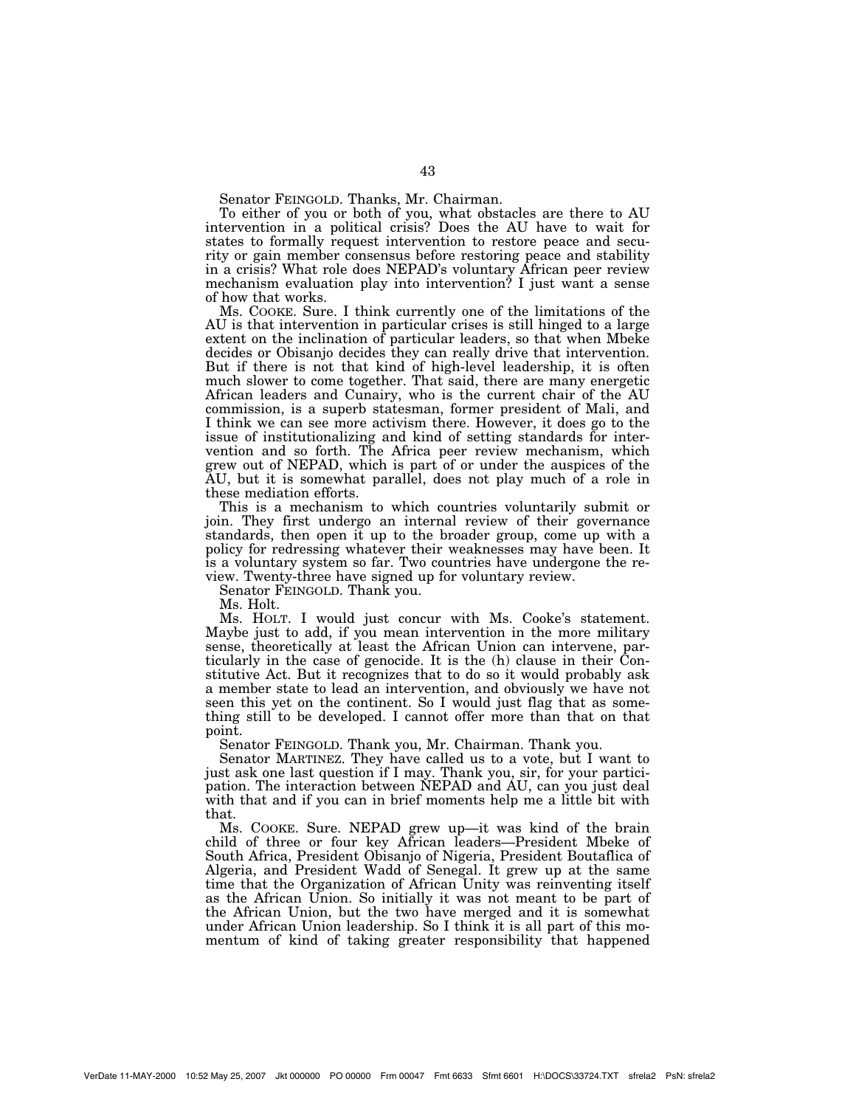Senator FEINGOLD. Thanks, Mr. Chairman.

To either of you or both of you, what obstacles are there to AU intervention in a political crisis? Does the AU have to wait for states to formally request intervention to restore peace and security or gain member consensus before restoring peace and stability in a crisis? What role does NEPAD's voluntary African peer review mechanism evaluation play into intervention? I just want a sense of how that works.

Ms. COOKE. Sure. I think currently one of the limitations of the AU is that intervention in particular crises is still hinged to a large extent on the inclination of particular leaders, so that when Mbeke decides or Obisanjo decides they can really drive that intervention. But if there is not that kind of high-level leadership, it is often much slower to come together. That said, there are many energetic African leaders and Cunairy, who is the current chair of the AU commission, is a superb statesman, former president of Mali, and I think we can see more activism there. However, it does go to the issue of institutionalizing and kind of setting standards for intervention and so forth. The Africa peer review mechanism, which grew out of NEPAD, which is part of or under the auspices of the AU, but it is somewhat parallel, does not play much of a role in these mediation efforts.

This is a mechanism to which countries voluntarily submit or join. They first undergo an internal review of their governance standards, then open it up to the broader group, come up with a policy for redressing whatever their weaknesses may have been. It is a voluntary system so far. Two countries have undergone the review. Twenty-three have signed up for voluntary review.

Senator FEINGOLD. Thank you.

Ms. Holt.

Ms. HOLT. I would just concur with Ms. Cooke's statement. Maybe just to add, if you mean intervention in the more military sense, theoretically at least the African Union can intervene, particularly in the case of genocide. It is the (h) clause in their Constitutive Act. But it recognizes that to do so it would probably ask a member state to lead an intervention, and obviously we have not seen this yet on the continent. So I would just flag that as something still to be developed. I cannot offer more than that on that point.

Senator FEINGOLD. Thank you, Mr. Chairman. Thank you.

Senator MARTINEZ. They have called us to a vote, but I want to just ask one last question if I may. Thank you, sir, for your participation. The interaction between NEPAD and AU, can you just deal with that and if you can in brief moments help me a little bit with that.

Ms. COOKE. Sure. NEPAD grew up—it was kind of the brain child of three or four key African leaders—President Mbeke of South Africa, President Obisanjo of Nigeria, President Boutaflica of Algeria, and President Wadd of Senegal. It grew up at the same time that the Organization of African Unity was reinventing itself as the African Union. So initially it was not meant to be part of the African Union, but the two have merged and it is somewhat under African Union leadership. So I think it is all part of this momentum of kind of taking greater responsibility that happened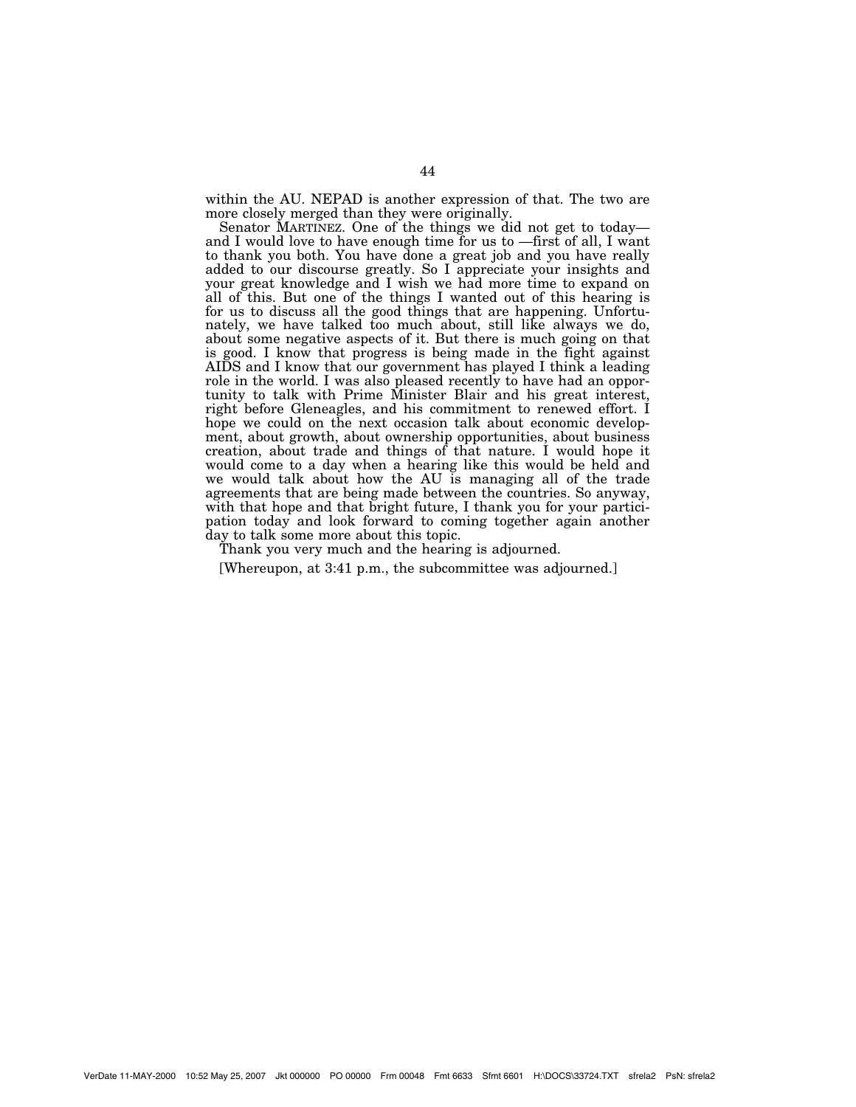within the AU. NEPAD is another expression of that. The two are more closely merged than they were originally.

Senator MARTINEZ. One of the things we did not get to today and I would love to have enough time for us to —first of all, I want to thank you both. You have done a great job and you have really added to our discourse greatly. So I appreciate your insights and your great knowledge and I wish we had more time to expand on all of this. But one of the things I wanted out of this hearing is for us to discuss all the good things that are happening. Unfortunately, we have talked too much about, still like always we do, about some negative aspects of it. But there is much going on that is good. I know that progress is being made in the fight against AIDS and I know that our government has played I think a leading role in the world. I was also pleased recently to have had an opportunity to talk with Prime Minister Blair and his great interest, right before Gleneagles, and his commitment to renewed effort. I hope we could on the next occasion talk about economic development, about growth, about ownership opportunities, about business creation, about trade and things of that nature. I would hope it would come to a day when a hearing like this would be held and we would talk about how the AU is managing all of the trade agreements that are being made between the countries. So anyway, with that hope and that bright future, I thank you for your participation today and look forward to coming together again another day to talk some more about this topic.

Thank you very much and the hearing is adjourned.

[Whereupon, at 3:41 p.m., the subcommittee was adjourned.]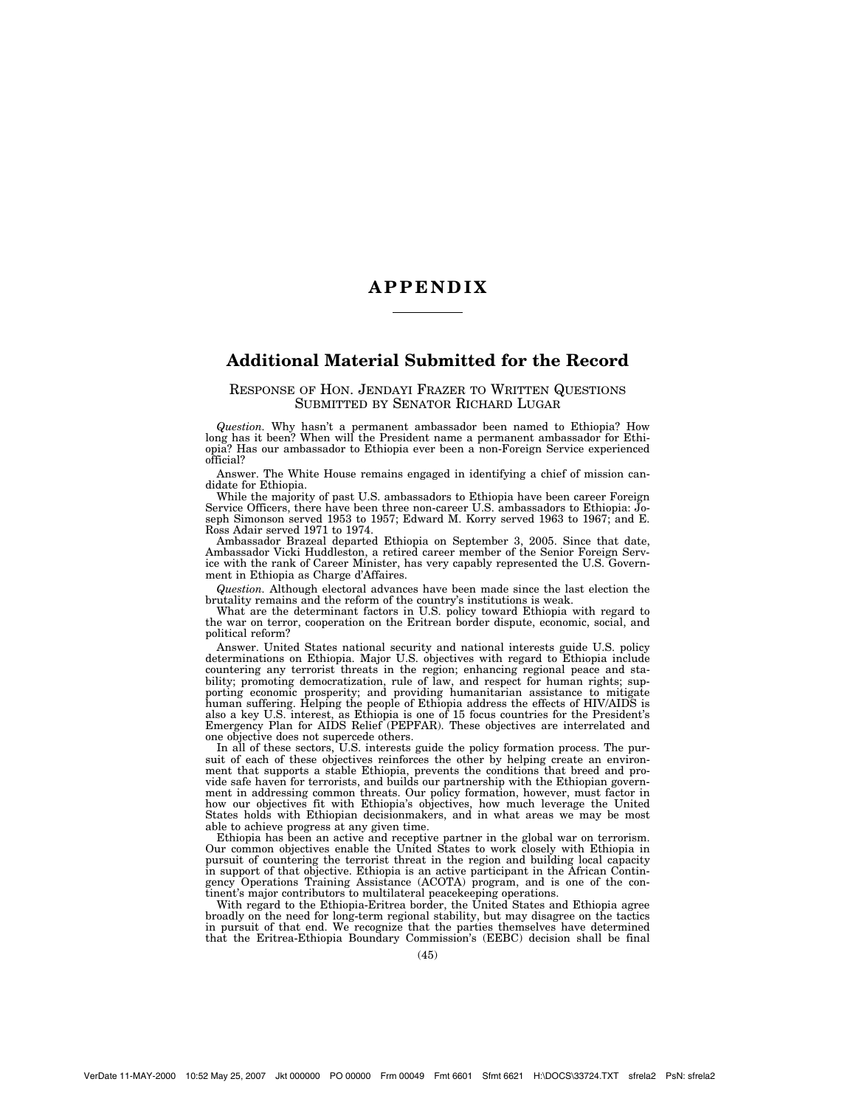## **APPENDIX**

## **Additional Material Submitted for the Record**

RESPONSE OF HON. JENDAYI FRAZER TO WRITTEN QUESTIONS SUBMITTED BY SENATOR RICHARD LUGAR

*Question.* Why hasn't a permanent ambassador been named to Ethiopia? How long has it been? When will the President name a permanent ambassador for Ethiopia? Has our ambassador to Ethiopia ever been a non-Foreign Service experienced official?

Answer. The White House remains engaged in identifying a chief of mission candidate for Ethiopia.

While the majority of past U.S. ambassadors to Ethiopia have been career Foreign Service Officers, there have been three non-career U.S. ambassadors to Ethiopia: Joseph Simonson served 1953 to 1957; Edward M. Korry served 1963 to 1967; and E. Ross Adair served 1971 to 1974.

Ambassador Brazeal departed Ethiopia on September 3, 2005. Since that date, Ambassador Vicki Huddleston, a retired career member of the Senior Foreign Service with the rank of Career Minister, has very capably represented the U.S. Government in Ethiopia as Charge d'Affaires.

*Question.* Although electoral advances have been made since the last election the brutality remains and the reform of the country's institutions is weak.

What are the determinant factors in U.S. policy toward Ethiopia with regard to the war on terror, cooperation on the Eritrean border dispute, economic, social, and political reform?

Answer. United States national security and national interests guide U.S. policy determinations on Ethiopia. Major U.S. objectives with regard to Ethiopia include countering any terrorist threats in the region; enhancing regional peace and stability; promoting democratization, rule of law, and respect for human rights; supporting economic prosperity; and providing humanitarian assistance to mitigate human suffering. Helping the people of Ethiopia address the effects of HIV/AIDS is also a key U.S. interest, as Ethiopia is one of 15 focus countries for the President's Emergency Plan for AIDS Relief (PEPFAR). These objectives are interrelated and one objective does not supercede others.

In all of these sectors, U.S. interests guide the policy formation process. The pursuit of each of these objectives reinforces the other by helping create an environment that supports a stable Ethiopia, prevents the conditions that breed and provide safe haven for terrorists, and builds our partnership with the Ethiopian government in addressing common threats. Our policy formation, however, must factor in how our objectives fit with Ethiopia's objectives, how much leverage the United States holds with Ethiopian decisionmakers, and in what areas we may be most able to achieve progress at any given time.

Ethiopia has been an active and receptive partner in the global war on terrorism. Our common objectives enable the United States to work closely with Ethiopia in pursuit of countering the terrorist threat in the region and building local capacity in support of that objective. Ethiopia is an active participant in the African Contingency Operations Training Assistance (ACOTA) program, and is one of the continent's major contributors to multilateral peacekeeping operations.

With regard to the Ethiopia-Eritrea border, the United States and Ethiopia agree broadly on the need for long-term regional stability, but may disagree on the tactics in pursuit of that end. We recognize that the parties themselves have determined that the Eritrea-Ethiopia Boundary Commission's (EEBC) decision shall be final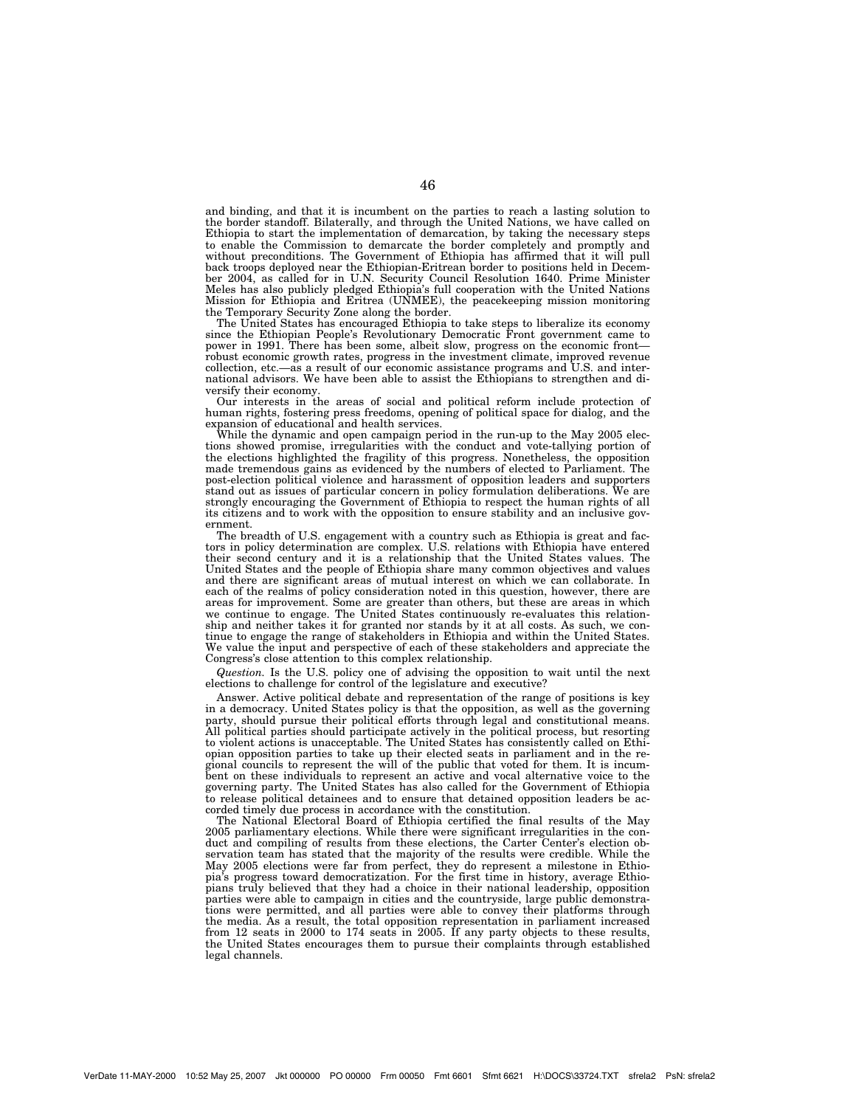and binding, and that it is incumbent on the parties to reach a lasting solution to the border standoff. Bilaterally, and through the United Nations, we have called on Ethiopia to start the implementation of demarcation, by taking the necessary steps to enable the Commission to demarcate the border completely and promptly and without preconditions. The Government of Ethiopia has affirmed that it will pull back troops deployed near the Ethiopian-Eritrean border to positions held in December 2004, as called for in U.N. Security Council Resolution 1640. Prime Minister Meles has also publicly pledged Ethiopia's full cooperation with the United Nations Mission for Ethiopia and Eritrea (UNMEE), the peacekeeping mission monitoring the Temporary Security Zone along the border.

The United States has encouraged Ethiopia to take steps to liberalize its economy since the Ethiopian People's Revolutionary Democratic Front government came to power in 1991. There has been some, albeit slow, progress on the economic front robust economic growth rates, progress in the investment climate, improved revenue collection, etc.—as a result of our economic assistance programs and U.S. and international advisors. We have been able to assist the Ethiopians to strengthen and diversify their economy.

Our interests in the areas of social and political reform include protection of human rights, fostering press freedoms, opening of political space for dialog, and the expansion of educational and health services.

While the dynamic and open campaign period in the run-up to the May 2005 elections showed promise, irregularities with the conduct and vote-tallying portion of the elections highlighted the fragility of this progress. Nonetheless, the opposition made tremendous gains as evidenced by the numbers of elected to Parliament. The post-election political violence and harassment of opposition leaders and supporters stand out as issues of particular concern in policy formulation deliberations. We are strongly encouraging the Government of Ethiopia to respect the human rights of all its citizens and to work with the opposition to ensure stability and an inclusive government.

The breadth of U.S. engagement with a country such as Ethiopia is great and factors in policy determination are complex. U.S. relations with Ethiopia have entered their second century and it is a relationship that the United States values. The United States and the people of Ethiopia share many common objectives and values and there are significant areas of mutual interest on which we can collaborate. In each of the realms of policy consideration noted in this question, however, there are areas for improvement. Some are greater than others, but these are areas in which we continue to engage. The United States continuously re-evaluates this relationship and neither takes it for granted nor stands by it at all costs. As such, we continue to engage the range of stakeholders in Ethiopia and within the United States. We value the input and perspective of each of these stakeholders and appreciate the Congress's close attention to this complex relationship.

*Question.* Is the U.S. policy one of advising the opposition to wait until the next elections to challenge for control of the legislature and executive?

Answer. Active political debate and representation of the range of positions is key in a democracy. United States policy is that the opposition, as well as the governing party, should pursue their political efforts through legal and constitutional means. All political parties should participate actively in the political process, but resorting to violent actions is unacceptable. The United States has consistently called on Ethiopian opposition parties to take up their elected seats in parliament and in the regional councils to represent the will of the public that voted for them. It is incumbent on these individuals to represent an active and vocal alternative voice to the governing party. The United States has also called for the Government of Ethiopia to release political detainees and to ensure that detained opposition leaders be accorded timely due process in accordance with the constitution.

The National Electoral Board of Ethiopia certified the final results of the May 2005 parliamentary elections. While there were significant irregularities in the conduct and compiling of results from these elections, the Carter Center's election observation team has stated that the majority of the results were credible. While the May 2005 elections were far from perfect, they do represent a milestone in Ethiopia's progress toward democratization. For the first time in history, average Ethiopians truly believed that they had a choice in their national leadership, opposition parties were able to campaign in cities and the countryside, large public demonstrations were permitted, and all parties were able to convey their platforms through the media. As a result, the total opposition representation in parliament increased from 12 seats in 2000 to 174 seats in 2005. If any party objects to these results, the United States encourages them to pursue their complaints through established legal channels.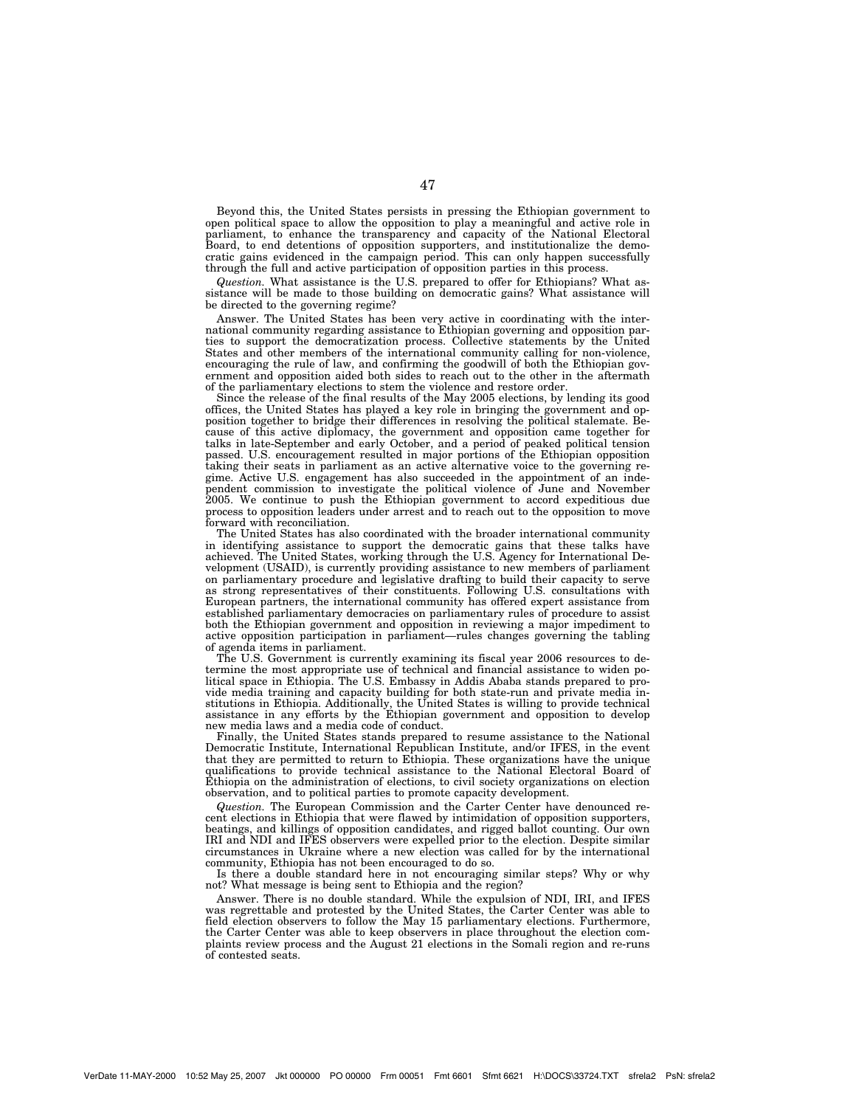Beyond this, the United States persists in pressing the Ethiopian government to open political space to allow the opposition to play a meaningful and active role in parliament, to enhance the transparency and capacity of the National Electoral Board, to end detentions of opposition supporters, and institutionalize the democratic gains evidenced in the campaign period. This can only happen successfully through the full and active participation of opposition parties in this process.

*Question.* What assistance is the U.S. prepared to offer for Ethiopians? What assistance will be made to those building on democratic gains? What assistance will be directed to the governing regime?

Answer. The United States has been very active in coordinating with the international community regarding assistance to Ethiopian governing and opposition parties to support the democratization process. Collective statements by the United States and other members of the international community calling for non-violence, encouraging the rule of law, and confirming the goodwill of both the Ethiopian government and opposition aided both sides to reach out to the other in the aftermath of the parliamentary elections to stem the violence and restore order.

Since the release of the final results of the May 2005 elections, by lending its good offices, the United States has played a key role in bringing the government and opposition together to bridge their differences in resolving the political stalemate. Because of this active diplomacy, the government and opposition came together for talks in late-September and early October, and a period of peaked political tension passed. U.S. encouragement resulted in major portions of the Ethiopian opposition taking their seats in parliament as an active alternative voice to the governing regime. Active U.S. engagement has also succeeded in the appointment of an independent commission to investigate the political violence of June and November 2005. We continue to push the Ethiopian government to accord expeditious due process to opposition leaders under arrest and to reach out to the opposition to move forward with reconciliation.

The United States has also coordinated with the broader international community in identifying assistance to support the democratic gains that these talks have achieved. The United States, working through the U.S. Agency for International Development (USAID), is currently providing assistance to new members of parliament on parliamentary procedure and legislative drafting to build their capacity to serve as strong representatives of their constituents. Following U.S. consultations with European partners, the international community has offered expert assistance from established parliamentary democracies on parliamentary rules of procedure to assist both the Ethiopian government and opposition in reviewing a major impediment to active opposition participation in parliament—rules changes governing the tabling of agenda items in parliament.

The U.S. Government is currently examining its fiscal year 2006 resources to determine the most appropriate use of technical and financial assistance to widen political space in Ethiopia. The U.S. Embassy in Addis Ababa stands prepared to provide media training and capacity building for both state-run and private media institutions in Ethiopia. Additionally, the United States is willing to provide technical assistance in any efforts by the Ethiopian government and opposition to develop new media laws and a media code of conduct.

Finally, the United States stands prepared to resume assistance to the National Democratic Institute, International Republican Institute, and/or IFES, in the event that they are permitted to return to Ethiopia. These organizations have the unique qualifications to provide technical assistance to the National Electoral Board of Ethiopia on the administration of elections, to civil society organizations on election observation, and to political parties to promote capacity development.

*Question.* The European Commission and the Carter Center have denounced recent elections in Ethiopia that were flawed by intimidation of opposition supporters, beatings, and killings of opposition candidates, and rigged ballot counting. Our own IRI and NDI and IFES observers were expelled prior to the election. Despite similar circumstances in Ukraine where a new election was called for by the international community, Ethiopia has not been encouraged to do so.

Is there a double standard here in not encouraging similar steps? Why or why not? What message is being sent to Ethiopia and the region?

Answer. There is no double standard. While the expulsion of NDI, IRI, and IFES was regrettable and protested by the United States, the Carter Center was able to field election observers to follow the May 15 parliamentary elections. Furthermore, the Carter Center was able to keep observers in place throughout the election complaints review process and the August 21 elections in the Somali region and re-runs of contested seats.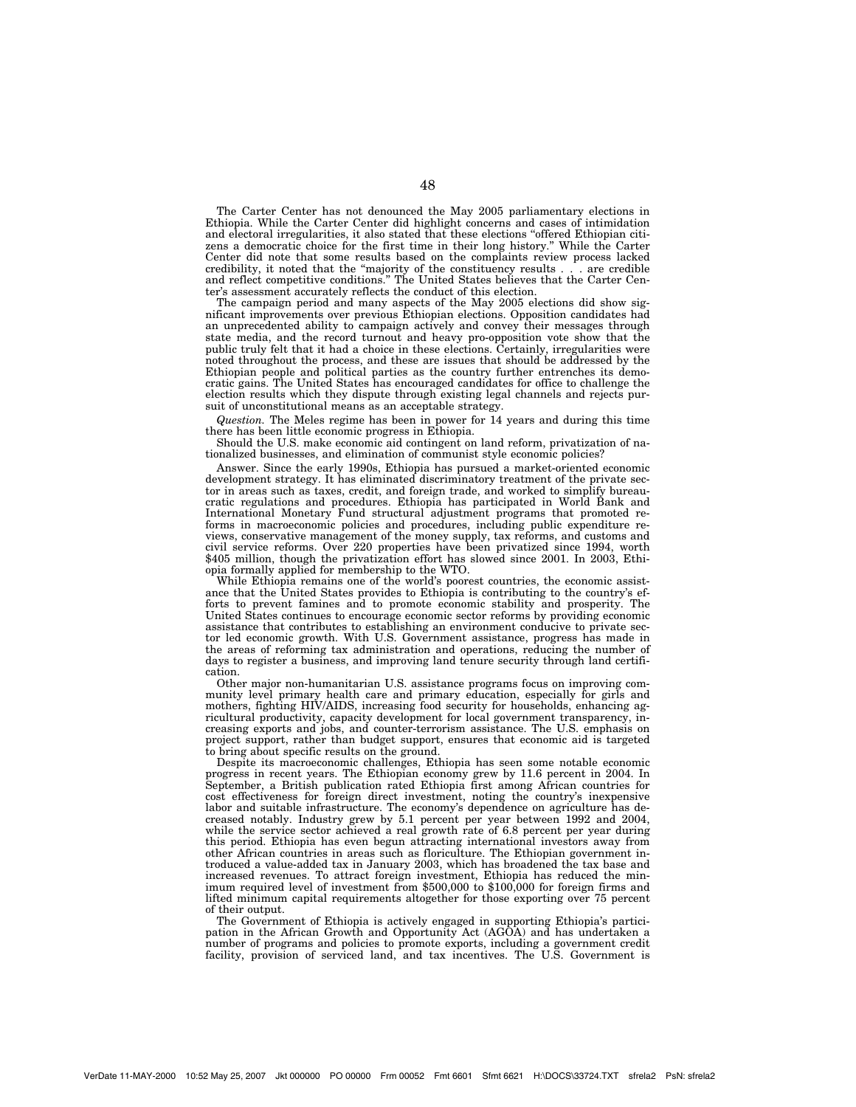The Carter Center has not denounced the May 2005 parliamentary elections in Ethiopia. While the Carter Center did highlight concerns and cases of intimidation and electoral irregularities, it also stated that these elections "offered Ethiopian citizens a democratic choice for the first time in their long history.'' While the Carter Center did note that some results based on the complaints review process lacked credibility, it noted that the ''majority of the constituency results . . . are credible and reflect competitive conditions.'' The United States believes that the Carter Center's assessment accurately reflects the conduct of this election.

The campaign period and many aspects of the May 2005 elections did show significant improvements over previous Ethiopian elections. Opposition candidates had an unprecedented ability to campaign actively and convey their messages through state media, and the record turnout and heavy pro-opposition vote show that the public truly felt that it had a choice in these elections. Certainly, irregularities were noted throughout the process, and these are issues that should be addressed by the Ethiopian people and political parties as the country further entrenches its democratic gains. The United States has encouraged candidates for office to challenge the election results which they dispute through existing legal channels and rejects pursuit of unconstitutional means as an acceptable strategy.

*Question.* The Meles regime has been in power for 14 years and during this time there has been little economic progress in Ethiopia.

Should the U.S. make economic aid contingent on land reform, privatization of nationalized businesses, and elimination of communist style economic policies?

Answer. Since the early 1990s, Ethiopia has pursued a market-oriented economic development strategy. It has eliminated discriminatory treatment of the private sector in areas such as taxes, credit, and foreign trade, and worked to simplify bureaucratic regulations and procedures. Ethiopia has participated in World Bank and International Monetary Fund structural adjustment programs that promoted reforms in macroeconomic policies and procedures, including public expenditure reviews, conservative management of the money supply, tax reforms, and customs and civil service reforms. Over 220 properties have been privatized since 1994, worth \$405 million, though the privatization effort has slowed since 2001. In 2003, Ethiopia formally applied for membership to the WTO.

While Ethiopia remains one of the world's poorest countries, the economic assistance that the United States provides to Ethiopia is contributing to the country's efforts to prevent famines and to promote economic stability and prosperity. The United States continues to encourage economic sector reforms by providing economic assistance that contributes to establishing an environment conducive to private sector led economic growth. With U.S. Government assistance, progress has made in the areas of reforming tax administration and operations, reducing the number of days to register a business, and improving land tenure security through land certification.

Other major non-humanitarian U.S. assistance programs focus on improving community level primary health care and primary education, especially for girls and mothers, fighting HIV/AIDS, increasing food security for households, enhancing agricultural productivity, capacity development for local government transparency, increasing exports and jobs, and counter-terrorism assistance. The U.S. emphasis on project support, rather than budget support, ensures that economic aid is targeted to bring about specific results on the ground.

Despite its macroeconomic challenges, Ethiopia has seen some notable economic progress in recent years. The Ethiopian economy grew by 11.6 percent in 2004. In September, a British publication rated Ethiopia first among African countries for cost effectiveness for foreign direct investment, noting the country's inexpensive labor and suitable infrastructure. The economy's dependence on agriculture has decreased notably. Industry grew by 5.1 percent per year between 1992 and 2004, while the service sector achieved a real growth rate of 6.8 percent per year during this period. Ethiopia has even begun attracting international investors away from other African countries in areas such as floriculture. The Ethiopian government introduced a value-added tax in January 2003, which has broadened the tax base and increased revenues. To attract foreign investment, Ethiopia has reduced the minimum required level of investment from \$500,000 to \$100,000 for foreign firms and lifted minimum capital requirements altogether for those exporting over 75 percent of their output.

The Government of Ethiopia is actively engaged in supporting Ethiopia's participation in the African Growth and Opportunity Act (AGOA) and has undertaken a number of programs and policies to promote exports, including a government credit facility, provision of serviced land, and tax incentives. The U.S. Government is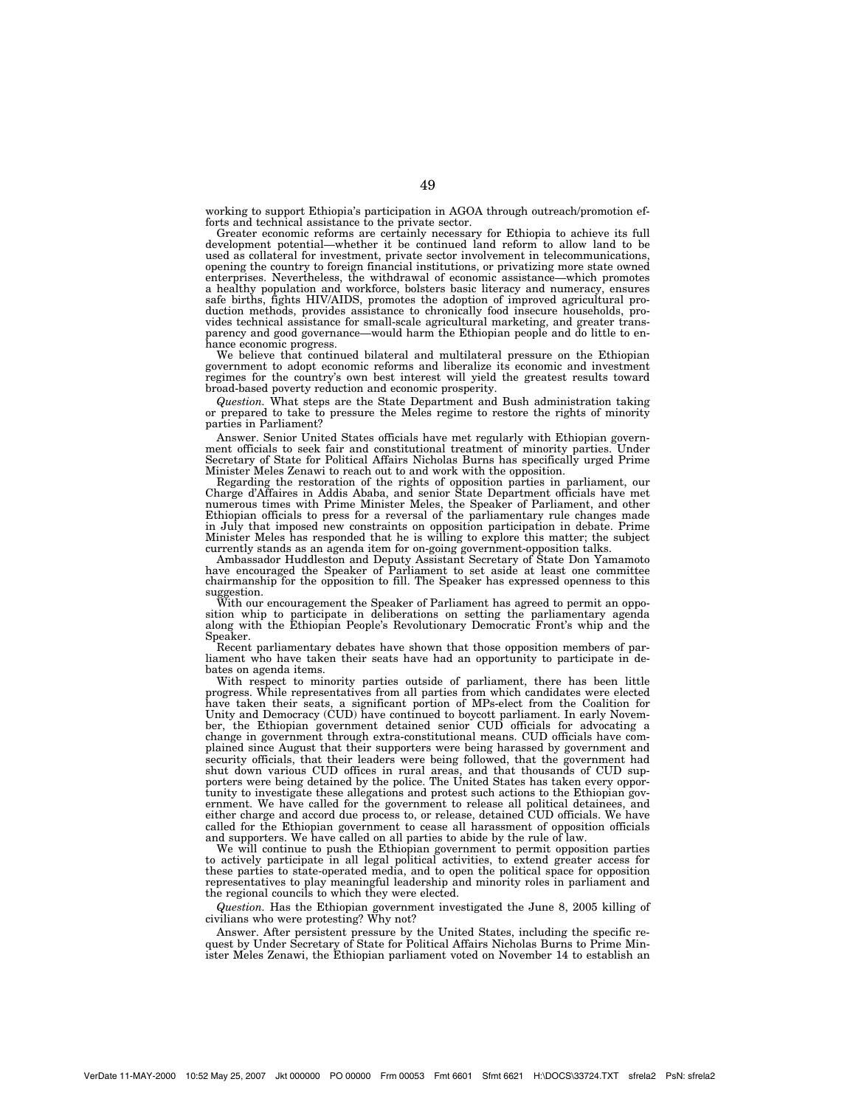working to support Ethiopia's participation in AGOA through outreach/promotion ef-

forts and technical assistance to the private sector. Greater economic reforms are certainly necessary for Ethiopia to achieve its full development potential—whether it be continued land reform to allow land to be used as collateral for investment, private sector involvement in telecommunications, opening the country to foreign financial institutions, or privatizing more state owned enterprises. Nevertheless, the withdrawal of economic assistance—which promotes a healthy population and workforce, bolsters basic literacy and numeracy, ensures a hearting permitted HIV/AIDS, promotes the adoption of improved agricultural production methods, provides assistance to chronically food insecure households, provides technical assistance for small-scale agricultural marketing, and greater trans-parency and good governance—would harm the Ethiopian people and do little to enhance economic progress.

We believe that continued bilateral and multilateral pressure on the Ethiopian government to adopt economic reforms and liberalize its economic and investment regimes for the country's own best interest will yield the greatest results toward broad-based poverty reduction and economic prosperity.

*Question.* What steps are the State Department and Bush administration taking or prepared to take to pressure the Meles regime to restore the rights of minority parties in Parliament?

Answer. Senior United States officials have met regularly with Ethiopian government officials to seek fair and constitutional treatment of minority parties. Under Secretary of State for Political Affairs Nicholas Burns has specifically urged Prime Minister Meles Zenawi to reach out to and work with the opposition.

Regarding the restoration of the rights of opposition parties in parliament, our Charge d'Affaires in Addis Ababa, and senior State Department officials have met numerous times with Prime Minister Meles, the Speaker of Parliament, and other Ethiopian officials to press for a reversal of the parliamentary rule changes made in July that imposed new constraints on opposition participation in debate. Prime Minister Meles has responded that he is willing to explore this matter; the subject

currently stands as an agenda item for on-going government-opposition talks. Ambassador Huddleston and Deputy Assistant Secretary of State Don Yamamoto have encouraged the Speaker of Parliament to set aside at least one committee chairmanship for the opposition to fill. The Speaker has expressed openness to this suggestion. With our encouragement the Speaker of Parliament has agreed to permit an oppo-

sition whip to participate in deliberations on setting the parliamentary agenda along with the Ethiopian People's Revolutionary Democratic Front's whip and the Speaker.

Recent parliamentary debates have shown that those opposition members of parliament who have taken their seats have had an opportunity to participate in debates on agenda items.

With respect to minority parties outside of parliament, there has been little progress. While representatives from all parties from which candidates were elected have taken their seats, a significant portion of MPs-elect from the Coalition for Unity and Democracy (CUD) have continued to boycott parliament. In early November, the Ethiopian government detained senior CUD officials for advocating a change in government through extra-constitutional means. CUD officials have complained since August that their supporters were being harassed by government and security officials, that their leaders were being followed, that the government had shut down various CUD offices in rural areas, and that thousands of CUD supporters were being detained by the police. The United States has taken every opportunity to investigate these allegations and protest such actions to the Ethiopian government. We have called for the government to release all political detainees, and either charge and accord due process to, or release, detained CUD officials. We have called for the Ethiopian government to cease all harassment of opposition officials and supporters. We have called on all parties to abide by the rule of law.

We will continue to push the Ethiopian government to permit opposition parties to actively participate in all legal political activities, to extend greater access for these parties to state-operated media, and to open the political space for opposition representatives to play meaningful leadership and minority roles in parliament and the regional councils to which they were elected.

*Question.* Has the Ethiopian government investigated the June 8, 2005 killing of civilians who were protesting? Why not?

Answer. After persistent pressure by the United States, including the specific request by Under Secretary of State for Political Affairs Nicholas Burns to Prime Minister Meles Zenawi, the Ethiopian parliament voted on November 14 to establish an